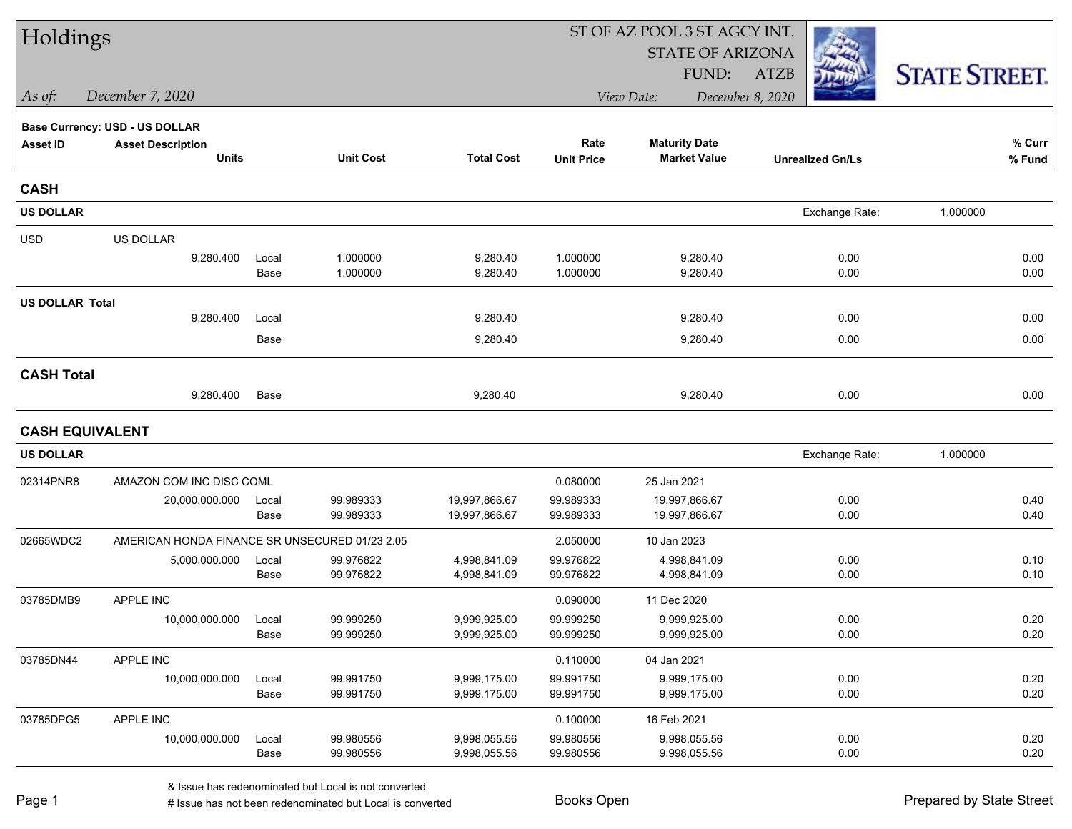| Holdings               |                                                |               |                        |                              | ST OF AZ POOL 3 ST AGCY INT. |                              |                         |                      |  |  |
|------------------------|------------------------------------------------|---------------|------------------------|------------------------------|------------------------------|------------------------------|-------------------------|----------------------|--|--|
|                        |                                                |               |                        |                              |                              | <b>STATE OF ARIZONA</b>      |                         |                      |  |  |
|                        |                                                |               |                        |                              |                              | FUND:                        | <b>ATZB</b>             | <b>STATE STREET.</b> |  |  |
| As of:                 | December 7, 2020                               |               |                        |                              |                              | View Date:                   | December 8, 2020        |                      |  |  |
|                        | Base Currency: USD - US DOLLAR                 |               |                        |                              |                              |                              |                         |                      |  |  |
| <b>Asset ID</b>        | <b>Asset Description</b>                       |               |                        |                              | Rate                         | <b>Maturity Date</b>         |                         | % Curr               |  |  |
|                        | <b>Units</b>                                   |               | <b>Unit Cost</b>       | <b>Total Cost</b>            | <b>Unit Price</b>            | <b>Market Value</b>          | <b>Unrealized Gn/Ls</b> | % Fund               |  |  |
| <b>CASH</b>            |                                                |               |                        |                              |                              |                              |                         |                      |  |  |
| <b>US DOLLAR</b>       |                                                |               |                        |                              |                              |                              | Exchange Rate:          | 1.000000             |  |  |
| <b>USD</b>             | US DOLLAR                                      |               |                        |                              |                              |                              |                         |                      |  |  |
|                        | 9,280.400                                      | Local         | 1.000000               | 9,280.40                     | 1.000000                     | 9,280.40                     | 0.00                    | 0.00                 |  |  |
|                        |                                                | Base          | 1.000000               | 9,280.40                     | 1.000000                     | 9,280.40                     | 0.00                    | 0.00                 |  |  |
| <b>US DOLLAR Total</b> |                                                |               |                        |                              |                              |                              |                         |                      |  |  |
|                        | 9,280.400                                      | Local         |                        | 9,280.40                     |                              | 9,280.40                     | 0.00                    | 0.00                 |  |  |
|                        |                                                | Base          |                        | 9,280.40                     |                              | 9,280.40                     | 0.00                    | 0.00                 |  |  |
| <b>CASH Total</b>      |                                                |               |                        |                              |                              |                              |                         |                      |  |  |
|                        | 9,280.400                                      | Base          |                        | 9,280.40                     |                              | 9,280.40                     | 0.00                    | 0.00                 |  |  |
| <b>CASH EQUIVALENT</b> |                                                |               |                        |                              |                              |                              |                         |                      |  |  |
| <b>US DOLLAR</b>       |                                                |               |                        |                              |                              |                              | Exchange Rate:          | 1.000000             |  |  |
| 02314PNR8              | AMAZON COM INC DISC COML                       |               |                        |                              | 0.080000                     | 25 Jan 2021                  |                         |                      |  |  |
|                        | 20,000,000.000                                 | Local         | 99.989333              | 19,997,866.67                | 99.989333                    | 19,997,866.67                | 0.00                    | 0.40                 |  |  |
|                        |                                                | Base          | 99.989333              | 19,997,866.67                | 99.989333                    | 19,997,866.67                | 0.00                    | 0.40                 |  |  |
| 02665WDC2              | AMERICAN HONDA FINANCE SR UNSECURED 01/23 2.05 |               |                        |                              | 2.050000                     | 10 Jan 2023                  |                         |                      |  |  |
|                        | 5,000,000.000                                  | Local<br>Base | 99.976822<br>99.976822 | 4,998,841.09<br>4,998,841.09 | 99.976822<br>99.976822       | 4,998,841.09<br>4,998,841.09 | 0.00<br>0.00            | 0.10<br>0.10         |  |  |
|                        |                                                |               |                        |                              |                              |                              |                         |                      |  |  |
| 03785DMB9              | APPLE INC                                      |               |                        |                              | 0.090000                     | 11 Dec 2020                  |                         |                      |  |  |
|                        | 10,000,000.000                                 | Local<br>Base | 99.999250<br>99.999250 | 9,999,925.00<br>9,999,925.00 | 99.999250<br>99.999250       | 9,999,925.00<br>9,999,925.00 | 0.00<br>0.00            | 0.20<br>0.20         |  |  |
| 03785DN44              | APPLE INC                                      |               |                        |                              | 0.110000                     | 04 Jan 2021                  |                         |                      |  |  |
|                        | 10,000,000.000                                 | Local         | 99.991750              | 9,999,175.00                 | 99.991750                    | 9,999,175.00                 | 0.00                    | 0.20                 |  |  |
|                        |                                                | Base          | 99.991750              | 9,999,175.00                 | 99.991750                    | 9,999,175.00                 | 0.00                    | 0.20                 |  |  |
| 03785DPG5              | APPLE INC                                      |               |                        |                              | 0.100000                     | 16 Feb 2021                  |                         |                      |  |  |
|                        | 10,000,000.000                                 | Local         | 99.980556              | 9,998,055.56                 | 99.980556                    | 9,998,055.56                 | 0.00                    | 0.20                 |  |  |
|                        |                                                | Base          | 99.980556              | 9,998,055.56                 | 99.980556                    | 9,998,055.56                 | 0.00                    | 0.20                 |  |  |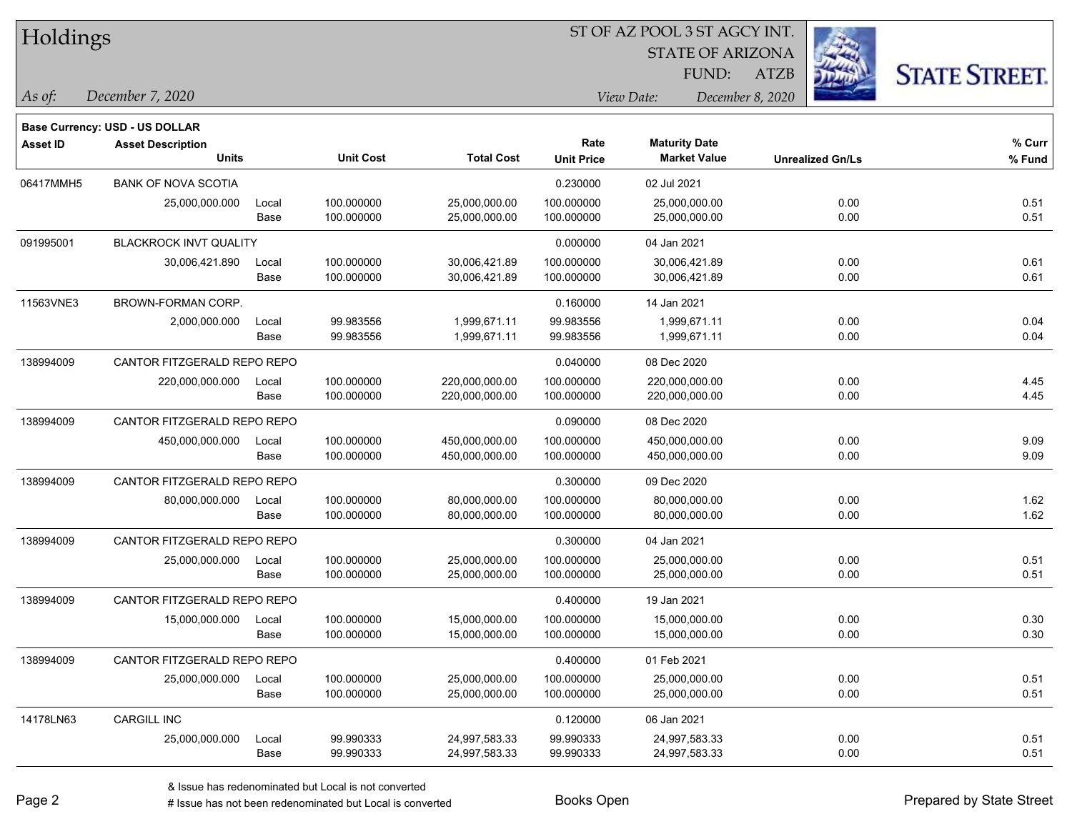|  | <b>Holdings</b> |
|--|-----------------|
|  |                 |

STATE OF ARIZONA

ATZB



*December 7, 2020 As of: View Date: December 8, 2020*

**Base Currency: USD - US DOLLAR**

| <b>Asset ID</b> | <b>Asset Description</b>      |       |                  |                   | Rate              | <b>Maturity Date</b> |                         | % Curr |
|-----------------|-------------------------------|-------|------------------|-------------------|-------------------|----------------------|-------------------------|--------|
|                 | <b>Units</b>                  |       | <b>Unit Cost</b> | <b>Total Cost</b> | <b>Unit Price</b> | <b>Market Value</b>  | <b>Unrealized Gn/Ls</b> | % Fund |
| 06417MMH5       | <b>BANK OF NOVA SCOTIA</b>    |       |                  |                   | 0.230000          | 02 Jul 2021          |                         |        |
|                 | 25,000,000.000                | Local | 100.000000       | 25,000,000.00     | 100.000000        | 25,000,000.00        | 0.00                    | 0.51   |
|                 |                               | Base  | 100.000000       | 25,000,000.00     | 100.000000        | 25,000,000.00        | 0.00                    | 0.51   |
| 091995001       | <b>BLACKROCK INVT QUALITY</b> |       |                  |                   | 0.000000          | 04 Jan 2021          |                         |        |
|                 | 30,006,421.890                | Local | 100.000000       | 30,006,421.89     | 100.000000        | 30,006,421.89        | 0.00                    | 0.61   |
|                 |                               | Base  | 100.000000       | 30,006,421.89     | 100.000000        | 30,006,421.89        | 0.00                    | 0.61   |
| 11563VNE3       | <b>BROWN-FORMAN CORP.</b>     |       |                  |                   | 0.160000          | 14 Jan 2021          |                         |        |
|                 | 2,000,000.000                 | Local | 99.983556        | 1,999,671.11      | 99.983556         | 1,999,671.11         | 0.00                    | 0.04   |
|                 |                               | Base  | 99.983556        | 1,999,671.11      | 99.983556         | 1,999,671.11         | 0.00                    | 0.04   |
| 138994009       | CANTOR FITZGERALD REPO REPO   |       |                  |                   | 0.040000          | 08 Dec 2020          |                         |        |
|                 | 220,000,000.000               | Local | 100.000000       | 220,000,000.00    | 100.000000        | 220,000,000.00       | 0.00                    | 4.45   |
|                 |                               | Base  | 100.000000       | 220,000,000.00    | 100.000000        | 220,000,000.00       | 0.00                    | 4.45   |
| 138994009       | CANTOR FITZGERALD REPO REPO   |       |                  |                   | 0.090000          | 08 Dec 2020          |                         |        |
|                 | 450,000,000.000               | Local | 100.000000       | 450,000,000.00    | 100.000000        | 450,000,000.00       | 0.00                    | 9.09   |
|                 |                               | Base  | 100.000000       | 450,000,000.00    | 100.000000        | 450,000,000.00       | 0.00                    | 9.09   |
| 138994009       | CANTOR FITZGERALD REPO REPO   |       |                  |                   | 0.300000          | 09 Dec 2020          |                         |        |
|                 | 80,000,000.000                | Local | 100.000000       | 80,000,000.00     | 100.000000        | 80,000,000.00        | 0.00                    | 1.62   |
|                 |                               | Base  | 100.000000       | 80,000,000.00     | 100.000000        | 80,000,000.00        | 0.00                    | 1.62   |
| 138994009       | CANTOR FITZGERALD REPO REPO   |       |                  |                   | 0.300000          | 04 Jan 2021          |                         |        |
|                 | 25,000,000.000                | Local | 100.000000       | 25,000,000.00     | 100.000000        | 25.000.000.00        | 0.00                    | 0.51   |
|                 |                               | Base  | 100.000000       | 25,000,000.00     | 100.000000        | 25,000,000.00        | 0.00                    | 0.51   |
| 138994009       | CANTOR FITZGERALD REPO REPO   |       |                  |                   | 0.400000          | 19 Jan 2021          |                         |        |
|                 | 15,000,000.000                | Local | 100.000000       | 15,000,000.00     | 100.000000        | 15,000,000.00        | 0.00                    | 0.30   |
|                 |                               | Base  | 100.000000       | 15,000,000.00     | 100.000000        | 15,000,000.00        | 0.00                    | 0.30   |
| 138994009       | CANTOR FITZGERALD REPO REPO   |       |                  |                   | 0.400000          | 01 Feb 2021          |                         |        |
|                 | 25,000,000.000                | Local | 100.000000       | 25,000,000.00     | 100.000000        | 25,000,000.00        | 0.00                    | 0.51   |
|                 |                               | Base  | 100.000000       | 25,000,000.00     | 100.000000        | 25,000,000.00        | 0.00                    | 0.51   |
| 14178LN63       | <b>CARGILL INC</b>            |       |                  |                   | 0.120000          | 06 Jan 2021          |                         |        |
|                 | 25,000,000.000                | Local | 99.990333        | 24,997,583.33     | 99.990333         | 24,997,583.33        | 0.00                    | 0.51   |
|                 |                               | Base  | 99.990333        | 24,997,583.33     | 99.990333         | 24,997,583.33        | 0.00                    | 0.51   |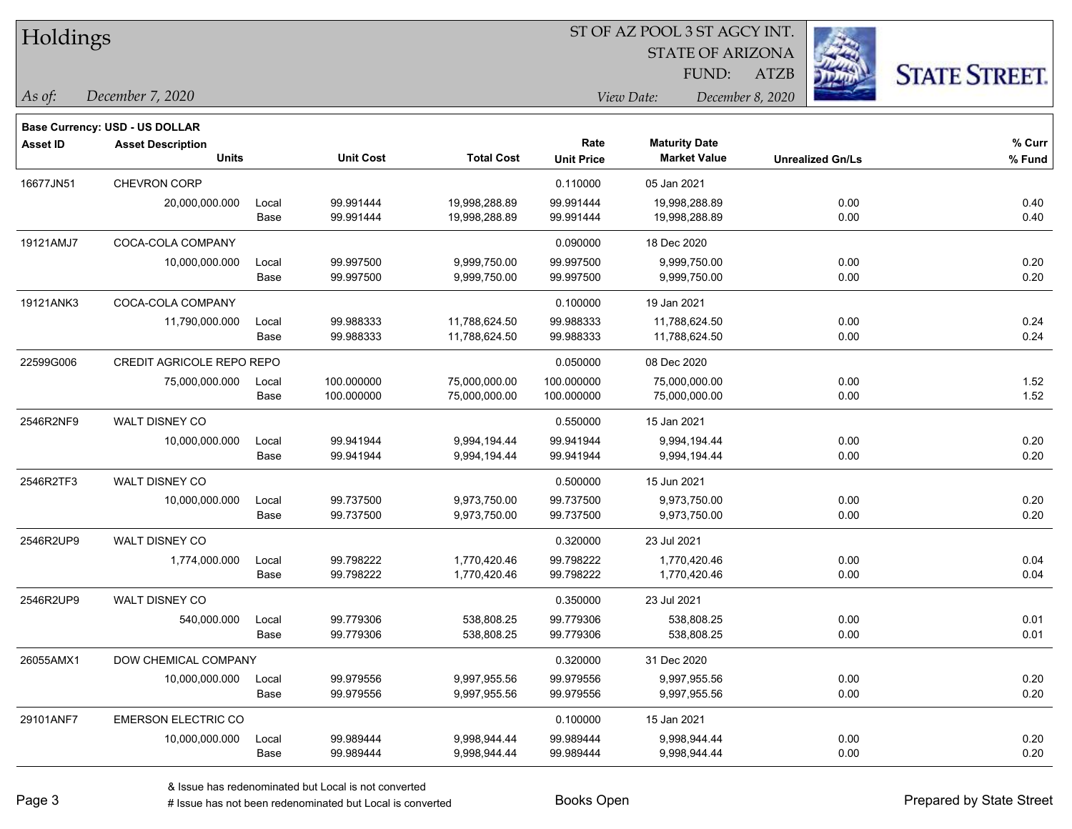| Holdings        |                                          |               |                          |                                |                           | ST OF AZ POOL 3 ST AGCY INT.<br><b>STATE OF ARIZONA</b> |                  |                         |                      |  |
|-----------------|------------------------------------------|---------------|--------------------------|--------------------------------|---------------------------|---------------------------------------------------------|------------------|-------------------------|----------------------|--|
|                 |                                          |               |                          |                                |                           | FUND:                                                   | <b>ATZB</b>      |                         | <b>STATE STREET.</b> |  |
| As of:          | December 7, 2020                         |               |                          |                                |                           | View Date:                                              | December 8, 2020 |                         |                      |  |
|                 | Base Currency: USD - US DOLLAR           |               |                          |                                |                           |                                                         |                  |                         |                      |  |
| <b>Asset ID</b> | <b>Asset Description</b><br><b>Units</b> |               | <b>Unit Cost</b>         | <b>Total Cost</b>              | Rate<br><b>Unit Price</b> | <b>Maturity Date</b><br><b>Market Value</b>             |                  | <b>Unrealized Gn/Ls</b> | % Curr<br>% Fund     |  |
| 16677JN51       | <b>CHEVRON CORP</b>                      |               |                          |                                | 0.110000                  | 05 Jan 2021                                             |                  |                         |                      |  |
|                 | 20,000,000.000                           | Local<br>Base | 99.991444<br>99.991444   | 19,998,288.89<br>19,998,288.89 | 99.991444<br>99.991444    | 19,998,288.89<br>19,998,288.89                          |                  | 0.00<br>0.00            | 0.40<br>0.40         |  |
| 19121AMJ7       | COCA-COLA COMPANY                        |               |                          |                                | 0.090000                  | 18 Dec 2020                                             |                  |                         |                      |  |
|                 | 10,000,000.000                           | Local<br>Base | 99.997500<br>99.997500   | 9,999,750.00<br>9,999,750.00   | 99.997500<br>99.997500    | 9,999,750.00<br>9,999,750.00                            |                  | 0.00<br>0.00            | 0.20<br>0.20         |  |
| 19121ANK3       | COCA-COLA COMPANY                        |               |                          |                                | 0.100000                  | 19 Jan 2021                                             |                  |                         |                      |  |
|                 | 11,790,000.000                           | Local<br>Base | 99.988333<br>99.988333   | 11,788,624.50<br>11,788,624.50 | 99.988333<br>99.988333    | 11,788,624.50<br>11,788,624.50                          |                  | 0.00<br>0.00            | 0.24<br>0.24         |  |
| 22599G006       | CREDIT AGRICOLE REPO REPO                |               |                          |                                | 0.050000                  | 08 Dec 2020                                             |                  |                         |                      |  |
|                 | 75,000,000.000                           | Local<br>Base | 100.000000<br>100.000000 | 75,000,000.00<br>75,000,000.00 | 100.000000<br>100.000000  | 75,000,000.00<br>75,000,000.00                          |                  | 0.00<br>0.00            | 1.52<br>1.52         |  |
| 2546R2NF9       | WALT DISNEY CO                           |               |                          |                                | 0.550000                  | 15 Jan 2021                                             |                  |                         |                      |  |
|                 | 10,000,000.000                           | Local<br>Base | 99.941944<br>99.941944   | 9,994,194.44<br>9,994,194.44   | 99.941944<br>99.941944    | 9,994,194.44<br>9,994,194.44                            |                  | 0.00<br>0.00            | 0.20<br>0.20         |  |
| 2546R2TF3       | WALT DISNEY CO                           |               |                          |                                | 0.500000                  | 15 Jun 2021                                             |                  |                         |                      |  |
|                 | 10,000,000.000                           | Local<br>Base | 99.737500<br>99.737500   | 9,973,750.00<br>9,973,750.00   | 99.737500<br>99.737500    | 9,973,750.00<br>9,973,750.00                            |                  | 0.00<br>0.00            | 0.20<br>0.20         |  |
| 2546R2UP9       | WALT DISNEY CO                           |               |                          |                                | 0.320000                  | 23 Jul 2021                                             |                  |                         |                      |  |
|                 | 1,774,000.000                            | Local<br>Base | 99.798222<br>99.798222   | 1,770,420.46<br>1,770,420.46   | 99.798222<br>99.798222    | 1,770,420.46<br>1,770,420.46                            |                  | 0.00<br>0.00            | 0.04<br>0.04         |  |
| 2546R2UP9       | WALT DISNEY CO                           |               |                          |                                | 0.350000                  | 23 Jul 2021                                             |                  |                         |                      |  |
|                 | 540,000.000                              | Local<br>Base | 99.779306<br>99.779306   | 538,808.25<br>538,808.25       | 99.779306<br>99.779306    | 538,808.25<br>538,808.25                                |                  | 0.00<br>0.00            | 0.01<br>0.01         |  |
| 26055AMX1       | DOW CHEMICAL COMPANY                     |               |                          |                                | 0.320000                  | 31 Dec 2020                                             |                  |                         |                      |  |
|                 | 10,000,000.000                           | Local<br>Base | 99.979556<br>99.979556   | 9,997,955.56<br>9,997,955.56   | 99.979556<br>99.979556    | 9,997,955.56<br>9,997,955.56                            |                  | 0.00<br>0.00            | 0.20<br>0.20         |  |
| 29101ANF7       | <b>EMERSON ELECTRIC CO</b>               |               |                          |                                | 0.100000                  | 15 Jan 2021                                             |                  |                         |                      |  |

0.20 10,000,000.000 Local 99.989444 9,998,944.44 99.989444 9,998,944.44 9,998,944.44 0.00

Base 99.989444 9,998,944.44 99.989444 9,998,944.44 0.00 0.20

A ISSUE OF THE ISSUE OF THE PRESENT OF THE PRESENT OF THE PRESENT OF THE PRESENT OF THE PREPARED OF THE PREPARED OF THE PREPARED OF THE PREPARED OF THE PREPARED OF THE PREPARED OF THE PREPARED OF THE PREPARED OF THE PREPAR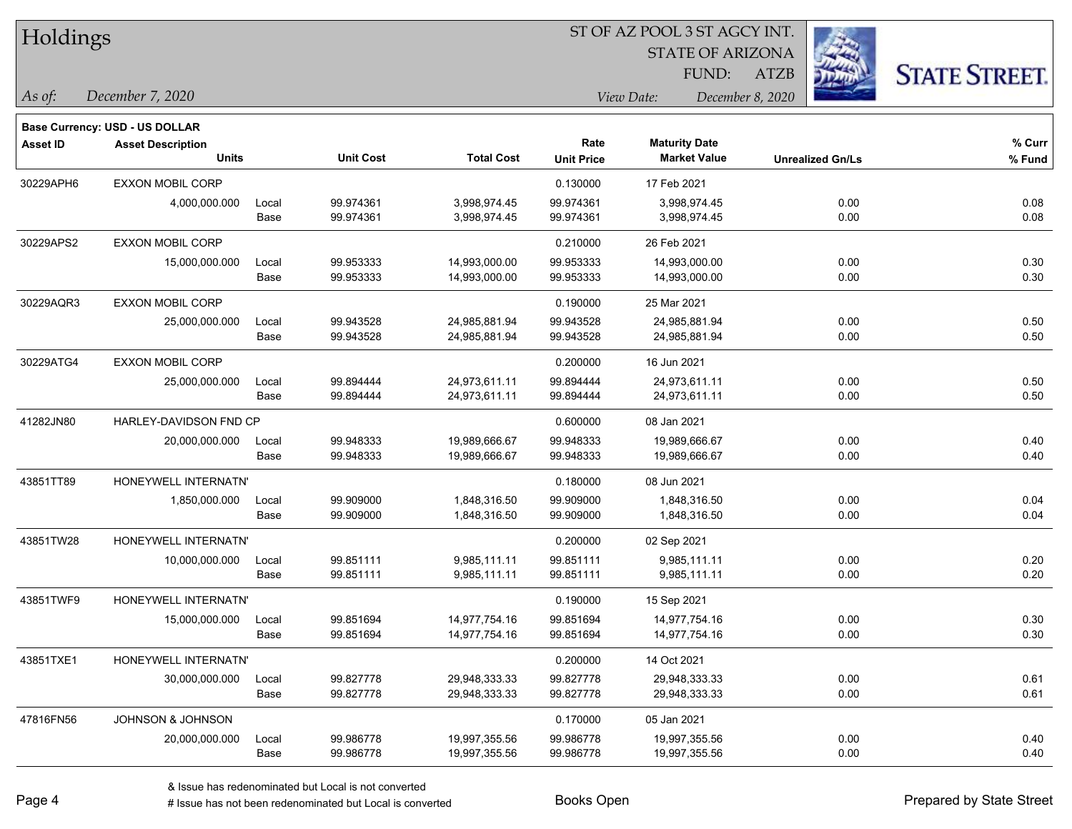| Holdings |
|----------|
|----------|

**Base Currency: USD - US DOLLAR**

#### ST OF AZ POOL 3 ST AGCY INT.

STATE OF ARIZONA

ATZB



*December 7, 2020 As of: View Date: December 8, 2020* FUND:

| <b>Asset ID</b> | <b>Asset Description</b> |       |                  |                   | Rate              | <b>Maturity Date</b> |                         | $%$ Curr |
|-----------------|--------------------------|-------|------------------|-------------------|-------------------|----------------------|-------------------------|----------|
|                 | <b>Units</b>             |       | <b>Unit Cost</b> | <b>Total Cost</b> | <b>Unit Price</b> | <b>Market Value</b>  | <b>Unrealized Gn/Ls</b> | % Fund   |
| 30229APH6       | <b>EXXON MOBIL CORP</b>  |       |                  |                   | 0.130000          | 17 Feb 2021          |                         |          |
|                 | 4,000,000.000            | Local | 99.974361        | 3,998,974.45      | 99.974361         | 3,998,974.45         | 0.00                    | 0.08     |
|                 |                          | Base  | 99.974361        | 3,998,974.45      | 99.974361         | 3,998,974.45         | 0.00                    | 0.08     |
| 30229APS2       | <b>EXXON MOBIL CORP</b>  |       |                  |                   | 0.210000          | 26 Feb 2021          |                         |          |
|                 | 15,000,000.000           | Local | 99.953333        | 14,993,000.00     | 99.953333         | 14,993,000.00        | 0.00                    | 0.30     |
|                 |                          | Base  | 99.953333        | 14,993,000.00     | 99.953333         | 14,993,000.00        | 0.00                    | 0.30     |
| 30229AQR3       | <b>EXXON MOBIL CORP</b>  |       |                  |                   | 0.190000          | 25 Mar 2021          |                         |          |
|                 | 25,000,000.000           | Local | 99.943528        | 24,985,881.94     | 99.943528         | 24,985,881.94        | 0.00                    | 0.50     |
|                 |                          | Base  | 99.943528        | 24,985,881.94     | 99.943528         | 24,985,881.94        | 0.00                    | 0.50     |
| 30229ATG4       | <b>EXXON MOBIL CORP</b>  |       |                  |                   | 0.200000          | 16 Jun 2021          |                         |          |
|                 | 25,000,000.000           | Local | 99.894444        | 24,973,611.11     | 99.894444         | 24,973,611.11        | 0.00                    | 0.50     |
|                 |                          | Base  | 99.894444        | 24,973,611.11     | 99.894444         | 24,973,611.11        | 0.00                    | 0.50     |
| 41282JN80       | HARLEY-DAVIDSON FND CP   |       |                  |                   | 0.600000          | 08 Jan 2021          |                         |          |
|                 | 20,000,000.000           | Local | 99.948333        | 19,989,666.67     | 99.948333         | 19,989,666.67        | 0.00                    | 0.40     |
|                 |                          | Base  | 99.948333        | 19,989,666.67     | 99.948333         | 19,989,666.67        | 0.00                    | 0.40     |
| 43851TT89       | HONEYWELL INTERNATN'     |       |                  |                   | 0.180000          | 08 Jun 2021          |                         |          |
|                 | 1,850,000.000            | Local | 99.909000        | 1,848,316.50      | 99.909000         | 1,848,316.50         | 0.00                    | 0.04     |
|                 |                          | Base  | 99.909000        | 1,848,316.50      | 99.909000         | 1,848,316.50         | 0.00                    | 0.04     |
| 43851TW28       | HONEYWELL INTERNATN'     |       |                  |                   | 0.200000          | 02 Sep 2021          |                         |          |
|                 | 10,000,000.000           | Local | 99.851111        | 9,985,111.11      | 99.851111         | 9,985,111.11         | 0.00                    | 0.20     |
|                 |                          | Base  | 99.851111        | 9,985,111.11      | 99.851111         | 9,985,111.11         | 0.00                    | 0.20     |
| 43851TWF9       | HONEYWELL INTERNATN'     |       |                  |                   | 0.190000          | 15 Sep 2021          |                         |          |
|                 | 15,000,000.000           | Local | 99.851694        | 14,977,754.16     | 99.851694         | 14,977,754.16        | 0.00                    | 0.30     |
|                 |                          | Base  | 99.851694        | 14,977,754.16     | 99.851694         | 14,977,754.16        | 0.00                    | 0.30     |
| 43851TXE1       | HONEYWELL INTERNATN'     |       |                  |                   | 0.200000          | 14 Oct 2021          |                         |          |
|                 | 30,000,000.000           | Local | 99.827778        | 29,948,333.33     | 99.827778         | 29,948,333.33        | 0.00                    | 0.61     |
|                 |                          | Base  | 99.827778        | 29,948,333.33     | 99.827778         | 29,948,333.33        | 0.00                    | 0.61     |
| 47816FN56       | JOHNSON & JOHNSON        |       |                  |                   | 0.170000          | 05 Jan 2021          |                         |          |
|                 | 20,000,000.000           | Local | 99.986778        | 19,997,355.56     | 99.986778         | 19,997,355.56        | 0.00                    | 0.40     |
|                 |                          | Base  | 99.986778        | 19,997,355.56     | 99.986778         | 19,997,355.56        | 0.00                    | 0.40     |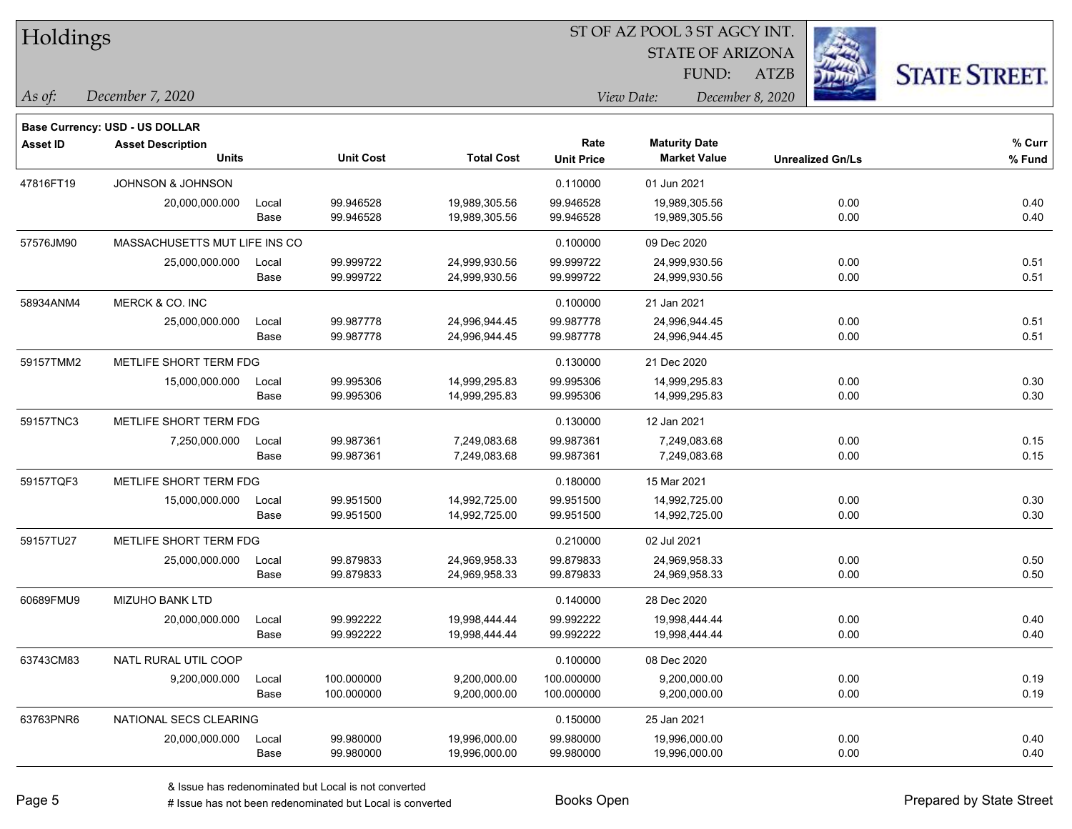| Holdings |
|----------|
|----------|

STATE OF ARIZONA

ATZB



**Base Currency: USD - US DOLLAR**

*December 7, 2020 As of: View Date: December 8, 2020* FUND:

| <b>Asset ID</b> | <b>Asset Description</b><br><b>Units</b> |       | <b>Unit Cost</b> | <b>Total Cost</b> | Rate              | <b>Maturity Date</b><br><b>Market Value</b> |                         | % Curr |
|-----------------|------------------------------------------|-------|------------------|-------------------|-------------------|---------------------------------------------|-------------------------|--------|
|                 |                                          |       |                  |                   | <b>Unit Price</b> |                                             | <b>Unrealized Gn/Ls</b> | % Fund |
| 47816FT19       | <b>JOHNSON &amp; JOHNSON</b>             |       |                  |                   | 0.110000          | 01 Jun 2021                                 |                         |        |
|                 | 20,000,000.000                           | Local | 99.946528        | 19,989,305.56     | 99.946528         | 19,989,305.56                               | 0.00                    | 0.40   |
|                 |                                          | Base  | 99.946528        | 19,989,305.56     | 99.946528         | 19,989,305.56                               | 0.00                    | 0.40   |
| 57576JM90       | MASSACHUSETTS MUT LIFE INS CO            |       |                  | 0.100000          | 09 Dec 2020       |                                             |                         |        |
|                 | 25,000,000.000                           | Local | 99.999722        | 24,999,930.56     | 99.999722         | 24,999,930.56                               | 0.00                    | 0.51   |
|                 |                                          | Base  | 99.999722        | 24,999,930.56     | 99.999722         | 24,999,930.56                               | 0.00                    | 0.51   |
| 58934ANM4       | MERCK & CO. INC                          |       |                  |                   | 0.100000          | 21 Jan 2021                                 |                         |        |
|                 | 25,000,000.000                           | Local | 99.987778        | 24,996,944.45     | 99.987778         | 24,996,944.45                               | 0.00                    | 0.51   |
|                 |                                          | Base  | 99.987778        | 24,996,944.45     | 99.987778         | 24,996,944.45                               | 0.00                    | 0.51   |
| 59157TMM2       | METLIFE SHORT TERM FDG                   |       |                  |                   | 0.130000          | 21 Dec 2020                                 |                         |        |
|                 | 15,000,000.000                           | Local | 99.995306        | 14,999,295.83     | 99.995306         | 14,999,295.83                               | 0.00                    | 0.30   |
|                 |                                          | Base  | 99.995306        | 14,999,295.83     | 99.995306         | 14,999,295.83                               | 0.00                    | 0.30   |
| 59157TNC3       | METLIFE SHORT TERM FDG                   |       |                  |                   | 0.130000          | 12 Jan 2021                                 |                         |        |
|                 | 7,250,000.000                            | Local | 99.987361        | 7,249,083.68      | 99.987361         | 7,249,083.68                                | 0.00                    | 0.15   |
|                 |                                          | Base  | 99.987361        | 7,249,083.68      | 99.987361         | 7,249,083.68                                | 0.00                    | 0.15   |
| 59157TQF3       | METLIFE SHORT TERM FDG                   |       |                  |                   | 0.180000          | 15 Mar 2021                                 |                         |        |
|                 | 15,000,000.000                           | Local | 99.951500        | 14,992,725.00     | 99.951500         | 14,992,725.00                               | 0.00                    | 0.30   |
|                 |                                          | Base  | 99.951500        | 14,992,725.00     | 99.951500         | 14,992,725.00                               | 0.00                    | 0.30   |
| 59157TU27       | METLIFE SHORT TERM FDG                   |       |                  |                   | 0.210000          | 02 Jul 2021                                 |                         |        |
|                 | 25,000,000.000                           | Local | 99.879833        | 24,969,958.33     | 99.879833         | 24,969,958.33                               | 0.00                    | 0.50   |
|                 |                                          | Base  | 99.879833        | 24,969,958.33     | 99.879833         | 24,969,958.33                               | 0.00                    | 0.50   |
| 60689FMU9       | <b>MIZUHO BANK LTD</b>                   |       |                  |                   | 0.140000          | 28 Dec 2020                                 |                         |        |
|                 | 20,000,000.000                           | Local | 99.992222        | 19,998,444.44     | 99.992222         | 19,998,444.44                               | 0.00                    | 0.40   |
|                 |                                          | Base  | 99.992222        | 19,998,444.44     | 99.992222         | 19,998,444.44                               | 0.00                    | 0.40   |
| 63743CM83       | NATL RURAL UTIL COOP                     |       |                  |                   | 0.100000          | 08 Dec 2020                                 |                         |        |
|                 | 9,200,000.000                            | Local | 100.000000       | 9,200,000.00      | 100.000000        | 9,200,000.00                                | 0.00                    | 0.19   |
|                 |                                          | Base  | 100.000000       | 9,200,000.00      | 100.000000        | 9,200,000.00                                | 0.00                    | 0.19   |
| 63763PNR6       | NATIONAL SECS CLEARING                   |       |                  |                   | 0.150000          | 25 Jan 2021                                 |                         |        |
|                 | 20,000,000.000                           | Local | 99.980000        | 19,996,000.00     | 99.980000         | 19,996,000.00                               | 0.00                    | 0.40   |
|                 |                                          | Base  | 99.980000        | 19,996,000.00     | 99.980000         | 19,996,000.00                               | 0.00                    | 0.40   |

A ISSUE ISSUE ISSUE ISSUE ISSUE ISSUE ISSUE ISSUE ISSUE ISSUE ISSUE ISSUE ISSUE ISSUE ISSUE ISSUE ISSUE ISSUE I<br>
# Issue has not been redenominated but Local is converted **BOOKS** Open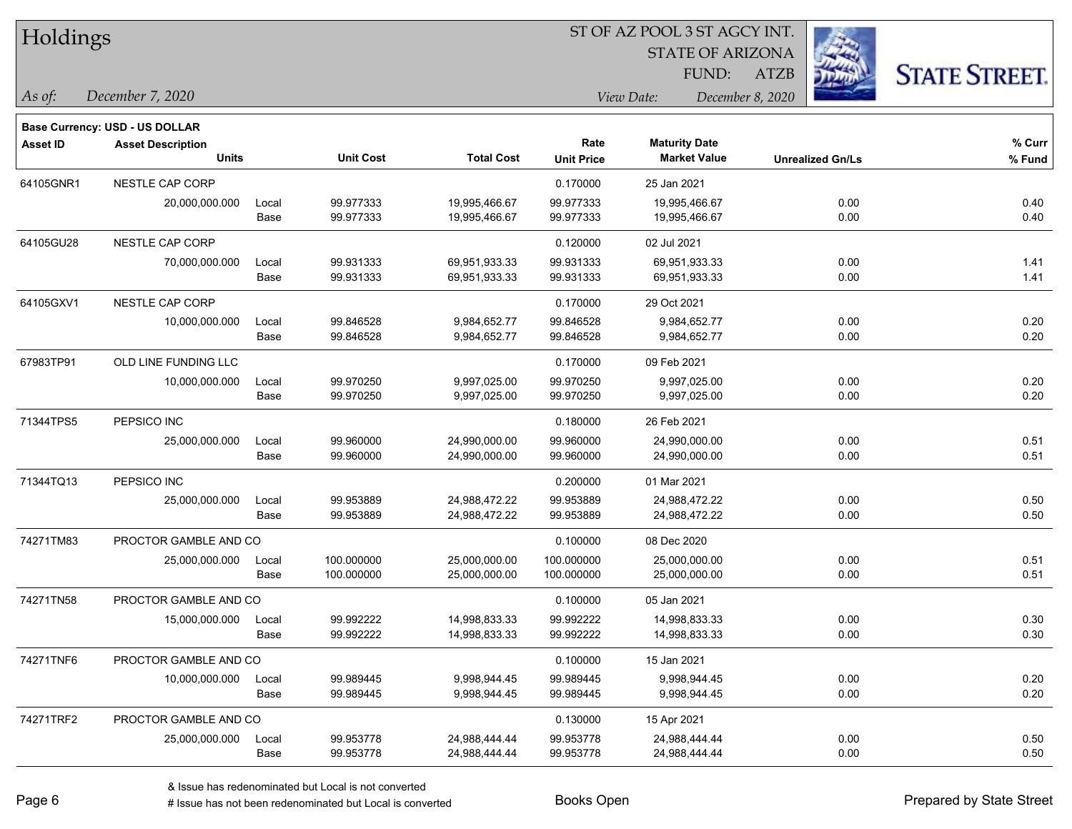| Holdings        |                                                            |       |                  | ST OF AZ POOL 3 ST AGCY INT. |                   |                         |                         |                      |  |  |
|-----------------|------------------------------------------------------------|-------|------------------|------------------------------|-------------------|-------------------------|-------------------------|----------------------|--|--|
|                 |                                                            |       |                  |                              |                   | <b>STATE OF ARIZONA</b> |                         |                      |  |  |
|                 |                                                            |       |                  |                              |                   | FUND:                   | <b>ATZB</b>             | <b>STATE STREET.</b> |  |  |
| As of:          | December 7, 2020                                           |       |                  |                              |                   | View Date:              | December 8, 2020        |                      |  |  |
|                 |                                                            |       |                  |                              |                   |                         |                         |                      |  |  |
| <b>Asset ID</b> | Base Currency: USD - US DOLLAR<br><b>Asset Description</b> |       |                  |                              | Rate              | <b>Maturity Date</b>    |                         | % Curr               |  |  |
|                 | <b>Units</b>                                               |       | <b>Unit Cost</b> | <b>Total Cost</b>            | <b>Unit Price</b> | <b>Market Value</b>     | <b>Unrealized Gn/Ls</b> | % Fund               |  |  |
| 64105GNR1       | NESTLE CAP CORP                                            |       |                  |                              | 0.170000          | 25 Jan 2021             |                         |                      |  |  |
|                 | 20,000,000.000                                             | Local | 99.977333        | 19,995,466.67                | 99.977333         | 19,995,466.67           | 0.00                    | 0.40                 |  |  |
|                 |                                                            | Base  | 99.977333        | 19,995,466.67                | 99.977333         | 19,995,466.67           | 0.00                    | 0.40                 |  |  |
| 64105GU28       | NESTLE CAP CORP                                            |       |                  |                              | 0.120000          | 02 Jul 2021             |                         |                      |  |  |
|                 | 70,000,000.000                                             | Local | 99.931333        | 69,951,933.33                | 99.931333         | 69,951,933.33           | 0.00                    | 1.41                 |  |  |
|                 |                                                            | Base  | 99.931333        | 69,951,933.33                | 99.931333         | 69,951,933.33           | 0.00                    | 1.41                 |  |  |
| 64105GXV1       | NESTLE CAP CORP                                            |       |                  |                              | 0.170000          | 29 Oct 2021             |                         |                      |  |  |
|                 | 10,000,000.000                                             | Local | 99.846528        | 9,984,652.77                 | 99.846528         | 9,984,652.77            | 0.00                    | 0.20                 |  |  |
|                 |                                                            | Base  | 99.846528        | 9,984,652.77                 | 99.846528         | 9,984,652.77            | 0.00                    | 0.20                 |  |  |
| 67983TP91       | OLD LINE FUNDING LLC                                       |       |                  |                              | 0.170000          | 09 Feb 2021             |                         |                      |  |  |
|                 | 10,000,000.000                                             | Local | 99.970250        | 9,997,025.00                 | 99.970250         | 9,997,025.00            | 0.00                    | 0.20                 |  |  |
|                 |                                                            | Base  | 99.970250        | 9,997,025.00                 | 99.970250         | 9,997,025.00            | 0.00                    | 0.20                 |  |  |
| 71344TPS5       | PEPSICO INC                                                |       |                  |                              | 0.180000          | 26 Feb 2021             |                         |                      |  |  |
|                 | 25,000,000.000                                             | Local | 99.960000        | 24,990,000.00                | 99.960000         | 24,990,000.00           | 0.00                    | 0.51                 |  |  |
|                 |                                                            | Base  | 99.960000        | 24,990,000.00                | 99.960000         | 24,990,000.00           | 0.00                    | 0.51                 |  |  |
| 71344TQ13       | PEPSICO INC                                                |       |                  |                              | 0.200000          | 01 Mar 2021             |                         |                      |  |  |
|                 | 25,000,000.000                                             | Local | 99.953889        | 24,988,472.22                | 99.953889         | 24,988,472.22           | 0.00                    | 0.50                 |  |  |
|                 |                                                            | Base  | 99.953889        | 24,988,472.22                | 99.953889         | 24,988,472.22           | 0.00                    | 0.50                 |  |  |
| 74271TM83       | PROCTOR GAMBLE AND CO                                      |       |                  |                              | 0.100000          | 08 Dec 2020             |                         |                      |  |  |
|                 | 25,000,000.000                                             | Local | 100.000000       | 25,000,000.00                | 100.000000        | 25,000,000.00           | 0.00                    | 0.51                 |  |  |
|                 |                                                            | Base  | 100.000000       | 25,000,000.00                | 100.000000        | 25,000,000.00           | 0.00                    | 0.51                 |  |  |
| 74271TN58       | PROCTOR GAMBLE AND CO                                      |       |                  |                              | 0.100000          | 05 Jan 2021             |                         |                      |  |  |
|                 | 15,000,000.000                                             | Local | 99.992222        | 14,998,833.33                | 99.992222         | 14,998,833.33           | 0.00                    | 0.30                 |  |  |
|                 |                                                            | Base  | 99.992222        | 14,998,833.33                | 99.992222         | 14,998,833.33           | 0.00                    | 0.30                 |  |  |
| 74271TNF6       | PROCTOR GAMBLE AND CO                                      |       |                  |                              | 0.100000          | 15 Jan 2021             |                         |                      |  |  |
|                 | 10,000,000.000                                             | Local | 99.989445        | 9,998,944.45                 | 99.989445         | 9,998,944.45            | 0.00                    | 0.20                 |  |  |
|                 |                                                            | Base  | 99.989445        | 9,998,944.45                 | 99.989445         | 9,998,944.45            | 0.00                    | 0.20                 |  |  |
| 74271TRF2       | PROCTOR GAMBLE AND CO                                      |       |                  |                              | 0.130000          | 15 Apr 2021             |                         |                      |  |  |
|                 | 25,000,000.000                                             | Local | 99.953778        | 24,988,444.44                | 99.953778         | 24,988,444.44           | 0.00                    | 0.50                 |  |  |
|                 |                                                            | Base  | 99.953778        | 24,988,444.44                | 99.953778         | 24,988,444.44           | 0.00                    | 0.50                 |  |  |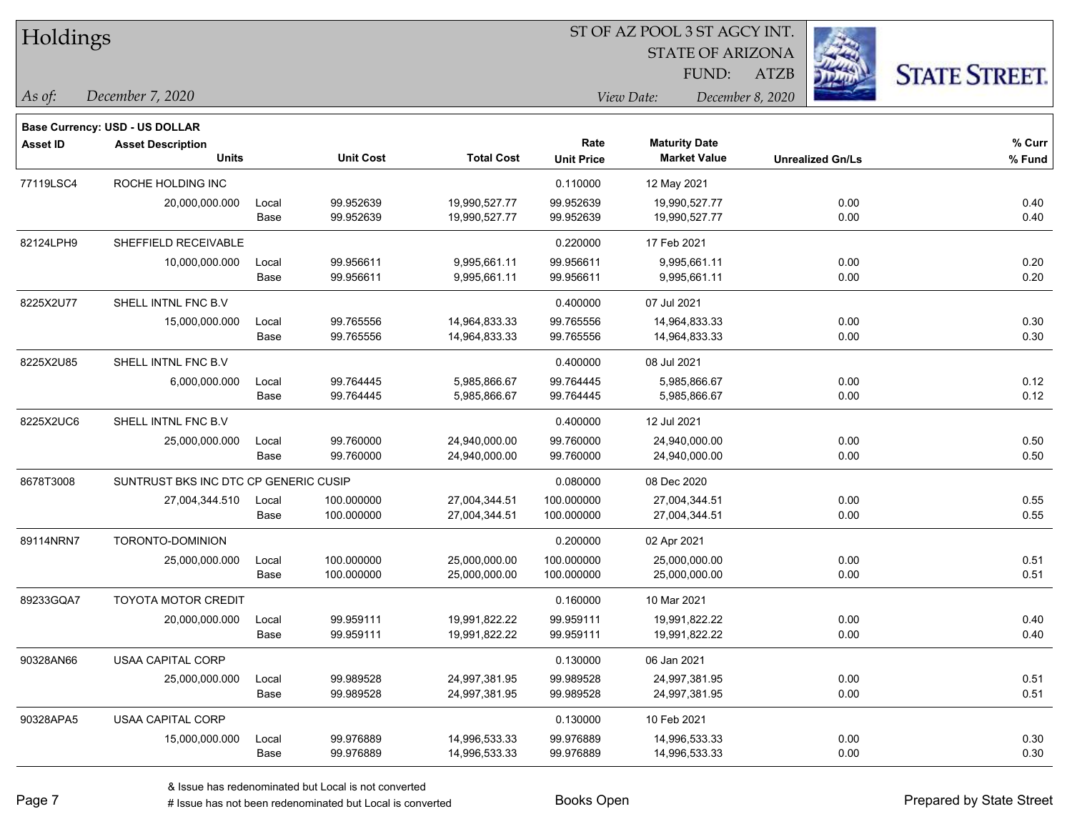|          | <b>Base Currency: USD - US DOLLAR</b> |  |  |
|----------|---------------------------------------|--|--|
|          | As of: December 7, 2020               |  |  |
| Holdings |                                       |  |  |

STATE OF ARIZONA FUND:

ATZB



*As of: View Date: December 8, 2020*

| Asset ID  | <b>Asset Description</b><br><b>Units</b> |       | <b>Unit Cost</b> | <b>Total Cost</b> | Rate<br><b>Unit Price</b> | <b>Maturity Date</b><br><b>Market Value</b> | <b>Unrealized Gn/Ls</b> | % Curr<br>% Fund |
|-----------|------------------------------------------|-------|------------------|-------------------|---------------------------|---------------------------------------------|-------------------------|------------------|
| 77119LSC4 | ROCHE HOLDING INC                        |       |                  |                   | 0.110000                  | 12 May 2021                                 |                         |                  |
|           | 20,000,000.000                           | Local | 99.952639        | 19,990,527.77     | 99.952639                 | 19,990,527.77                               | 0.00                    | 0.40             |
|           |                                          | Base  | 99.952639        | 19,990,527.77     | 99.952639                 | 19,990,527.77                               | 0.00                    | 0.40             |
| 82124LPH9 | SHEFFIELD RECEIVABLE                     |       |                  |                   | 0.220000                  | 17 Feb 2021                                 |                         |                  |
|           | 10,000,000.000                           | Local | 99.956611        | 9,995,661.11      | 99.956611                 | 9,995,661.11                                | 0.00                    | 0.20             |
|           |                                          | Base  | 99.956611        | 9,995,661.11      | 99.956611                 | 9,995,661.11                                | 0.00                    | 0.20             |
| 8225X2U77 | SHELL INTNL FNC B.V                      |       |                  |                   | 0.400000                  | 07 Jul 2021                                 |                         |                  |
|           | 15,000,000.000                           | Local | 99.765556        | 14,964,833.33     | 99.765556                 | 14,964,833.33                               | 0.00                    | 0.30             |
|           |                                          | Base  | 99.765556        | 14,964,833.33     | 99.765556                 | 14,964,833.33                               | 0.00                    | 0.30             |
| 8225X2U85 | SHELL INTNL FNC B.V                      |       |                  |                   | 0.400000                  | 08 Jul 2021                                 |                         |                  |
|           | 6,000,000.000                            | Local | 99.764445        | 5,985,866.67      | 99.764445                 | 5,985,866.67                                | 0.00                    | 0.12             |
|           |                                          | Base  | 99.764445        | 5,985,866.67      | 99.764445                 | 5,985,866.67                                | 0.00                    | 0.12             |
| 8225X2UC6 | SHELL INTNL FNC B.V                      |       |                  |                   | 0.400000                  | 12 Jul 2021                                 |                         |                  |
|           | 25,000,000.000                           | Local | 99.760000        | 24,940,000.00     | 99.760000                 | 24,940,000.00                               | 0.00                    | 0.50             |
|           |                                          | Base  | 99.760000        | 24,940,000.00     | 99.760000                 | 24,940,000.00                               | 0.00                    | 0.50             |
| 8678T3008 | SUNTRUST BKS INC DTC CP GENERIC CUSIP    |       |                  |                   | 0.080000                  | 08 Dec 2020                                 |                         |                  |
|           | 27,004,344.510                           | Local | 100.000000       | 27,004,344.51     | 100.000000                | 27,004,344.51                               | 0.00                    | 0.55             |
|           |                                          | Base  | 100.000000       | 27,004,344.51     | 100.000000                | 27,004,344.51                               | 0.00                    | 0.55             |
| 89114NRN7 | TORONTO-DOMINION                         |       |                  |                   | 0.200000                  | 02 Apr 2021                                 |                         |                  |
|           | 25,000,000.000                           | Local | 100.000000       | 25,000,000.00     | 100.000000                | 25,000,000.00                               | 0.00                    | 0.51             |
|           |                                          | Base  | 100.000000       | 25,000,000.00     | 100.000000                | 25,000,000.00                               | 0.00                    | 0.51             |
| 89233GQA7 | <b>TOYOTA MOTOR CREDIT</b>               |       |                  |                   | 0.160000                  | 10 Mar 2021                                 |                         |                  |
|           | 20,000,000.000                           | Local | 99.959111        | 19,991,822.22     | 99.959111                 | 19,991,822.22                               | 0.00                    | 0.40             |
|           |                                          | Base  | 99.959111        | 19,991,822.22     | 99.959111                 | 19,991,822.22                               | 0.00                    | 0.40             |
| 90328AN66 | <b>USAA CAPITAL CORP</b>                 |       |                  |                   | 0.130000                  | 06 Jan 2021                                 |                         |                  |
|           | 25,000,000.000                           | Local | 99.989528        | 24,997,381.95     | 99.989528                 | 24,997,381.95                               | 0.00                    | 0.51             |
|           |                                          | Base  | 99.989528        | 24,997,381.95     | 99.989528                 | 24,997,381.95                               | 0.00                    | 0.51             |
| 90328APA5 | USAA CAPITAL CORP                        |       |                  |                   | 0.130000                  | 10 Feb 2021                                 |                         |                  |
|           | 15,000,000.000                           | Local | 99.976889        | 14,996,533.33     | 99.976889                 | 14,996,533.33                               | 0.00                    | 0.30             |
|           |                                          | Base  | 99.976889        | 14,996,533.33     | 99.976889                 | 14,996,533.33                               | 0.00                    | 0.30             |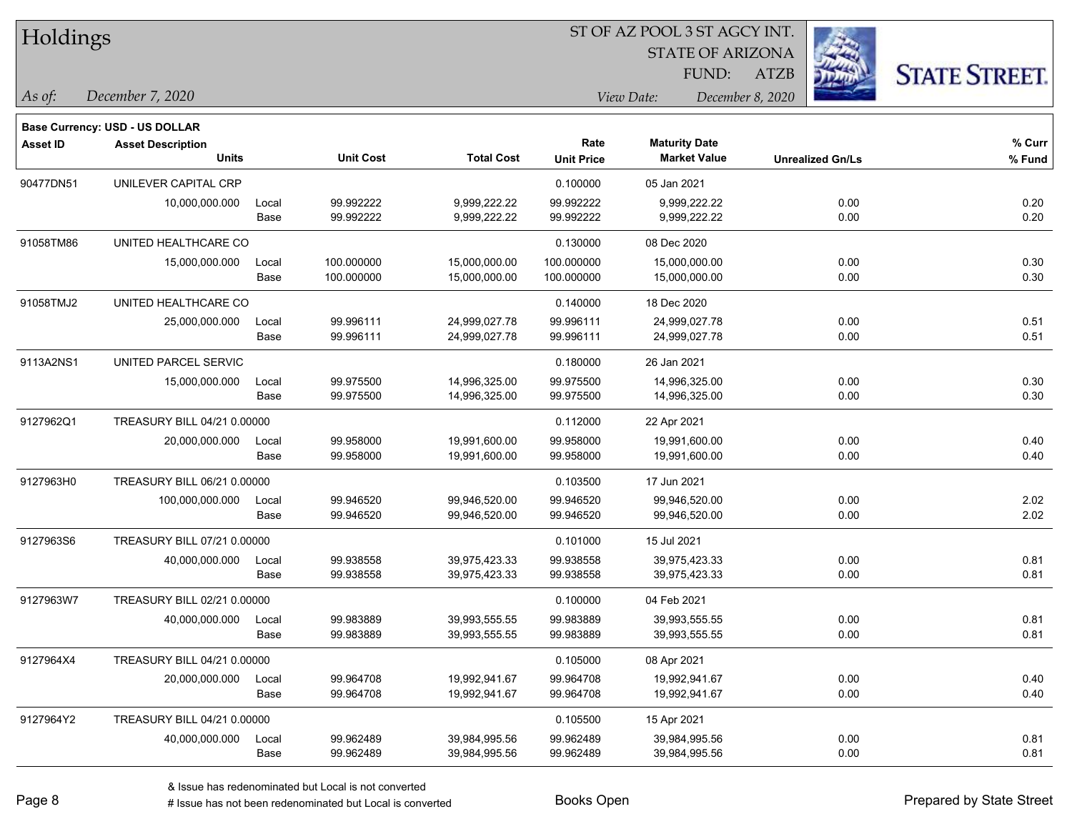| Holdings        |                                       |       |                  | ST OF AZ POOL 3 ST AGCY INT. |                   |                         |                         |                      |  |  |
|-----------------|---------------------------------------|-------|------------------|------------------------------|-------------------|-------------------------|-------------------------|----------------------|--|--|
|                 |                                       |       |                  |                              |                   | <b>STATE OF ARIZONA</b> |                         |                      |  |  |
|                 |                                       |       |                  |                              |                   | FUND:                   | <b>ATZB</b>             | <b>STATE STREET.</b> |  |  |
| As of:          | December 7, 2020                      |       |                  |                              |                   | View Date:              | December 8, 2020        |                      |  |  |
|                 | <b>Base Currency: USD - US DOLLAR</b> |       |                  |                              |                   |                         |                         |                      |  |  |
| <b>Asset ID</b> | <b>Asset Description</b>              |       |                  |                              | Rate              | <b>Maturity Date</b>    |                         | % Curr               |  |  |
|                 | <b>Units</b>                          |       | <b>Unit Cost</b> | <b>Total Cost</b>            | <b>Unit Price</b> | <b>Market Value</b>     | <b>Unrealized Gn/Ls</b> | % Fund               |  |  |
| 90477DN51       | UNILEVER CAPITAL CRP                  |       |                  |                              | 0.100000          | 05 Jan 2021             |                         |                      |  |  |
|                 | 10,000,000.000                        | Local | 99.992222        | 9,999,222.22                 | 99.992222         | 9,999,222.22            | 0.00                    | 0.20                 |  |  |
|                 |                                       | Base  | 99.992222        | 9,999,222.22                 | 99.992222         | 9,999,222.22            | 0.00                    | 0.20                 |  |  |
| 91058TM86       | UNITED HEALTHCARE CO                  |       |                  |                              | 0.130000          | 08 Dec 2020             |                         |                      |  |  |
|                 | 15,000,000.000                        | Local | 100.000000       | 15,000,000.00                | 100.000000        | 15,000,000.00           | 0.00                    | 0.30                 |  |  |
|                 |                                       | Base  | 100.000000       | 15,000,000.00                | 100.000000        | 15,000,000.00           | 0.00                    | 0.30                 |  |  |
| 91058TMJ2       | UNITED HEALTHCARE CO                  |       |                  |                              | 0.140000          | 18 Dec 2020             |                         |                      |  |  |
|                 | 25,000,000.000                        | Local | 99.996111        | 24,999,027.78                | 99.996111         | 24,999,027.78           | 0.00                    | 0.51                 |  |  |
|                 |                                       | Base  | 99.996111        | 24,999,027.78                | 99.996111         | 24,999,027.78           | 0.00                    | 0.51                 |  |  |
| 9113A2NS1       | UNITED PARCEL SERVIC                  |       |                  |                              | 0.180000          | 26 Jan 2021             |                         |                      |  |  |
|                 | 15,000,000.000                        | Local | 99.975500        | 14,996,325.00                | 99.975500         | 14,996,325.00           | 0.00                    | 0.30                 |  |  |
|                 |                                       | Base  | 99.975500        | 14,996,325.00                | 99.975500         | 14,996,325.00           | 0.00                    | 0.30                 |  |  |
| 9127962Q1       | TREASURY BILL 04/21 0.00000           |       |                  |                              | 0.112000          | 22 Apr 2021             |                         |                      |  |  |
|                 | 20,000,000.000                        | Local | 99.958000        | 19,991,600.00                | 99.958000         | 19,991,600.00           | 0.00                    | 0.40                 |  |  |
|                 |                                       | Base  | 99.958000        | 19,991,600.00                | 99.958000         | 19,991,600.00           | 0.00                    | 0.40                 |  |  |
| 9127963H0       | TREASURY BILL 06/21 0.00000           |       |                  |                              | 0.103500          | 17 Jun 2021             |                         |                      |  |  |
|                 | 100,000,000.000                       | Local | 99.946520        | 99,946,520.00                | 99.946520         | 99,946,520.00           | 0.00                    | 2.02                 |  |  |
|                 |                                       | Base  | 99.946520        | 99,946,520.00                | 99.946520         | 99,946,520.00           | 0.00                    | 2.02                 |  |  |
| 9127963S6       | TREASURY BILL 07/21 0.00000           |       |                  |                              | 0.101000          | 15 Jul 2021             |                         |                      |  |  |
|                 | 40,000,000.000                        | Local | 99.938558        | 39,975,423.33                | 99.938558         | 39,975,423.33           | 0.00                    | 0.81                 |  |  |
|                 |                                       | Base  | 99.938558        | 39,975,423.33                | 99.938558         | 39,975,423.33           | 0.00                    | 0.81                 |  |  |
| 9127963W7       | TREASURY BILL 02/21 0.00000           |       |                  |                              | 0.100000          | 04 Feb 2021             |                         |                      |  |  |
|                 | 40,000,000.000                        | Local | 99.983889        | 39,993,555.55                | 99.983889         | 39,993,555.55           | 0.00                    | 0.81                 |  |  |
|                 |                                       | Base  | 99.983889        | 39,993,555.55                | 99.983889         | 39,993,555.55           | 0.00                    | 0.81                 |  |  |
| 9127964X4       | TREASURY BILL 04/21 0.00000           |       |                  |                              | 0.105000          | 08 Apr 2021             |                         |                      |  |  |
|                 | 20,000,000.000                        | Local | 99.964708        | 19,992,941.67                | 99.964708         | 19,992,941.67           | 0.00                    | 0.40                 |  |  |
|                 |                                       | Base  | 99.964708        | 19,992,941.67                | 99.964708         | 19,992,941.67           | 0.00                    | 0.40                 |  |  |
| 9127964Y2       | TREASURY BILL 04/21 0.00000           |       |                  |                              | 0.105500          | 15 Apr 2021             |                         |                      |  |  |
|                 | 40,000,000.000                        | Local | 99.962489        | 39,984,995.56                | 99.962489         | 39,984,995.56           | 0.00                    | 0.81                 |  |  |
|                 |                                       | Base  | 99.962489        | 39,984,995.56                | 99.962489         | 39,984,995.56           | 0.00                    | 0.81                 |  |  |

L

 $\mathbf{L}$ 

 $\overline{\phantom{a}}$ 

 $\overline{\phantom{a}}$ 

 $\overline{\phantom{a}}$ 

 $\overline{\phantom{a}}$ 

 $\overline{\phantom{0}}$ 

 $\overline{a}$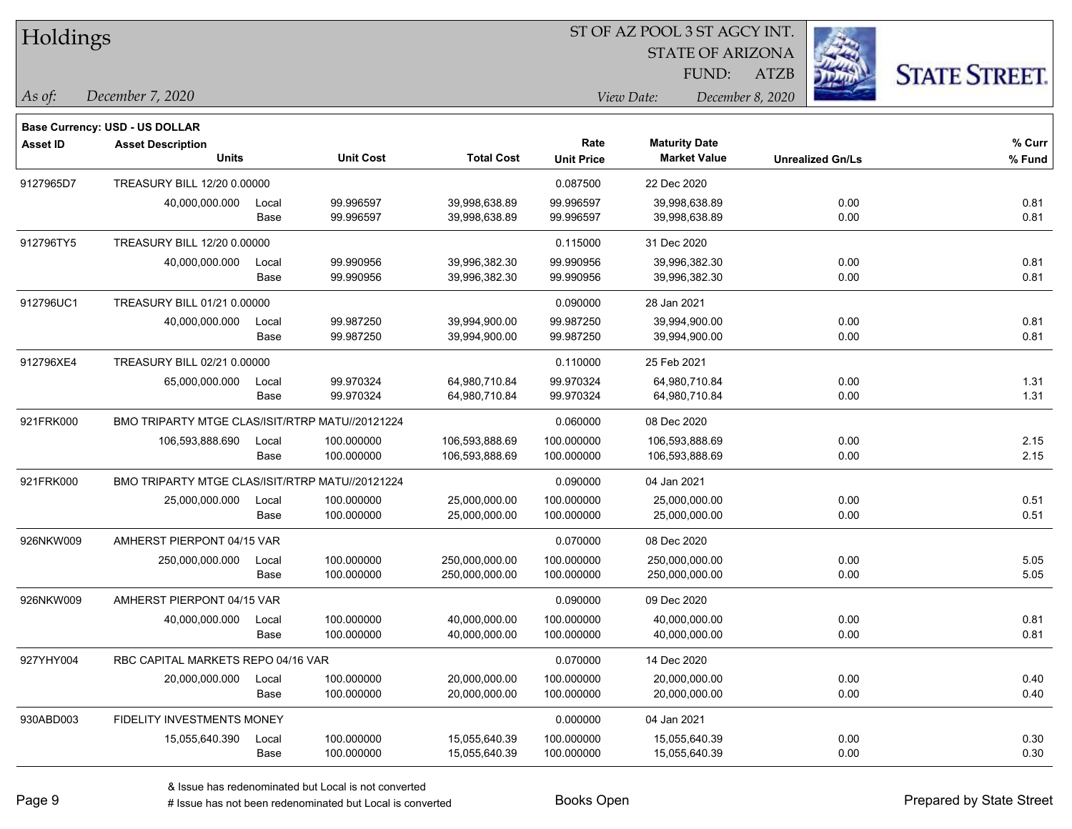| Holdings        |                                          |                                                 |                  |                   |                   | ST OF AZ POOL 3 ST AGCY INT. |                         |      |                      |
|-----------------|------------------------------------------|-------------------------------------------------|------------------|-------------------|-------------------|------------------------------|-------------------------|------|----------------------|
|                 |                                          |                                                 |                  |                   |                   |                              |                         |      |                      |
|                 |                                          |                                                 |                  |                   |                   | FUND:                        | <b>ATZB</b>             |      | <b>STATE STREET.</b> |
| $\vert$ As of:  | December 7, 2020                         |                                                 |                  |                   |                   | View Date:                   | December 8, 2020        |      |                      |
|                 |                                          |                                                 |                  |                   |                   |                              |                         |      |                      |
|                 | Base Currency: USD - US DOLLAR           |                                                 |                  |                   | Rate              | <b>Maturity Date</b>         |                         |      | % Curr               |
| <b>Asset ID</b> | <b>Asset Description</b><br><b>Units</b> |                                                 | <b>Unit Cost</b> | <b>Total Cost</b> | <b>Unit Price</b> | <b>Market Value</b>          | <b>Unrealized Gn/Ls</b> |      | % Fund               |
| 9127965D7       | TREASURY BILL 12/20 0.00000              |                                                 |                  |                   | 0.087500          | 22 Dec 2020                  |                         |      |                      |
|                 | 40,000,000.000                           | Local                                           | 99.996597        | 39,998,638.89     | 99.996597         | 39,998,638.89                |                         | 0.00 | 0.81                 |
|                 |                                          | Base                                            | 99.996597        | 39,998,638.89     | 99.996597         | 39,998,638.89                |                         | 0.00 | 0.81                 |
| 912796TY5       | TREASURY BILL 12/20 0.00000              |                                                 |                  |                   | 0.115000          | 31 Dec 2020                  |                         |      |                      |
|                 | 40,000,000.000                           | Local                                           | 99.990956        | 39,996,382.30     | 99.990956         | 39,996,382.30                |                         | 0.00 | 0.81                 |
|                 |                                          | Base                                            | 99.990956        | 39,996,382.30     | 99.990956         | 39,996,382.30                |                         | 0.00 | 0.81                 |
| 912796UC1       | TREASURY BILL 01/21 0.00000              |                                                 |                  |                   | 0.090000          | 28 Jan 2021                  |                         |      |                      |
|                 | 40,000,000.000                           | Local                                           | 99.987250        | 39,994,900.00     | 99.987250         | 39,994,900.00                |                         | 0.00 | 0.81                 |
|                 |                                          | Base                                            | 99.987250        | 39,994,900.00     | 99.987250         | 39,994,900.00                |                         | 0.00 | 0.81                 |
| 912796XE4       | TREASURY BILL 02/21 0.00000              |                                                 |                  |                   | 0.110000          | 25 Feb 2021                  |                         |      |                      |
|                 | 65,000,000.000                           | Local                                           | 99.970324        | 64,980,710.84     | 99.970324         | 64,980,710.84                |                         | 0.00 | 1.31                 |
|                 |                                          | Base                                            | 99.970324        | 64,980,710.84     | 99.970324         | 64,980,710.84                |                         | 0.00 | 1.31                 |
| 921FRK000       |                                          | BMO TRIPARTY MTGE CLAS/ISIT/RTRP MATU//20121224 |                  |                   | 0.060000          | 08 Dec 2020                  |                         |      |                      |
|                 | 106,593,888.690                          | Local                                           | 100.000000       | 106,593,888.69    | 100.000000        | 106,593,888.69               |                         | 0.00 | 2.15                 |
|                 |                                          | Base                                            | 100.000000       | 106,593,888.69    | 100.000000        | 106,593,888.69               |                         | 0.00 | 2.15                 |
| 921FRK000       |                                          | BMO TRIPARTY MTGE CLAS/ISIT/RTRP MATU//20121224 |                  |                   | 0.090000          | 04 Jan 2021                  |                         |      |                      |
|                 | 25,000,000.000                           | Local                                           | 100.000000       | 25,000,000.00     | 100.000000        | 25,000,000.00                |                         | 0.00 | 0.51                 |
|                 |                                          | Base                                            | 100.000000       | 25,000,000.00     | 100.000000        | 25,000,000.00                |                         | 0.00 | 0.51                 |
| 926NKW009       | AMHERST PIERPONT 04/15 VAR               |                                                 |                  |                   | 0.070000          | 08 Dec 2020                  |                         |      |                      |
|                 | 250,000,000.000                          | Local                                           | 100.000000       | 250,000,000.00    | 100.000000        | 250,000,000.00               |                         | 0.00 | 5.05                 |
|                 |                                          | Base                                            | 100.000000       | 250,000,000.00    | 100.000000        | 250,000,000.00               |                         | 0.00 | 5.05                 |
| 926NKW009       | AMHERST PIERPONT 04/15 VAR               |                                                 |                  |                   | 0.090000          | 09 Dec 2020                  |                         |      |                      |
|                 | 40,000,000.000                           | Local                                           | 100.000000       | 40,000,000.00     | 100.000000        | 40,000,000.00                |                         | 0.00 | 0.81                 |
|                 |                                          | Base                                            | 100.000000       | 40,000,000.00     | 100.000000        | 40,000,000.00                |                         | 0.00 | 0.81                 |
| 927YHY004       | RBC CAPITAL MARKETS REPO 04/16 VAR       |                                                 |                  |                   | 0.070000          | 14 Dec 2020                  |                         |      |                      |
|                 | 20,000,000.000                           | Local                                           | 100.000000       | 20,000,000.00     | 100.000000        | 20,000,000.00                |                         | 0.00 | 0.40                 |
|                 |                                          | Base                                            | 100.000000       | 20,000,000.00     | 100.000000        | 20,000,000.00                |                         | 0.00 | 0.40                 |
| 930ABD003       | FIDELITY INVESTMENTS MONEY               |                                                 |                  |                   | 0.000000          | 04 Jan 2021                  |                         |      |                      |
|                 | 15,055,640.390                           | Local                                           | 100.000000       | 15,055,640.39     | 100.000000        | 15,055,640.39                |                         | 0.00 | 0.30                 |
|                 |                                          | Base                                            | 100.000000       | 15,055,640.39     | 100.000000        | 15,055,640.39                |                         | 0.00 | 0.30                 |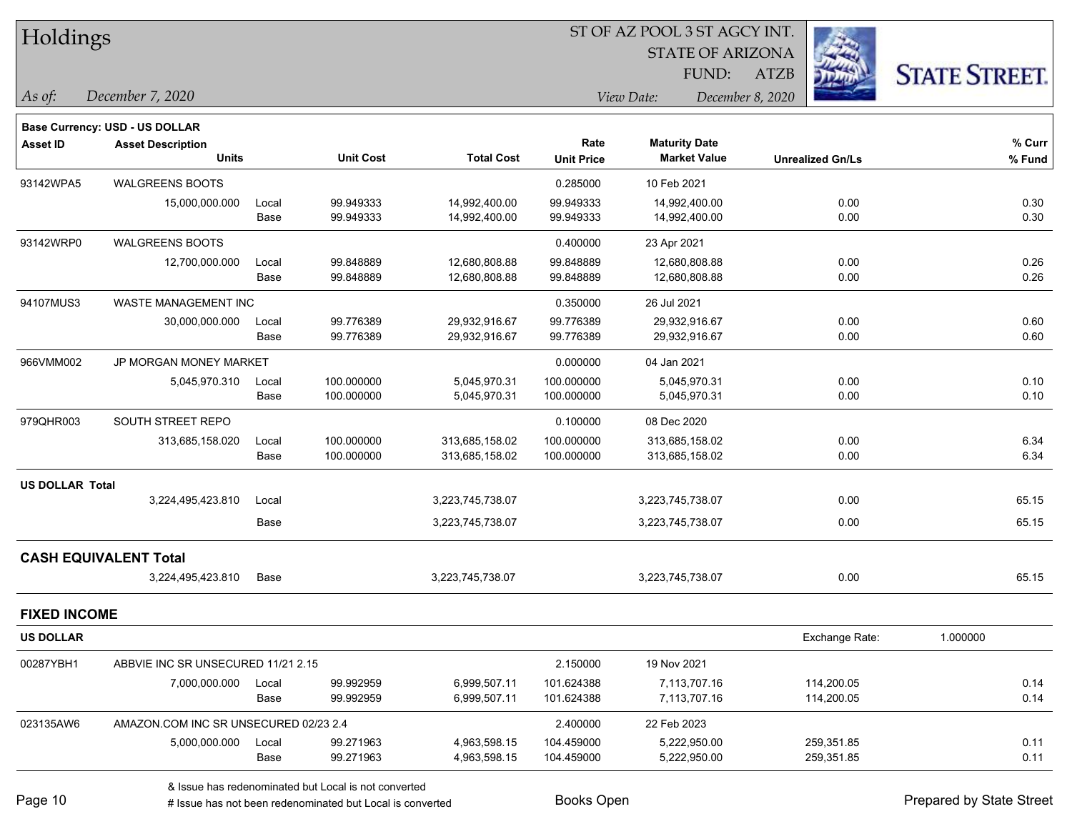| Holdings |
|----------|
|----------|

STATE OF ARIZONA

ATZB



*December 7, 2020 As of: View Date: December 8, 2020*

FUND:

|                        | <b>Base Currency: USD - US DOLLAR</b> |       |                  |                   |                   |                      |                         |          |
|------------------------|---------------------------------------|-------|------------------|-------------------|-------------------|----------------------|-------------------------|----------|
| <b>Asset ID</b>        | <b>Asset Description</b>              |       |                  |                   | Rate              | <b>Maturity Date</b> |                         | % Curr   |
|                        | <b>Units</b>                          |       | <b>Unit Cost</b> | <b>Total Cost</b> | <b>Unit Price</b> | <b>Market Value</b>  | <b>Unrealized Gn/Ls</b> | % Fund   |
| 93142WPA5              | <b>WALGREENS BOOTS</b>                |       |                  |                   | 0.285000          | 10 Feb 2021          |                         |          |
|                        | 15,000,000.000                        | Local | 99.949333        | 14,992,400.00     | 99.949333         | 14,992,400.00        | 0.00                    | 0.30     |
|                        |                                       | Base  | 99.949333        | 14,992,400.00     | 99.949333         | 14,992,400.00        | 0.00                    | 0.30     |
| 93142WRP0              | <b>WALGREENS BOOTS</b>                |       |                  |                   | 0.400000          | 23 Apr 2021          |                         |          |
|                        | 12,700,000.000                        | Local | 99.848889        | 12,680,808.88     | 99.848889         | 12,680,808.88        | 0.00                    | 0.26     |
|                        |                                       | Base  | 99.848889        | 12,680,808.88     | 99.848889         | 12,680,808.88        | 0.00                    | 0.26     |
| 94107MUS3              | <b>WASTE MANAGEMENT INC</b>           |       |                  |                   | 0.350000          | 26 Jul 2021          |                         |          |
|                        | 30,000,000.000                        | Local | 99.776389        | 29,932,916.67     | 99.776389         | 29,932,916.67        | 0.00                    | 0.60     |
|                        |                                       | Base  | 99.776389        | 29,932,916.67     | 99.776389         | 29,932,916.67        | 0.00                    | 0.60     |
| 966VMM002              | JP MORGAN MONEY MARKET                |       |                  | 0.000000          | 04 Jan 2021       |                      |                         |          |
|                        | 5,045,970.310                         | Local | 100.000000       | 5,045,970.31      | 100.000000        | 5,045,970.31         | 0.00                    | 0.10     |
|                        |                                       | Base  | 100.000000       | 5,045,970.31      | 100.000000        | 5,045,970.31         | 0.00                    | 0.10     |
| 979QHR003              | SOUTH STREET REPO                     |       |                  |                   | 0.100000          | 08 Dec 2020          |                         |          |
|                        | 313,685,158.020                       | Local | 100.000000       | 313,685,158.02    | 100.000000        | 313,685,158.02       | 0.00                    | 6.34     |
|                        |                                       | Base  | 100.000000       | 313,685,158.02    | 100.000000        | 313,685,158.02       | 0.00                    | 6.34     |
| <b>US DOLLAR Total</b> |                                       |       |                  |                   |                   |                      |                         |          |
|                        | 3,224,495,423.810                     | Local |                  | 3,223,745,738.07  |                   | 3,223,745,738.07     | 0.00                    | 65.15    |
|                        |                                       | Base  |                  | 3,223,745,738.07  |                   | 3,223,745,738.07     | 0.00                    | 65.15    |
|                        | <b>CASH EQUIVALENT Total</b>          |       |                  |                   |                   |                      |                         |          |
|                        | 3,224,495,423.810                     | Base  |                  | 3,223,745,738.07  |                   | 3,223,745,738.07     | 0.00                    | 65.15    |
| <b>FIXED INCOME</b>    |                                       |       |                  |                   |                   |                      |                         |          |
| <b>US DOLLAR</b>       |                                       |       |                  |                   |                   |                      | Exchange Rate:          | 1.000000 |
| 00287YBH1              | ABBVIE INC SR UNSECURED 11/21 2.15    |       |                  |                   | 2.150000          | 19 Nov 2021          |                         |          |
|                        | 7,000,000.000                         | Local | 99.992959        | 6,999,507.11      | 101.624388        | 7,113,707.16         | 114,200.05              | 0.14     |
|                        |                                       | Base  | 99.992959        | 6,999,507.11      | 101.624388        | 7,113,707.16         | 114,200.05              | 0.14     |
| 023135AW6              | AMAZON.COM INC SR UNSECURED 02/23 2.4 |       |                  |                   | 2.400000          | 22 Feb 2023          |                         |          |
|                        | 5,000,000.000                         | Local | 99.271963        | 4,963,598.15      | 104.459000        | 5,222,950.00         | 259,351.85              | 0.11     |
|                        |                                       | Base  | 99.271963        | 4,963,598.15      | 104.459000        | 5,222,950.00         | 259,351.85              | 0.11     |

& Issue has redenominated but Local is not converted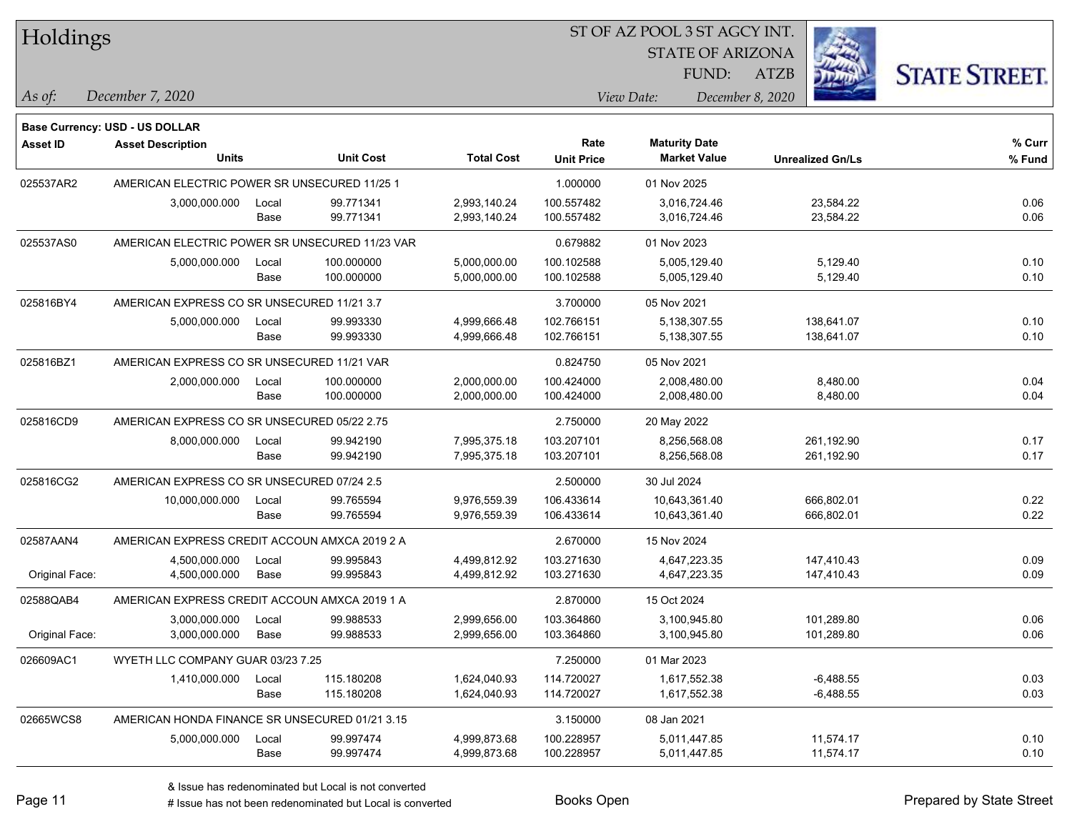| Holdings        |                                                |       |                  |                   |                   | ST OF AZ POOL 3 ST AGCY INT. |                         |                      |
|-----------------|------------------------------------------------|-------|------------------|-------------------|-------------------|------------------------------|-------------------------|----------------------|
|                 |                                                |       |                  |                   |                   | <b>STATE OF ARIZONA</b>      |                         |                      |
|                 |                                                |       |                  |                   |                   | FUND:                        | <b>ATZB</b>             | <b>STATE STREET.</b> |
| As of:          | December 7, 2020                               |       |                  |                   |                   | View Date:                   | December 8, 2020        |                      |
|                 | <b>Base Currency: USD - US DOLLAR</b>          |       |                  |                   |                   |                              |                         |                      |
| <b>Asset ID</b> | <b>Asset Description</b>                       |       |                  |                   | Rate              | <b>Maturity Date</b>         |                         | % Curr               |
|                 | <b>Units</b>                                   |       | <b>Unit Cost</b> | <b>Total Cost</b> | <b>Unit Price</b> | <b>Market Value</b>          | <b>Unrealized Gn/Ls</b> | % Fund               |
| 025537AR2       | AMERICAN ELECTRIC POWER SR UNSECURED 11/25 1   |       |                  |                   | 1.000000          | 01 Nov 2025                  |                         |                      |
|                 | 3,000,000.000                                  | Local | 99.771341        | 2,993,140.24      | 100.557482        | 3,016,724.46                 | 23,584.22               | 0.06                 |
|                 |                                                | Base  | 99.771341        | 2,993,140.24      | 100.557482        | 3,016,724.46                 | 23,584.22               | 0.06                 |
| 025537AS0       | AMERICAN ELECTRIC POWER SR UNSECURED 11/23 VAR |       |                  |                   | 0.679882          | 01 Nov 2023                  |                         |                      |
|                 | 5,000,000.000                                  | Local | 100.000000       | 5,000,000.00      | 100.102588        | 5,005,129.40                 | 5,129.40                | 0.10                 |
|                 |                                                | Base  | 100.000000       | 5,000,000.00      | 100.102588        | 5,005,129.40                 | 5,129.40                | 0.10                 |
| 025816BY4       | AMERICAN EXPRESS CO SR UNSECURED 11/21 3.7     |       |                  |                   | 3.700000          | 05 Nov 2021                  |                         |                      |
|                 | 5,000,000.000                                  | Local | 99.993330        | 4,999,666.48      | 102.766151        | 5,138,307.55                 | 138,641.07              | 0.10                 |
|                 |                                                | Base  | 99.993330        | 4,999,666.48      | 102.766151        | 5,138,307.55                 | 138,641.07              | 0.10                 |
| 025816BZ1       | AMERICAN EXPRESS CO SR UNSECURED 11/21 VAR     |       |                  |                   | 0.824750          | 05 Nov 2021                  |                         |                      |
|                 | 2,000,000.000                                  | Local | 100.000000       | 2,000,000.00      | 100.424000        | 2,008,480.00                 | 8,480.00                | 0.04                 |
|                 |                                                | Base  | 100.000000       | 2,000,000.00      | 100.424000        | 2,008,480.00                 | 8,480.00                | 0.04                 |
| 025816CD9       | AMERICAN EXPRESS CO SR UNSECURED 05/22 2.75    |       |                  |                   | 2.750000          | 20 May 2022                  |                         |                      |
|                 | 8,000,000.000                                  | Local | 99.942190        | 7,995,375.18      | 103.207101        | 8,256,568.08                 | 261,192.90              | 0.17                 |
|                 |                                                | Base  | 99.942190        | 7,995,375.18      | 103.207101        | 8,256,568.08                 | 261,192.90              | 0.17                 |
| 025816CG2       | AMERICAN EXPRESS CO SR UNSECURED 07/24 2.5     |       |                  |                   | 2.500000          | 30 Jul 2024                  |                         |                      |
|                 | 10,000,000.000                                 | Local | 99.765594        | 9,976,559.39      | 106.433614        | 10,643,361.40                | 666,802.01              | 0.22                 |
|                 |                                                | Base  | 99.765594        | 9,976,559.39      | 106.433614        | 10,643,361.40                | 666,802.01              | 0.22                 |
| 02587AAN4       | AMERICAN EXPRESS CREDIT ACCOUN AMXCA 2019 2 A  |       |                  |                   | 2.670000          | 15 Nov 2024                  |                         |                      |
|                 | 4,500,000.000                                  | Local | 99.995843        | 4,499,812.92      | 103.271630        | 4,647,223.35                 | 147,410.43              | 0.09                 |
| Original Face:  | 4,500,000.000                                  | Base  | 99.995843        | 4,499,812.92      | 103.271630        | 4,647,223.35                 | 147,410.43              | 0.09                 |
| 02588QAB4       | AMERICAN EXPRESS CREDIT ACCOUN AMXCA 2019 1 A  |       |                  |                   | 2.870000          | 15 Oct 2024                  |                         |                      |
|                 | 3,000,000.000                                  | Local | 99.988533        | 2,999,656.00      | 103.364860        | 3,100,945.80                 | 101,289.80              | 0.06                 |
| Original Face:  | 3,000,000.000                                  | Base  | 99.988533        | 2,999,656.00      | 103.364860        | 3,100,945.80                 | 101,289.80              | 0.06                 |
| 026609AC1       | WYETH LLC COMPANY GUAR 03/23 7.25              |       |                  |                   | 7.250000          | 01 Mar 2023                  |                         |                      |
|                 | 1,410,000.000                                  | Local | 115.180208       | 1,624,040.93      | 114.720027        | 1,617,552.38                 | $-6,488.55$             | 0.03                 |
|                 |                                                | Base  | 115.180208       | 1,624,040.93      | 114.720027        | 1,617,552.38                 | $-6,488.55$             | 0.03                 |
| 02665WCS8       | AMERICAN HONDA FINANCE SR UNSECURED 01/21 3.15 |       |                  |                   | 3.150000          | 08 Jan 2021                  |                         |                      |
|                 | 5,000,000.000                                  | Local | 99.997474        | 4,999,873.68      | 100.228957        | 5,011,447.85                 | 11,574.17               | 0.10                 |
|                 |                                                | Base  | 99.997474        | 4,999,873.68      | 100.228957        | 5,011,447.85                 | 11,574.17               | 0.10                 |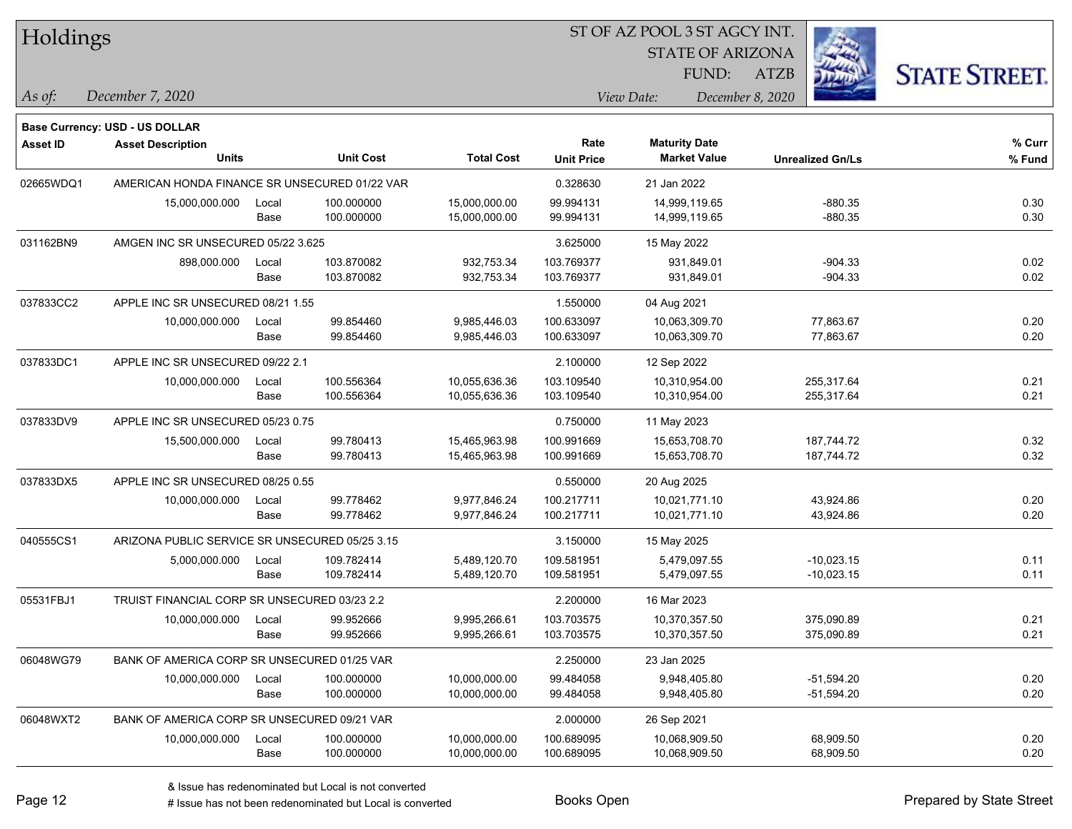| Holdings |  |
|----------|--|
|----------|--|

STATE OF ARIZONA

ATZB



**Base Currency: USD - US DOLLAR**

*December 7, 2020 As of: View Date: December 8, 2020* FUND:

| <b>Asset ID</b> | <b>Asset Description</b><br><b>Units</b>       |               | <b>Unit Cost</b>         | <b>Total Cost</b>              | Rate<br><b>Unit Price</b> | <b>Maturity Date</b><br><b>Market Value</b> | <b>Unrealized Gn/Ls</b>      | $%$ Curr<br>% Fund |
|-----------------|------------------------------------------------|---------------|--------------------------|--------------------------------|---------------------------|---------------------------------------------|------------------------------|--------------------|
| 02665WDQ1       | AMERICAN HONDA FINANCE SR UNSECURED 01/22 VAR  |               |                          |                                | 0.328630                  | 21 Jan 2022                                 |                              |                    |
|                 | 15,000,000.000                                 | Local<br>Base | 100.000000<br>100.000000 | 15,000,000.00<br>15,000,000.00 | 99.994131<br>99.994131    | 14,999,119.65<br>14,999,119.65              | $-880.35$<br>$-880.35$       | 0.30<br>0.30       |
| 031162BN9       | AMGEN INC SR UNSECURED 05/22 3.625             |               |                          | 3.625000                       | 15 May 2022               |                                             |                              |                    |
|                 | 898,000.000                                    | Local<br>Base | 103.870082<br>103.870082 | 932,753.34<br>932,753.34       | 103.769377<br>103.769377  | 931,849.01<br>931,849.01                    | $-904.33$<br>$-904.33$       | 0.02<br>0.02       |
| 037833CC2       | APPLE INC SR UNSECURED 08/21 1.55              |               |                          | 1.550000                       | 04 Aug 2021               |                                             |                              |                    |
|                 | 10,000,000.000                                 | Local<br>Base | 99.854460<br>99.854460   | 9,985,446.03<br>9,985,446.03   | 100.633097<br>100.633097  | 10,063,309.70<br>10,063,309.70              | 77,863.67<br>77,863.67       | 0.20<br>0.20       |
| 037833DC1       | APPLE INC SR UNSECURED 09/22 2.1               |               |                          |                                | 2.100000                  | 12 Sep 2022                                 |                              |                    |
|                 | 10,000,000.000                                 | Local<br>Base | 100.556364<br>100.556364 | 10,055,636.36<br>10,055,636.36 | 103.109540<br>103.109540  | 10,310,954.00<br>10,310,954.00              | 255,317.64<br>255,317.64     | 0.21<br>0.21       |
| 037833DV9       | APPLE INC SR UNSECURED 05/23 0.75              |               |                          |                                | 0.750000                  | 11 May 2023                                 |                              |                    |
|                 | 15,500,000.000                                 | Local<br>Base | 99.780413<br>99.780413   | 15,465,963.98<br>15,465,963.98 | 100.991669<br>100.991669  | 15,653,708.70<br>15,653,708.70              | 187,744.72<br>187,744.72     | 0.32<br>0.32       |
| 037833DX5       | APPLE INC SR UNSECURED 08/25 0.55              |               |                          | 0.550000                       | 20 Aug 2025               |                                             |                              |                    |
|                 | 10,000,000.000                                 | Local<br>Base | 99.778462<br>99.778462   | 9,977,846.24<br>9,977,846.24   | 100.217711<br>100.217711  | 10,021,771.10<br>10,021,771.10              | 43,924.86<br>43,924.86       | 0.20<br>0.20       |
| 040555CS1       | ARIZONA PUBLIC SERVICE SR UNSECURED 05/25 3.15 |               |                          |                                | 3.150000                  | 15 May 2025                                 |                              |                    |
|                 | 5,000,000.000                                  | Local<br>Base | 109.782414<br>109.782414 | 5,489,120.70<br>5,489,120.70   | 109.581951<br>109.581951  | 5,479,097.55<br>5,479,097.55                | $-10,023.15$<br>$-10,023.15$ | 0.11<br>0.11       |
| 05531FBJ1       | TRUIST FINANCIAL CORP SR UNSECURED 03/23 2.2   |               |                          |                                | 2.200000                  | 16 Mar 2023                                 |                              |                    |
|                 | 10,000,000.000                                 | Local<br>Base | 99.952666<br>99.952666   | 9,995,266.61<br>9,995,266.61   | 103.703575<br>103.703575  | 10,370,357.50<br>10,370,357.50              | 375,090.89<br>375,090.89     | 0.21<br>0.21       |
| 06048WG79       | BANK OF AMERICA CORP SR UNSECURED 01/25 VAR    |               |                          |                                | 2.250000                  | 23 Jan 2025                                 |                              |                    |
|                 | 10,000,000.000                                 | Local<br>Base | 100.000000<br>100.000000 | 10,000,000.00<br>10,000,000.00 | 99.484058<br>99.484058    | 9,948,405.80<br>9,948,405.80                | $-51,594.20$<br>$-51,594.20$ | 0.20<br>0.20       |
| 06048WXT2       | BANK OF AMERICA CORP SR UNSECURED 09/21 VAR    |               |                          |                                | 2.000000                  | 26 Sep 2021                                 |                              |                    |
|                 | 10,000,000.000                                 | Local<br>Base | 100.000000<br>100.000000 | 10,000,000.00<br>10,000,000.00 | 100.689095<br>100.689095  | 10,068,909.50<br>10,068,909.50              | 68,909.50<br>68,909.50       | 0.20<br>0.20       |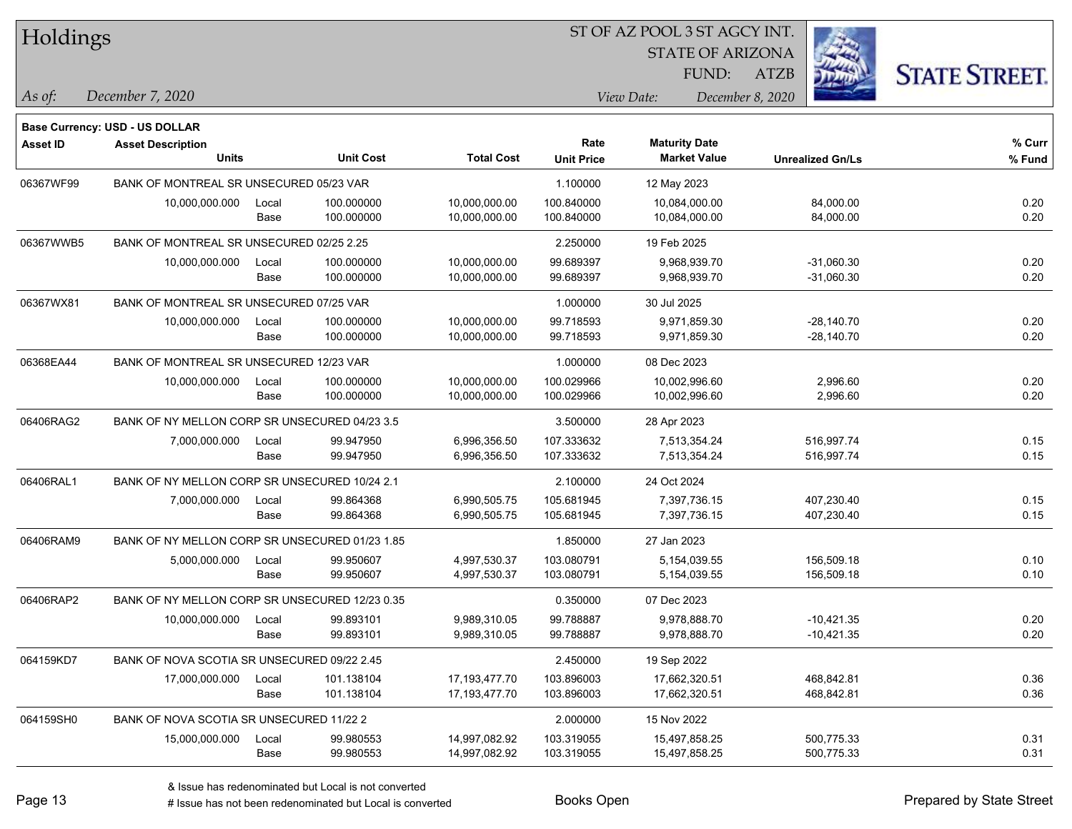| Holdings        |                                                |       |                  |                   |                   | ST OF AZ POOL 3 ST AGCY INT. |                         |                      |
|-----------------|------------------------------------------------|-------|------------------|-------------------|-------------------|------------------------------|-------------------------|----------------------|
|                 |                                                |       |                  |                   |                   | <b>STATE OF ARIZONA</b>      |                         |                      |
|                 |                                                |       |                  |                   |                   | FUND:                        | <b>ATZB</b>             | <b>STATE STREET.</b> |
| As of:          | December 7, 2020                               |       |                  |                   |                   | View Date:                   | December 8, 2020        |                      |
|                 | <b>Base Currency: USD - US DOLLAR</b>          |       |                  |                   |                   |                              |                         |                      |
| <b>Asset ID</b> | <b>Asset Description</b>                       |       |                  |                   | Rate              | <b>Maturity Date</b>         |                         | % Curr               |
|                 | <b>Units</b>                                   |       | <b>Unit Cost</b> | <b>Total Cost</b> | <b>Unit Price</b> | <b>Market Value</b>          | <b>Unrealized Gn/Ls</b> | % Fund               |
| 06367WF99       | BANK OF MONTREAL SR UNSECURED 05/23 VAR        |       |                  |                   | 1.100000          | 12 May 2023                  |                         |                      |
|                 | 10,000,000.000                                 | Local | 100.000000       | 10,000,000.00     | 100.840000        | 10,084,000.00                | 84,000.00               | 0.20                 |
|                 |                                                | Base  | 100.000000       | 10,000,000.00     | 100.840000        | 10,084,000.00                | 84,000.00               | 0.20                 |
| 06367WWB5       | BANK OF MONTREAL SR UNSECURED 02/25 2.25       |       |                  |                   | 2.250000          | 19 Feb 2025                  |                         |                      |
|                 | 10,000,000.000                                 | Local | 100.000000       | 10,000,000.00     | 99.689397         | 9,968,939.70                 | $-31,060.30$            | 0.20                 |
|                 |                                                | Base  | 100.000000       | 10,000,000.00     | 99.689397         | 9,968,939.70                 | $-31,060.30$            | 0.20                 |
| 06367WX81       | BANK OF MONTREAL SR UNSECURED 07/25 VAR        |       |                  |                   | 1.000000          | 30 Jul 2025                  |                         |                      |
|                 | 10,000,000.000                                 | Local | 100.000000       | 10,000,000.00     | 99.718593         | 9,971,859.30                 | $-28,140.70$            | 0.20                 |
|                 |                                                | Base  | 100.000000       | 10,000,000.00     | 99.718593         | 9,971,859.30                 | $-28,140.70$            | 0.20                 |
| 06368EA44       | BANK OF MONTREAL SR UNSECURED 12/23 VAR        |       |                  |                   | 1.000000          | 08 Dec 2023                  |                         |                      |
|                 | 10,000,000.000                                 | Local | 100.000000       | 10,000,000.00     | 100.029966        | 10,002,996.60                | 2,996.60                | 0.20                 |
|                 |                                                | Base  | 100.000000       | 10,000,000.00     | 100.029966        | 10,002,996.60                | 2,996.60                | 0.20                 |
| 06406RAG2       | BANK OF NY MELLON CORP SR UNSECURED 04/23 3.5  |       |                  |                   | 3.500000          | 28 Apr 2023                  |                         |                      |
|                 | 7,000,000.000                                  | Local | 99.947950        | 6,996,356.50      | 107.333632        | 7,513,354.24                 | 516,997.74              | 0.15                 |
|                 |                                                | Base  | 99.947950        | 6,996,356.50      | 107.333632        | 7,513,354.24                 | 516,997.74              | 0.15                 |
| 06406RAL1       | BANK OF NY MELLON CORP SR UNSECURED 10/24 2.1  |       |                  |                   | 2.100000          | 24 Oct 2024                  |                         |                      |
|                 | 7,000,000.000                                  | Local | 99.864368        | 6,990,505.75      | 105.681945        | 7,397,736.15                 | 407,230.40              | 0.15                 |
|                 |                                                | Base  | 99.864368        | 6,990,505.75      | 105.681945        | 7,397,736.15                 | 407,230.40              | 0.15                 |
| 06406RAM9       | BANK OF NY MELLON CORP SR UNSECURED 01/23 1.85 |       |                  |                   | 1.850000          | 27 Jan 2023                  |                         |                      |
|                 | 5,000,000.000                                  | Local | 99.950607        | 4,997,530.37      | 103.080791        | 5,154,039.55                 | 156,509.18              | 0.10                 |
|                 |                                                | Base  | 99.950607        | 4,997,530.37      | 103.080791        | 5,154,039.55                 | 156,509.18              | 0.10                 |
| 06406RAP2       | BANK OF NY MELLON CORP SR UNSECURED 12/23 0.35 |       |                  |                   | 0.350000          | 07 Dec 2023                  |                         |                      |
|                 | 10,000,000.000                                 | Local | 99.893101        | 9,989,310.05      | 99.788887         | 9,978,888.70                 | $-10,421.35$            | 0.20                 |
|                 |                                                | Base  | 99.893101        | 9,989,310.05      | 99.788887         | 9,978,888.70                 | $-10,421.35$            | 0.20                 |
| 064159KD7       | BANK OF NOVA SCOTIA SR UNSECURED 09/22 2.45    |       |                  |                   | 2.450000          | 19 Sep 2022                  |                         |                      |
|                 | 17,000,000.000                                 | Local | 101.138104       | 17,193,477.70     | 103.896003        | 17,662,320.51                | 468,842.81              | 0.36                 |
|                 |                                                | Base  | 101.138104       | 17,193,477.70     | 103.896003        | 17,662,320.51                | 468,842.81              | 0.36                 |
| 064159SH0       | BANK OF NOVA SCOTIA SR UNSECURED 11/22 2       |       |                  |                   | 2.000000          | 15 Nov 2022                  |                         |                      |
|                 | 15,000,000.000                                 | Local | 99.980553        | 14,997,082.92     | 103.319055        | 15,497,858.25                | 500,775.33              | 0.31                 |
|                 |                                                | Base  | 99.980553        | 14,997,082.92     | 103.319055        | 15,497,858.25                | 500,775.33              | 0.31                 |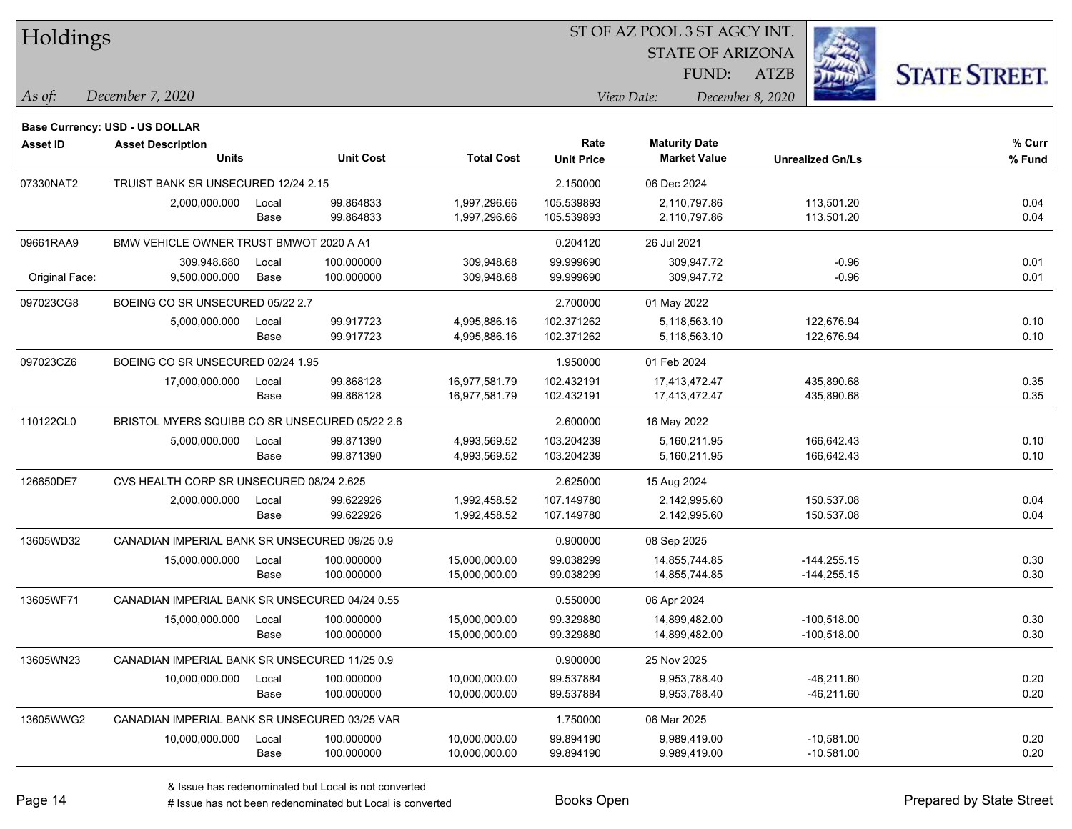| Holdings |
|----------|
|          |

STATE OF ARIZONA

ATZB



*December 7, 2020 As of: View Date: December 8, 2020*

**Base Currency: USD - US DOLLAR**

| <b>Asset ID</b> | <b>Asset Description</b>                       |       |                  |                   | Rate              | <b>Maturity Date</b> |                         | % Curr |
|-----------------|------------------------------------------------|-------|------------------|-------------------|-------------------|----------------------|-------------------------|--------|
|                 | <b>Units</b>                                   |       | <b>Unit Cost</b> | <b>Total Cost</b> | <b>Unit Price</b> | <b>Market Value</b>  | <b>Unrealized Gn/Ls</b> | % Fund |
| 07330NAT2       | TRUIST BANK SR UNSECURED 12/24 2.15            |       |                  |                   | 2.150000          | 06 Dec 2024          |                         |        |
|                 | 2,000,000.000                                  | Local | 99.864833        | 1,997,296.66      | 105.539893        | 2,110,797.86         | 113,501.20              | 0.04   |
|                 |                                                | Base  | 99.864833        | 1,997,296.66      | 105.539893        | 2,110,797.86         | 113,501.20              | 0.04   |
| 09661RAA9       | BMW VEHICLE OWNER TRUST BMWOT 2020 A A1        |       |                  |                   | 0.204120          | 26 Jul 2021          |                         |        |
|                 | 309,948.680                                    | Local | 100.000000       | 309,948.68        | 99.999690         | 309,947.72           | $-0.96$                 | 0.01   |
| Original Face:  | 9,500,000.000                                  | Base  | 100.000000       | 309,948.68        | 99.999690         | 309,947.72           | $-0.96$                 | 0.01   |
| 097023CG8       | BOEING CO SR UNSECURED 05/22 2.7               |       |                  |                   | 2.700000          | 01 May 2022          |                         |        |
|                 | 5,000,000.000                                  | Local | 99.917723        | 4,995,886.16      | 102.371262        | 5,118,563.10         | 122,676.94              | 0.10   |
|                 |                                                | Base  | 99.917723        | 4,995,886.16      | 102.371262        | 5,118,563.10         | 122,676.94              | 0.10   |
| 097023CZ6       | BOEING CO SR UNSECURED 02/24 1.95              |       |                  |                   | 1.950000          | 01 Feb 2024          |                         |        |
|                 | 17,000,000.000                                 | Local | 99.868128        | 16,977,581.79     | 102.432191        | 17,413,472.47        | 435,890.68              | 0.35   |
|                 |                                                | Base  | 99.868128        | 16,977,581.79     | 102.432191        | 17,413,472.47        | 435,890.68              | 0.35   |
| 110122CL0       | BRISTOL MYERS SQUIBB CO SR UNSECURED 05/22 2.6 |       |                  |                   | 2.600000          | 16 May 2022          |                         |        |
|                 | 5,000,000.000                                  | Local | 99.871390        | 4,993,569.52      | 103.204239        | 5,160,211.95         | 166,642.43              | 0.10   |
|                 |                                                | Base  | 99.871390        | 4,993,569.52      | 103.204239        | 5,160,211.95         | 166,642.43              | 0.10   |
| 126650DE7       | CVS HEALTH CORP SR UNSECURED 08/24 2.625       |       |                  | 2.625000          | 15 Aug 2024       |                      |                         |        |
|                 | 2,000,000.000                                  | Local | 99.622926        | 1,992,458.52      | 107.149780        | 2,142,995.60         | 150,537.08              | 0.04   |
|                 |                                                | Base  | 99.622926        | 1,992,458.52      | 107.149780        | 2,142,995.60         | 150,537.08              | 0.04   |
| 13605WD32       | CANADIAN IMPERIAL BANK SR UNSECURED 09/25 0.9  |       |                  |                   | 0.900000          | 08 Sep 2025          |                         |        |
|                 | 15,000,000.000                                 | Local | 100.000000       | 15,000,000.00     | 99.038299         | 14,855,744.85        | $-144,255.15$           | 0.30   |
|                 |                                                | Base  | 100.000000       | 15,000,000.00     | 99.038299         | 14,855,744.85        | $-144,255.15$           | 0.30   |
| 13605WF71       | CANADIAN IMPERIAL BANK SR UNSECURED 04/24 0.55 |       |                  |                   | 0.550000          | 06 Apr 2024          |                         |        |
|                 | 15,000,000.000                                 | Local | 100.000000       | 15,000,000.00     | 99.329880         | 14,899,482.00        | $-100,518.00$           | 0.30   |
|                 |                                                | Base  | 100.000000       | 15,000,000.00     | 99.329880         | 14,899,482.00        | $-100,518.00$           | 0.30   |
| 13605WN23       | CANADIAN IMPERIAL BANK SR UNSECURED 11/25 0.9  |       |                  |                   | 0.900000          | 25 Nov 2025          |                         |        |
|                 | 10,000,000.000                                 | Local | 100.000000       | 10,000,000.00     | 99.537884         | 9,953,788.40         | $-46,211.60$            | 0.20   |
|                 |                                                | Base  | 100.000000       | 10,000,000.00     | 99.537884         | 9,953,788.40         | $-46,211.60$            | 0.20   |
| 13605WWG2       | CANADIAN IMPERIAL BANK SR UNSECURED 03/25 VAR  |       |                  |                   | 1.750000          | 06 Mar 2025          |                         |        |
|                 | 10,000,000.000                                 | Local | 100.000000       | 10,000,000.00     | 99.894190         | 9,989,419.00         | $-10,581.00$            | 0.20   |
|                 |                                                | Base  | 100.000000       | 10,000,000.00     | 99.894190         | 9,989,419.00         | $-10,581.00$            | 0.20   |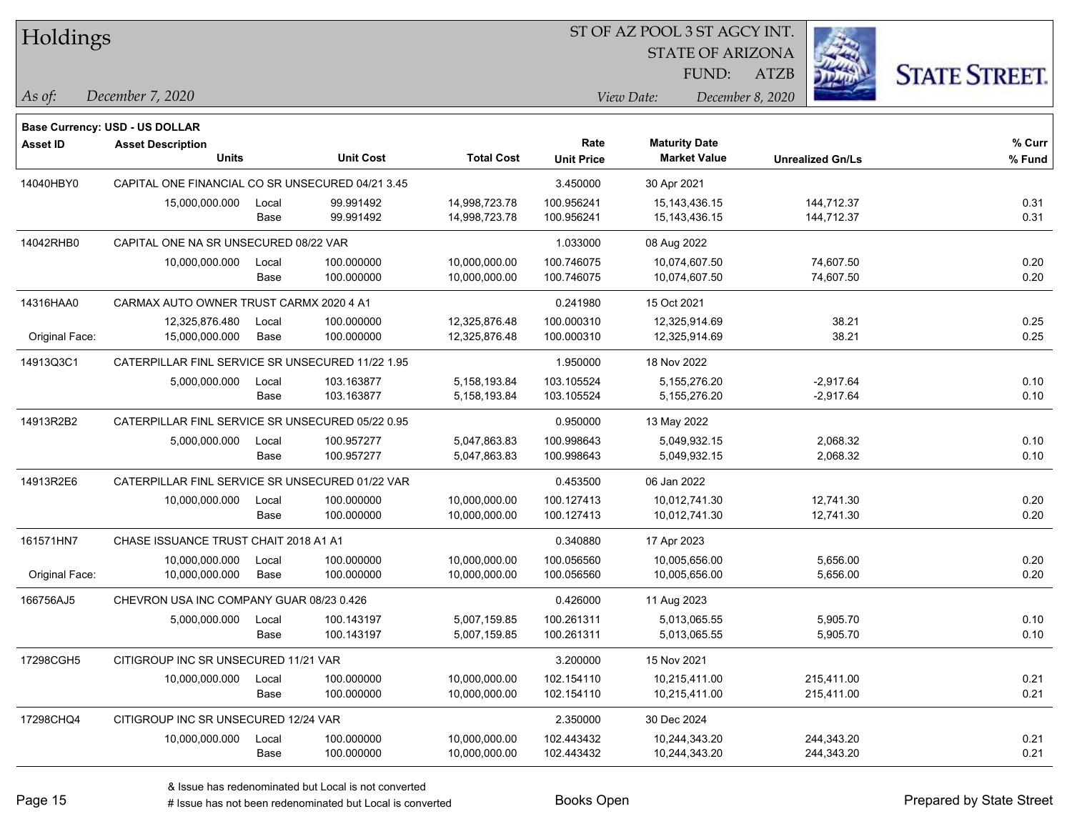| <b>Holdings</b> |  |
|-----------------|--|
|-----------------|--|

STATE OF ARIZONA

ATZB



*December 7, 2020 As of: View Date: December 8, 2020*

**Base Currency: USD - US DOLLAR**

| <b>Asset ID</b> | <b>Asset Description</b><br><b>Units</b>         |               | <b>Unit Cost</b>         | <b>Total Cost</b>              | Rate<br><b>Unit Price</b> | <b>Maturity Date</b><br><b>Market Value</b> | <b>Unrealized Gn/Ls</b>    | % Curr<br>% Fund |
|-----------------|--------------------------------------------------|---------------|--------------------------|--------------------------------|---------------------------|---------------------------------------------|----------------------------|------------------|
| 14040HBY0       | CAPITAL ONE FINANCIAL CO SR UNSECURED 04/21 3.45 |               |                          |                                | 3.450000                  | 30 Apr 2021                                 |                            |                  |
|                 | 15,000,000.000                                   | Local<br>Base | 99.991492<br>99.991492   | 14,998,723.78<br>14,998,723.78 | 100.956241<br>100.956241  | 15,143,436.15<br>15,143,436.15              | 144,712.37<br>144,712.37   | 0.31<br>0.31     |
| 14042RHB0       | CAPITAL ONE NA SR UNSECURED 08/22 VAR            |               |                          |                                | 1.033000                  | 08 Aug 2022                                 |                            |                  |
|                 | 10,000,000.000                                   | Local<br>Base | 100.000000<br>100.000000 | 10,000,000.00<br>10,000,000.00 | 100.746075<br>100.746075  | 10,074,607.50<br>10,074,607.50              | 74,607.50<br>74,607.50     | 0.20<br>0.20     |
| 14316HAA0       | CARMAX AUTO OWNER TRUST CARMX 2020 4 A1          |               |                          |                                | 0.241980                  | 15 Oct 2021                                 |                            |                  |
| Original Face:  | 12,325,876.480<br>15,000,000.000                 | Local<br>Base | 100.000000<br>100.000000 | 12,325,876.48<br>12,325,876.48 | 100.000310<br>100.000310  | 12,325,914.69<br>12,325,914.69              | 38.21<br>38.21             | 0.25<br>0.25     |
| 14913Q3C1       | CATERPILLAR FINL SERVICE SR UNSECURED 11/22 1.95 |               |                          |                                | 1.950000                  | 18 Nov 2022                                 |                            |                  |
|                 | 5,000,000.000                                    | Local<br>Base | 103.163877<br>103.163877 | 5,158,193.84<br>5,158,193.84   | 103.105524<br>103.105524  | 5,155,276.20<br>5,155,276.20                | $-2,917.64$<br>$-2,917.64$ | 0.10<br>0.10     |
| 14913R2B2       | CATERPILLAR FINL SERVICE SR UNSECURED 05/22 0.95 |               |                          |                                | 0.950000                  | 13 May 2022                                 |                            |                  |
|                 | 5,000,000.000                                    | Local<br>Base | 100.957277<br>100.957277 | 5,047,863.83<br>5,047,863.83   | 100.998643<br>100.998643  | 5,049,932.15<br>5,049,932.15                | 2,068.32<br>2,068.32       | 0.10<br>0.10     |
| 14913R2E6       | CATERPILLAR FINL SERVICE SR UNSECURED 01/22 VAR  |               |                          |                                | 0.453500                  | 06 Jan 2022                                 |                            |                  |
|                 | 10,000,000.000                                   | Local<br>Base | 100.000000<br>100.000000 | 10,000,000.00<br>10,000,000.00 | 100.127413<br>100.127413  | 10,012,741.30<br>10,012,741.30              | 12,741.30<br>12,741.30     | 0.20<br>0.20     |
| 161571HN7       | CHASE ISSUANCE TRUST CHAIT 2018 A1 A1            |               |                          |                                | 0.340880                  | 17 Apr 2023                                 |                            |                  |
| Original Face:  | 10,000,000.000<br>10,000,000.000                 | Local<br>Base | 100.000000<br>100.000000 | 10,000,000.00<br>10,000,000.00 | 100.056560<br>100.056560  | 10,005,656.00<br>10,005,656.00              | 5,656.00<br>5,656.00       | 0.20<br>0.20     |
| 166756AJ5       | CHEVRON USA INC COMPANY GUAR 08/23 0.426         |               |                          |                                | 0.426000                  | 11 Aug 2023                                 |                            |                  |
|                 | 5,000,000.000                                    | Local<br>Base | 100.143197<br>100.143197 | 5,007,159.85<br>5,007,159.85   | 100.261311<br>100.261311  | 5,013,065.55<br>5,013,065.55                | 5,905.70<br>5,905.70       | 0.10<br>0.10     |
| 17298CGH5       | CITIGROUP INC SR UNSECURED 11/21 VAR             |               |                          |                                | 3.200000                  | 15 Nov 2021                                 |                            |                  |
|                 | 10,000,000.000                                   | Local<br>Base | 100.000000<br>100.000000 | 10,000,000.00<br>10,000,000.00 | 102.154110<br>102.154110  | 10,215,411.00<br>10,215,411.00              | 215,411.00<br>215,411.00   | 0.21<br>0.21     |
| 17298CHQ4       | CITIGROUP INC SR UNSECURED 12/24 VAR             |               |                          |                                | 2.350000                  | 30 Dec 2024                                 |                            |                  |
|                 | 10,000,000.000                                   | Local<br>Base | 100.000000<br>100.000000 | 10,000,000.00<br>10,000,000.00 | 102.443432<br>102.443432  | 10,244,343.20<br>10,244,343.20              | 244,343.20<br>244,343.20   | 0.21<br>0.21     |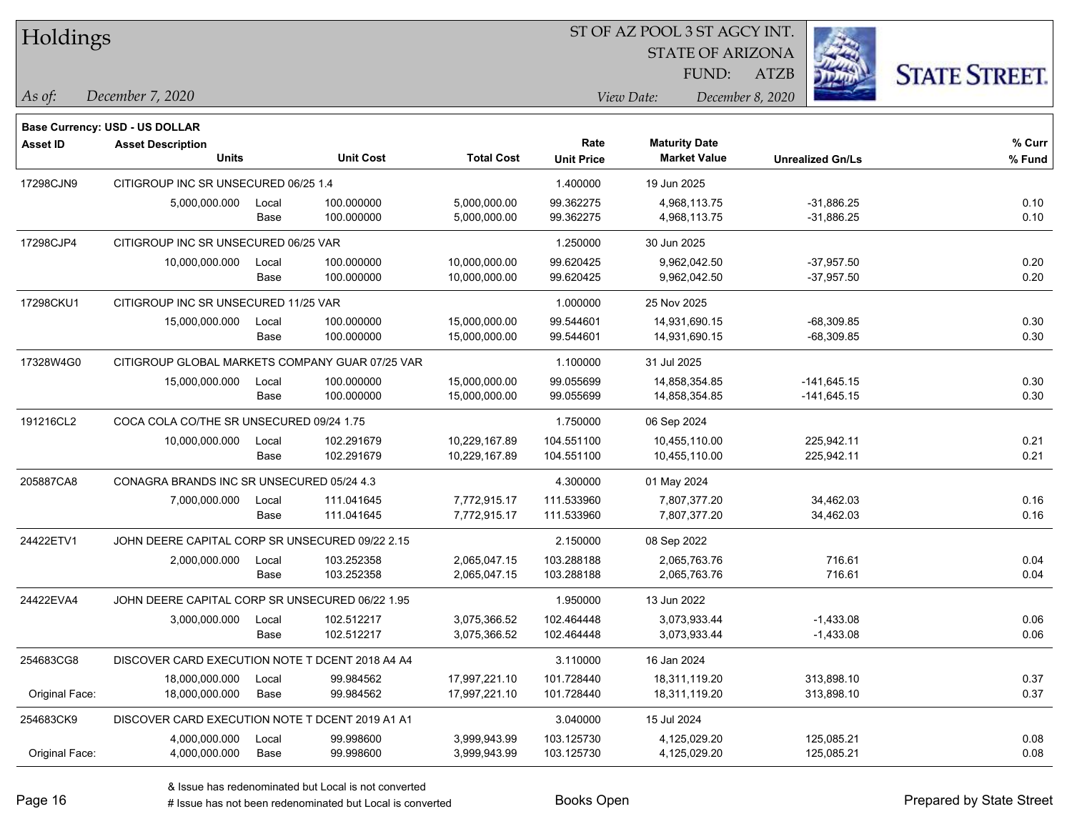| Holdings        |                                                 |       |                  |                   |                   | ST OF AZ POOL 3 ST AGCY INT. |                         |                      |
|-----------------|-------------------------------------------------|-------|------------------|-------------------|-------------------|------------------------------|-------------------------|----------------------|
|                 |                                                 |       |                  |                   |                   | <b>STATE OF ARIZONA</b>      |                         |                      |
|                 |                                                 |       |                  |                   |                   | FUND:                        | <b>ATZB</b>             | <b>STATE STREET.</b> |
| As of:          | December 7, 2020                                |       |                  |                   |                   | View Date:                   | December 8, 2020        |                      |
|                 |                                                 |       |                  |                   |                   |                              |                         |                      |
|                 | Base Currency: USD - US DOLLAR                  |       |                  |                   | Rate              | <b>Maturity Date</b>         |                         | % Curr               |
| <b>Asset ID</b> | <b>Asset Description</b><br>Units               |       | <b>Unit Cost</b> | <b>Total Cost</b> | <b>Unit Price</b> | <b>Market Value</b>          | <b>Unrealized Gn/Ls</b> | % Fund               |
| 17298CJN9       | CITIGROUP INC SR UNSECURED 06/25 1.4            |       |                  |                   | 1.400000          | 19 Jun 2025                  |                         |                      |
|                 | 5,000,000.000                                   | Local | 100.000000       | 5,000,000.00      | 99.362275         | 4,968,113.75                 | $-31,886.25$            | 0.10                 |
|                 |                                                 | Base  | 100.000000       | 5,000,000.00      | 99.362275         | 4,968,113.75                 | $-31,886.25$            | 0.10                 |
| 17298CJP4       | CITIGROUP INC SR UNSECURED 06/25 VAR            |       |                  |                   | 1.250000          | 30 Jun 2025                  |                         |                      |
|                 | 10,000,000.000                                  | Local | 100.000000       | 10,000,000.00     | 99.620425         | 9,962,042.50                 | $-37,957.50$            | 0.20                 |
|                 |                                                 | Base  | 100.000000       | 10,000,000.00     | 99.620425         | 9,962,042.50                 | $-37,957.50$            | 0.20                 |
| 17298CKU1       | CITIGROUP INC SR UNSECURED 11/25 VAR            |       |                  |                   | 1.000000          | 25 Nov 2025                  |                         |                      |
|                 | 15,000,000.000                                  | Local | 100.000000       | 15,000,000.00     | 99.544601         | 14,931,690.15                | $-68,309.85$            | 0.30                 |
|                 |                                                 | Base  | 100.000000       | 15,000,000.00     | 99.544601         | 14,931,690.15                | $-68,309.85$            | 0.30                 |
| 17328W4G0       | CITIGROUP GLOBAL MARKETS COMPANY GUAR 07/25 VAR |       |                  |                   | 1.100000          | 31 Jul 2025                  |                         |                      |
|                 | 15,000,000.000                                  | Local | 100.000000       | 15,000,000.00     | 99.055699         | 14,858,354.85                | $-141,645.15$           | 0.30                 |
|                 |                                                 | Base  | 100.000000       | 15,000,000.00     | 99.055699         | 14,858,354.85                | -141,645.15             | 0.30                 |
| 191216CL2       | COCA COLA CO/THE SR UNSECURED 09/24 1.75        |       |                  |                   | 1.750000          | 06 Sep 2024                  |                         |                      |
|                 | 10,000,000.000                                  | Local | 102.291679       | 10,229,167.89     | 104.551100        | 10,455,110.00                | 225,942.11              | 0.21                 |
|                 |                                                 | Base  | 102.291679       | 10,229,167.89     | 104.551100        | 10,455,110.00                | 225,942.11              | 0.21                 |
| 205887CA8       | CONAGRA BRANDS INC SR UNSECURED 05/24 4.3       |       |                  |                   | 4.300000          | 01 May 2024                  |                         |                      |
|                 | 7,000,000.000                                   | Local | 111.041645       | 7,772,915.17      | 111.533960        | 7,807,377.20                 | 34,462.03               | 0.16                 |
|                 |                                                 | Base  | 111.041645       | 7,772,915.17      | 111.533960        | 7,807,377.20                 | 34,462.03               | 0.16                 |
| 24422ETV1       | JOHN DEERE CAPITAL CORP SR UNSECURED 09/22 2.15 |       |                  |                   | 2.150000          | 08 Sep 2022                  |                         |                      |
|                 | 2,000,000.000                                   | Local | 103.252358       | 2,065,047.15      | 103.288188        | 2,065,763.76                 | 716.61                  | 0.04                 |
|                 |                                                 | Base  | 103.252358       | 2,065,047.15      | 103.288188        | 2,065,763.76                 | 716.61                  | 0.04                 |
| 24422EVA4       | JOHN DEERE CAPITAL CORP SR UNSECURED 06/22 1.95 |       |                  |                   | 1.950000          | 13 Jun 2022                  |                         |                      |
|                 | 3,000,000.000                                   | Local | 102.512217       | 3,075,366.52      | 102.464448        | 3,073,933.44                 | $-1,433.08$             | 0.06                 |
|                 |                                                 | Base  | 102.512217       | 3,075,366.52      | 102.464448        | 3,073,933.44                 | $-1,433.08$             | 0.06                 |
| 254683CG8       | DISCOVER CARD EXECUTION NOTE T DCENT 2018 A4 A4 |       |                  |                   | 3.110000          | 16 Jan 2024                  |                         |                      |
|                 | 18,000,000.000                                  | Local | 99.984562        | 17,997,221.10     | 101.728440        | 18,311,119.20                | 313,898.10              | 0.37                 |
| Original Face:  | 18,000,000.000                                  | Base  | 99.984562        | 17,997,221.10     | 101.728440        | 18,311,119.20                | 313,898.10              | 0.37                 |
| 254683CK9       | DISCOVER CARD EXECUTION NOTE T DCENT 2019 A1 A1 |       |                  |                   | 3.040000          | 15 Jul 2024                  |                         |                      |
|                 | 4,000,000.000                                   | Local | 99.998600        | 3,999,943.99      | 103.125730        | 4,125,029.20                 | 125,085.21              | 0.08                 |
| Original Face:  | 4,000,000.000                                   | Base  | 99.998600        | 3,999,943.99      | 103.125730        | 4,125,029.20                 | 125,085.21              | 0.08                 |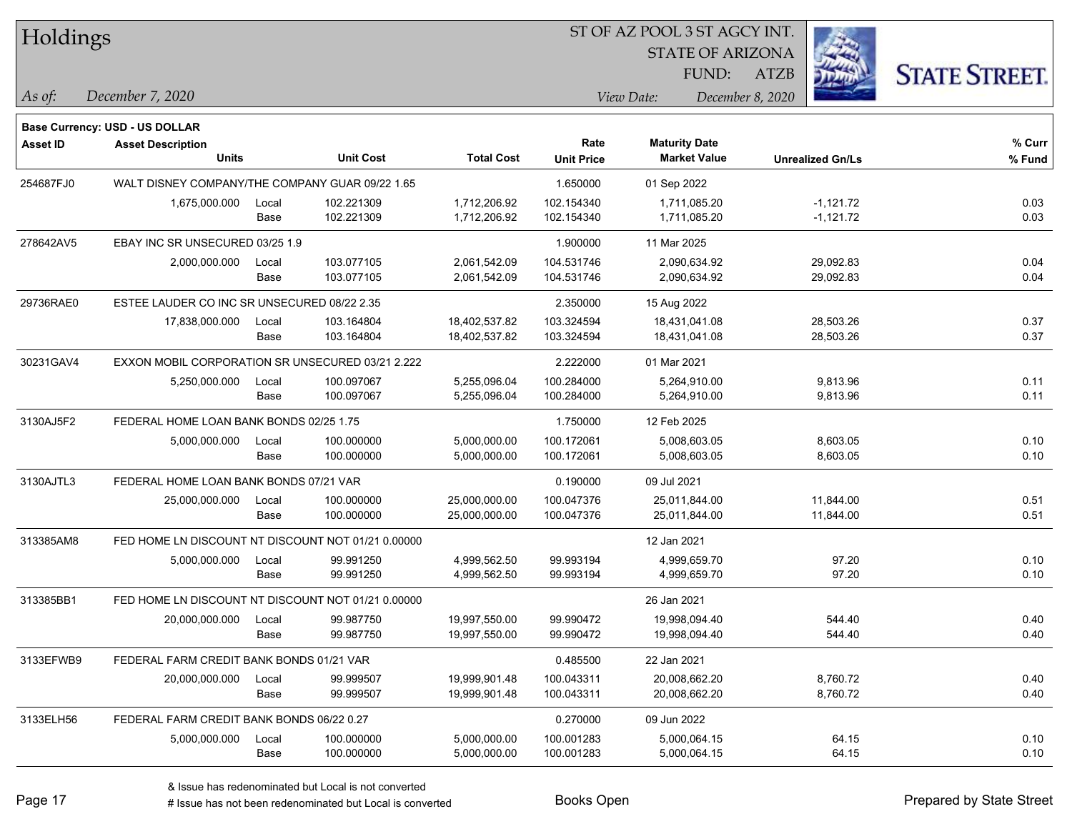| Holdings |
|----------|
|----------|

STATE OF ARIZONA

ATZB



**Base Currency: USD - US DOLLAR**

*December 7, 2020 As of: View Date: December 8, 2020* FUND:

| <b>Asset ID</b> | <b>Asset Description</b>                           |                                                    |                  |                   | Rate              | <b>Maturity Date</b> |                         | % Curr |
|-----------------|----------------------------------------------------|----------------------------------------------------|------------------|-------------------|-------------------|----------------------|-------------------------|--------|
|                 | <b>Units</b>                                       |                                                    | <b>Unit Cost</b> | <b>Total Cost</b> | <b>Unit Price</b> | <b>Market Value</b>  | <b>Unrealized Gn/Ls</b> | % Fund |
| 254687FJ0       | WALT DISNEY COMPANY/THE COMPANY GUAR 09/22 1.65    |                                                    |                  |                   | 1.650000          | 01 Sep 2022          |                         |        |
|                 | 1,675,000.000                                      | Local                                              | 102.221309       | 1,712,206.92      | 102.154340        | 1,711,085.20         | $-1,121.72$             | 0.03   |
|                 |                                                    | Base                                               | 102.221309       | 1,712,206.92      | 102.154340        | 1,711,085.20         | $-1,121.72$             | 0.03   |
| 278642AV5       | EBAY INC SR UNSECURED 03/25 1.9                    |                                                    |                  |                   | 1.900000          | 11 Mar 2025          |                         |        |
|                 | 2,000,000.000                                      | Local                                              | 103.077105       | 2,061,542.09      | 104.531746        | 2,090,634.92         | 29,092.83               | 0.04   |
|                 |                                                    | Base                                               | 103.077105       | 2,061,542.09      | 104.531746        | 2,090,634.92         | 29,092.83               | 0.04   |
| 29736RAE0       | ESTEE LAUDER CO INC SR UNSECURED 08/22 2.35        |                                                    |                  |                   | 2.350000          | 15 Aug 2022          |                         |        |
|                 | 17,838,000.000                                     | Local                                              | 103.164804       | 18,402,537.82     | 103.324594        | 18,431,041.08        | 28,503.26               | 0.37   |
|                 |                                                    | Base                                               | 103.164804       | 18,402,537.82     | 103.324594        | 18,431,041.08        | 28,503.26               | 0.37   |
| 30231GAV4       | EXXON MOBIL CORPORATION SR UNSECURED 03/21 2.222   |                                                    |                  |                   | 2.222000          | 01 Mar 2021          |                         |        |
|                 | 5,250,000.000                                      | Local                                              | 100.097067       | 5,255,096.04      | 100.284000        | 5,264,910.00         | 9,813.96                | 0.11   |
|                 |                                                    | Base                                               | 100.097067       | 5,255,096.04      | 100.284000        | 5,264,910.00         | 9,813.96                | 0.11   |
| 3130AJ5F2       | FEDERAL HOME LOAN BANK BONDS 02/25 1.75            |                                                    |                  | 1.750000          | 12 Feb 2025       |                      |                         |        |
|                 | 5,000,000.000                                      | Local                                              | 100.000000       | 5,000,000.00      | 100.172061        | 5,008,603.05         | 8,603.05                | 0.10   |
|                 |                                                    | Base                                               | 100.000000       | 5,000,000.00      | 100.172061        | 5,008,603.05         | 8,603.05                | 0.10   |
| 3130AJTL3       | FEDERAL HOME LOAN BANK BONDS 07/21 VAR             |                                                    |                  |                   | 0.190000          | 09 Jul 2021          |                         |        |
|                 | 25,000,000.000                                     | Local                                              | 100.000000       | 25,000,000.00     | 100.047376        | 25,011,844.00        | 11,844.00               | 0.51   |
|                 |                                                    | Base                                               | 100.000000       | 25,000,000.00     | 100.047376        | 25,011,844.00        | 11,844.00               | 0.51   |
| 313385AM8       |                                                    | FED HOME LN DISCOUNT NT DISCOUNT NOT 01/21 0.00000 |                  |                   |                   | 12 Jan 2021          |                         |        |
|                 | 5,000,000.000                                      | Local                                              | 99.991250        | 4,999,562.50      | 99.993194         | 4,999,659.70         | 97.20                   | 0.10   |
|                 |                                                    | Base                                               | 99.991250        | 4,999,562.50      | 99.993194         | 4,999,659.70         | 97.20                   | 0.10   |
| 313385BB1       | FED HOME LN DISCOUNT NT DISCOUNT NOT 01/21 0.00000 |                                                    |                  |                   |                   | 26 Jan 2021          |                         |        |
|                 | 20,000,000.000                                     | Local                                              | 99.987750        | 19,997,550.00     | 99.990472         | 19,998,094.40        | 544.40                  | 0.40   |
|                 |                                                    | Base                                               | 99.987750        | 19,997,550.00     | 99.990472         | 19,998,094.40        | 544.40                  | 0.40   |
| 3133EFWB9       | FEDERAL FARM CREDIT BANK BONDS 01/21 VAR           |                                                    |                  |                   | 0.485500          | 22 Jan 2021          |                         |        |
|                 | 20,000,000.000                                     | Local                                              | 99.999507        | 19,999,901.48     | 100.043311        | 20,008,662.20        | 8,760.72                | 0.40   |
|                 |                                                    | Base                                               | 99.999507        | 19,999,901.48     | 100.043311        | 20,008,662.20        | 8,760.72                | 0.40   |
| 3133ELH56       | FEDERAL FARM CREDIT BANK BONDS 06/22 0.27          |                                                    |                  |                   | 0.270000          | 09 Jun 2022          |                         |        |
|                 | 5,000,000.000                                      | Local                                              | 100.000000       | 5,000,000.00      | 100.001283        | 5,000,064.15         | 64.15                   | 0.10   |
|                 |                                                    | Base                                               | 100.000000       | 5,000,000.00      | 100.001283        | 5,000,064.15         | 64.15                   | 0.10   |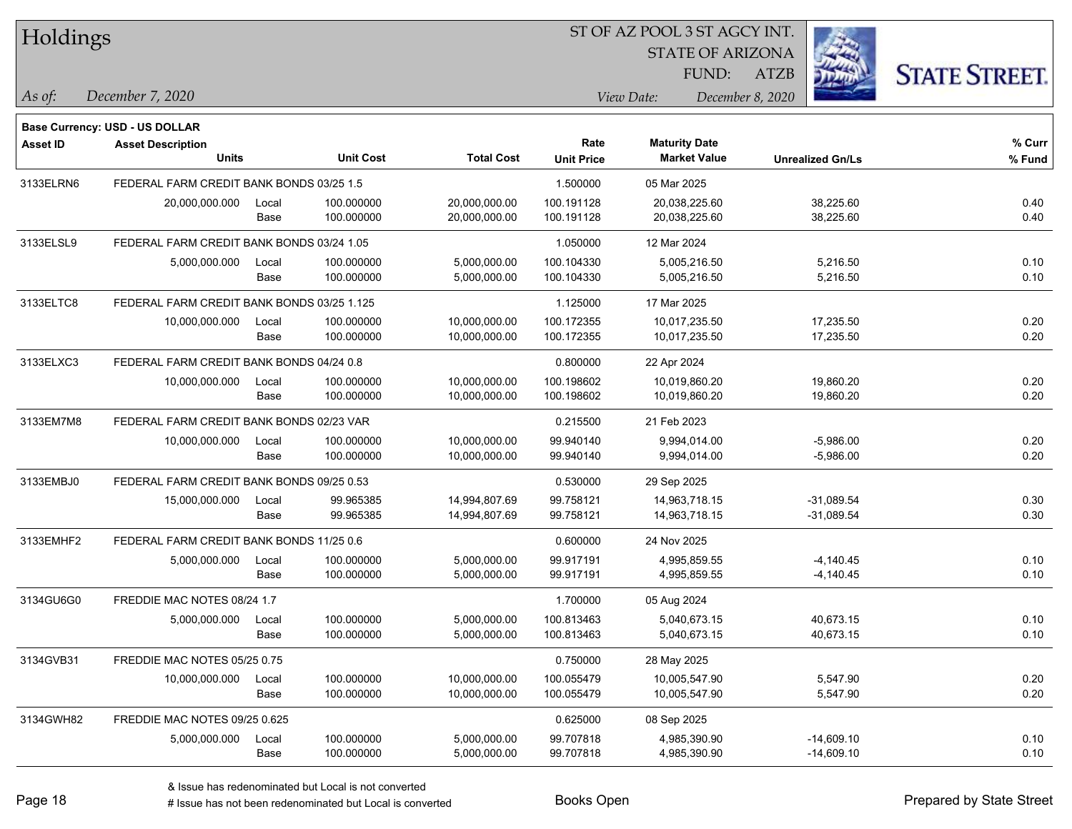| Holdings        |                                            |       |                  |                   |                   | ST OF AZ POOL 3 ST AGCY INT. |                         |                      |
|-----------------|--------------------------------------------|-------|------------------|-------------------|-------------------|------------------------------|-------------------------|----------------------|
|                 |                                            |       |                  |                   |                   | <b>STATE OF ARIZONA</b>      |                         |                      |
|                 |                                            |       |                  |                   |                   | FUND:                        | <b>ATZB</b>             | <b>STATE STREET.</b> |
| As of:          | December 7, 2020                           |       |                  |                   |                   | View Date:                   | December 8, 2020        |                      |
|                 | Base Currency: USD - US DOLLAR             |       |                  |                   |                   |                              |                         |                      |
| <b>Asset ID</b> | <b>Asset Description</b>                   |       |                  |                   | Rate              | <b>Maturity Date</b>         |                         | % Curr               |
|                 | <b>Units</b>                               |       | <b>Unit Cost</b> | <b>Total Cost</b> | <b>Unit Price</b> | <b>Market Value</b>          | <b>Unrealized Gn/Ls</b> | % Fund               |
| 3133ELRN6       | FEDERAL FARM CREDIT BANK BONDS 03/25 1.5   |       |                  |                   | 1.500000          | 05 Mar 2025                  |                         |                      |
|                 | 20,000,000.000                             | Local | 100.000000       | 20,000,000.00     | 100.191128        | 20,038,225.60                | 38,225.60               | 0.40                 |
|                 |                                            | Base  | 100.000000       | 20,000,000.00     | 100.191128        | 20,038,225.60                | 38,225.60               | 0.40                 |
| 3133ELSL9       | FEDERAL FARM CREDIT BANK BONDS 03/24 1.05  |       |                  |                   | 1.050000          | 12 Mar 2024                  |                         |                      |
|                 | 5,000,000.000                              | Local | 100.000000       | 5,000,000.00      | 100.104330        | 5,005,216.50                 | 5,216.50                | 0.10                 |
|                 |                                            | Base  | 100.000000       | 5,000,000.00      | 100.104330        | 5,005,216.50                 | 5,216.50                | 0.10                 |
| 3133ELTC8       | FEDERAL FARM CREDIT BANK BONDS 03/25 1.125 |       |                  |                   | 1.125000          | 17 Mar 2025                  |                         |                      |
|                 | 10,000,000.000                             | Local | 100.000000       | 10,000,000.00     | 100.172355        | 10,017,235.50                | 17,235.50               | 0.20                 |
|                 |                                            | Base  | 100.000000       | 10,000,000.00     | 100.172355        | 10,017,235.50                | 17,235.50               | 0.20                 |
| 3133ELXC3       | FEDERAL FARM CREDIT BANK BONDS 04/24 0.8   |       |                  |                   | 0.800000          | 22 Apr 2024                  |                         |                      |
|                 | 10,000,000.000                             | Local | 100.000000       | 10,000,000.00     | 100.198602        | 10,019,860.20                | 19,860.20               | 0.20                 |
|                 |                                            | Base  | 100.000000       | 10,000,000.00     | 100.198602        | 10,019,860.20                | 19,860.20               | 0.20                 |
| 3133EM7M8       | FEDERAL FARM CREDIT BANK BONDS 02/23 VAR   |       |                  |                   | 0.215500          | 21 Feb 2023                  |                         |                      |
|                 | 10,000,000.000                             | Local | 100.000000       | 10,000,000.00     | 99.940140         | 9,994,014.00                 | $-5,986.00$             | 0.20                 |
|                 |                                            | Base  | 100.000000       | 10,000,000.00     | 99.940140         | 9,994,014.00                 | $-5,986.00$             | 0.20                 |
| 3133EMBJ0       | FEDERAL FARM CREDIT BANK BONDS 09/25 0.53  |       |                  |                   | 0.530000          | 29 Sep 2025                  |                         |                      |
|                 | 15,000,000.000                             | Local | 99.965385        | 14,994,807.69     | 99.758121         | 14,963,718.15                | $-31,089.54$            | 0.30                 |
|                 |                                            | Base  | 99.965385        | 14,994,807.69     | 99.758121         | 14,963,718.15                | $-31,089.54$            | 0.30                 |
| 3133EMHF2       | FEDERAL FARM CREDIT BANK BONDS 11/25 0.6   |       |                  |                   | 0.600000          | 24 Nov 2025                  |                         |                      |
|                 | 5,000,000.000                              | Local | 100.000000       | 5,000,000.00      | 99.917191         | 4,995,859.55                 | $-4,140.45$             | 0.10                 |
|                 |                                            | Base  | 100.000000       | 5,000,000.00      | 99.917191         | 4,995,859.55                 | $-4,140.45$             | 0.10                 |
| 3134GU6G0       | FREDDIE MAC NOTES 08/24 1.7                |       |                  |                   | 1.700000          | 05 Aug 2024                  |                         |                      |
|                 | 5,000,000.000                              | Local | 100.000000       | 5,000,000.00      | 100.813463        | 5,040,673.15                 | 40,673.15               | 0.10                 |
|                 |                                            | Base  | 100.000000       | 5,000,000.00      | 100.813463        | 5,040,673.15                 | 40,673.15               | 0.10                 |
| 3134GVB31       | FREDDIE MAC NOTES 05/25 0.75               |       |                  |                   | 0.750000          | 28 May 2025                  |                         |                      |
|                 | 10,000,000.000                             | Local | 100.000000       | 10,000,000.00     | 100.055479        | 10,005,547.90                | 5,547.90                | 0.20                 |
|                 |                                            | Base  | 100.000000       | 10,000,000.00     | 100.055479        | 10,005,547.90                | 5,547.90                | 0.20                 |
| 3134GWH82       | FREDDIE MAC NOTES 09/25 0.625              |       |                  |                   | 0.625000          | 08 Sep 2025                  |                         |                      |
|                 | 5,000,000.000                              | Local | 100.000000       | 5,000,000.00      | 99.707818         | 4,985,390.90                 | $-14,609.10$            | 0.10                 |
|                 |                                            | Base  | 100.000000       | 5,000,000.00      | 99.707818         | 4,985,390.90                 | $-14,609.10$            | 0.10                 |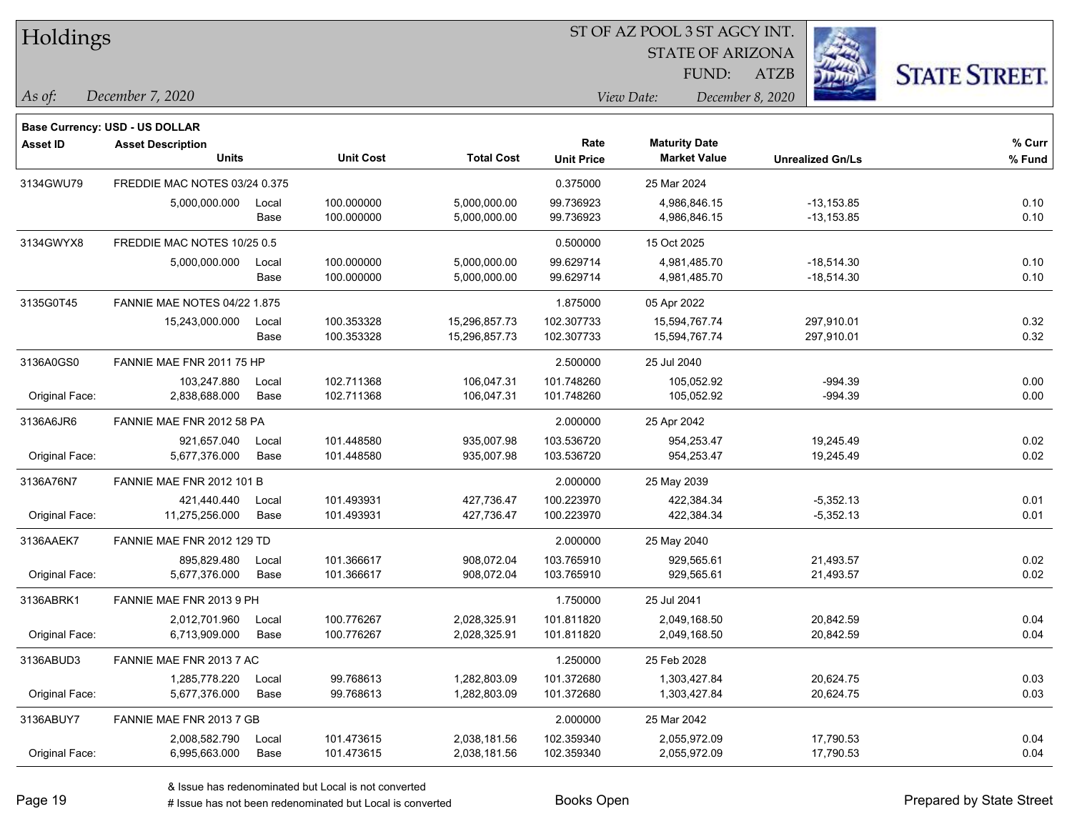| Holdings |
|----------|
|----------|

STATE OF ARIZONA

ATZB



*December 7, 2020 As of: View Date: December 8, 2020*

**Base Currency: USD - US DOLLAR**

| <b>Asset ID</b> | <b>Asset Description</b>            |       |                  |                   | Rate              | <b>Maturity Date</b> |                         | % Curr |
|-----------------|-------------------------------------|-------|------------------|-------------------|-------------------|----------------------|-------------------------|--------|
|                 | <b>Units</b>                        |       | <b>Unit Cost</b> | <b>Total Cost</b> | <b>Unit Price</b> | <b>Market Value</b>  | <b>Unrealized Gn/Ls</b> | % Fund |
| 3134GWU79       | FREDDIE MAC NOTES 03/24 0.375       |       |                  |                   | 0.375000          | 25 Mar 2024          |                         |        |
|                 | 5,000,000.000                       | Local | 100.000000       | 5,000,000.00      | 99.736923         | 4,986,846.15         | $-13, 153.85$           | 0.10   |
|                 |                                     | Base  | 100.000000       | 5,000,000.00      | 99.736923         | 4,986,846.15         | $-13, 153.85$           | 0.10   |
| 3134GWYX8       | FREDDIE MAC NOTES 10/25 0.5         |       |                  |                   | 0.500000          | 15 Oct 2025          |                         |        |
|                 | 5,000,000.000                       | Local | 100.000000       | 5,000,000.00      | 99.629714         | 4,981,485.70         | $-18,514.30$            | 0.10   |
|                 |                                     | Base  | 100.000000       | 5,000,000.00      | 99.629714         | 4,981,485.70         | $-18,514.30$            | 0.10   |
| 3135G0T45       | <b>FANNIE MAE NOTES 04/22 1.875</b> |       |                  |                   | 1.875000          | 05 Apr 2022          |                         |        |
|                 | 15,243,000.000                      | Local | 100.353328       | 15,296,857.73     | 102.307733        | 15,594,767.74        | 297,910.01              | 0.32   |
|                 |                                     | Base  | 100.353328       | 15,296,857.73     | 102.307733        | 15,594,767.74        | 297,910.01              | 0.32   |
| 3136A0GS0       | FANNIE MAE FNR 2011 75 HP           |       |                  |                   | 2.500000          | 25 Jul 2040          |                         |        |
|                 | 103.247.880                         | Local | 102.711368       | 106,047.31        | 101.748260        | 105,052.92           | $-994.39$               | 0.00   |
| Original Face:  | 2,838,688.000                       | Base  | 102.711368       | 106,047.31        | 101.748260        | 105,052.92           | $-994.39$               | 0.00   |
| 3136A6JR6       | FANNIE MAE FNR 2012 58 PA           |       |                  |                   | 2.000000          | 25 Apr 2042          |                         |        |
|                 | 921,657.040                         | Local | 101.448580       | 935,007.98        | 103.536720        | 954,253.47           | 19,245.49               | 0.02   |
| Original Face:  | 5,677,376.000                       | Base  | 101.448580       | 935,007.98        | 103.536720        | 954,253.47           | 19,245.49               | 0.02   |
| 3136A76N7       | FANNIE MAE FNR 2012 101 B           |       |                  |                   | 2.000000          | 25 May 2039          |                         |        |
|                 | 421,440.440                         | Local | 101.493931       | 427,736.47        | 100.223970        | 422.384.34           | $-5,352.13$             | 0.01   |
| Original Face:  | 11,275,256.000                      | Base  | 101.493931       | 427,736.47        | 100.223970        | 422,384.34           | $-5,352.13$             | 0.01   |
| 3136AAEK7       | FANNIE MAE FNR 2012 129 TD          |       |                  |                   | 2.000000          | 25 May 2040          |                         |        |
|                 | 895,829.480                         | Local | 101.366617       | 908,072.04        | 103.765910        | 929.565.61           | 21,493.57               | 0.02   |
| Original Face:  | 5,677,376.000                       | Base  | 101.366617       | 908,072.04        | 103.765910        | 929,565.61           | 21,493.57               | 0.02   |
| 3136ABRK1       | FANNIE MAE FNR 2013 9 PH            |       |                  |                   | 1.750000          | 25 Jul 2041          |                         |        |
|                 | 2,012,701.960                       | Local | 100.776267       | 2,028,325.91      | 101.811820        | 2,049,168.50         | 20,842.59               | 0.04   |
| Original Face:  | 6,713,909.000                       | Base  | 100.776267       | 2,028,325.91      | 101.811820        | 2,049,168.50         | 20,842.59               | 0.04   |
| 3136ABUD3       | FANNIE MAE FNR 2013 7 AC            |       |                  |                   | 1.250000          | 25 Feb 2028          |                         |        |
|                 | 1,285,778.220                       | Local | 99.768613        | 1,282,803.09      | 101.372680        | 1,303,427.84         | 20,624.75               | 0.03   |
| Original Face:  | 5,677,376.000                       | Base  | 99.768613        | 1,282,803.09      | 101.372680        | 1,303,427.84         | 20,624.75               | 0.03   |
| 3136ABUY7       | FANNIE MAE FNR 2013 7 GB            |       |                  |                   | 2.000000          | 25 Mar 2042          |                         |        |
|                 | 2,008,582.790                       | Local | 101.473615       | 2,038,181.56      | 102.359340        | 2,055,972.09         | 17,790.53               | 0.04   |
| Original Face:  | 6,995,663.000                       | Base  | 101.473615       | 2,038,181.56      | 102.359340        | 2,055,972.09         | 17,790.53               | 0.04   |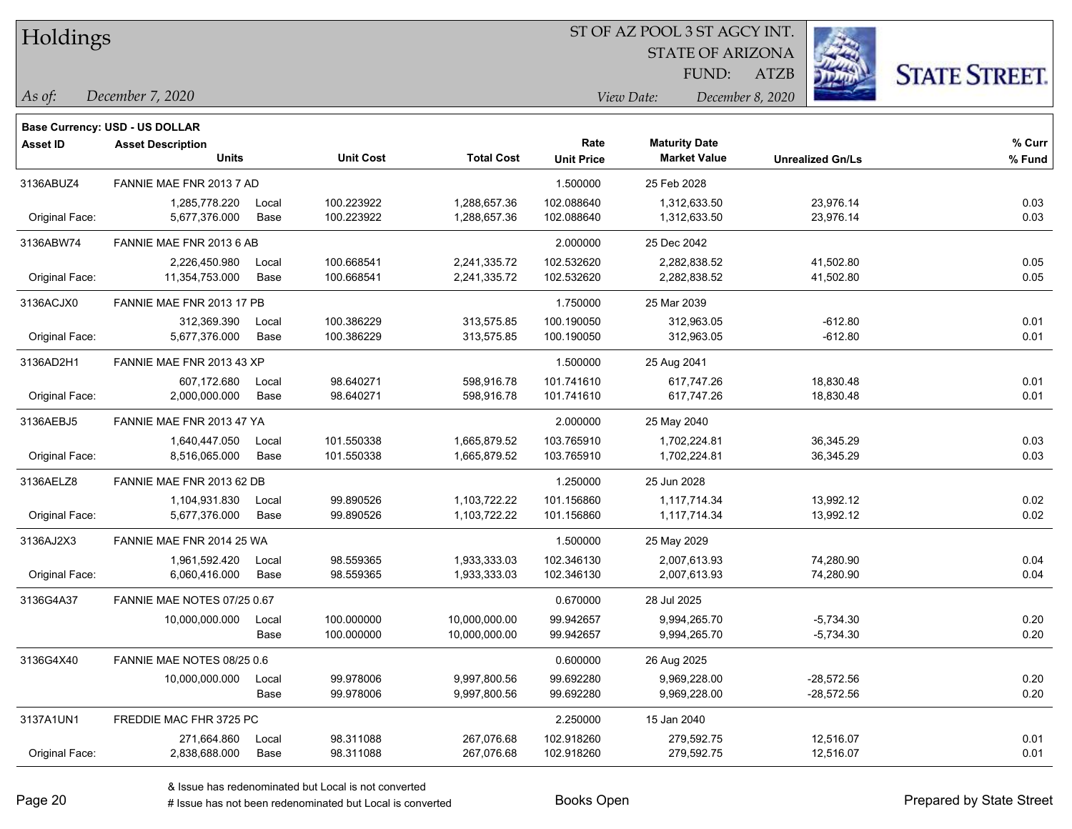Holdings

#### ST OF AZ POOL 3 ST AGCY INT.

STATE OF ARIZONA FUND:

ATZB



*As of: View Date: December 8, 2020*

| As of: | December 7, 2020 |  |  |
|--------|------------------|--|--|
|--------|------------------|--|--|

|                 | <b>Base Currency: USD - US DOLLAR</b> |       |                  |                   |                   |                      |                         |        |
|-----------------|---------------------------------------|-------|------------------|-------------------|-------------------|----------------------|-------------------------|--------|
| <b>Asset ID</b> | <b>Asset Description</b>              |       |                  |                   | Rate              | <b>Maturity Date</b> |                         | % Curr |
|                 | Units                                 |       | <b>Unit Cost</b> | <b>Total Cost</b> | <b>Unit Price</b> | <b>Market Value</b>  | <b>Unrealized Gn/Ls</b> | % Fund |
| 3136ABUZ4       | FANNIE MAE FNR 2013 7 AD              |       |                  |                   | 1.500000          | 25 Feb 2028          |                         |        |
|                 | 1,285,778.220                         | Local | 100.223922       | 1,288,657.36      | 102.088640        | 1,312,633.50         | 23,976.14               | 0.03   |
| Original Face:  | 5,677,376.000                         | Base  | 100.223922       | 1,288,657.36      | 102.088640        | 1,312,633.50         | 23,976.14               | 0.03   |
| 3136ABW74       | FANNIE MAE FNR 2013 6 AB              |       |                  |                   | 2.000000          | 25 Dec 2042          |                         |        |
|                 | 2,226,450.980                         | Local | 100.668541       | 2,241,335.72      | 102.532620        | 2,282,838.52         | 41,502.80               | 0.05   |
| Original Face:  | 11,354,753.000                        | Base  | 100.668541       | 2,241,335.72      | 102.532620        | 2,282,838.52         | 41,502.80               | 0.05   |
| 3136ACJX0       | FANNIE MAE FNR 2013 17 PB             |       |                  |                   | 1.750000          | 25 Mar 2039          |                         |        |
|                 | 312,369.390                           | Local | 100.386229       | 313,575.85        | 100.190050        | 312,963.05           | $-612.80$               | 0.01   |
| Original Face:  | 5,677,376.000                         | Base  | 100.386229       | 313,575.85        | 100.190050        | 312,963.05           | $-612.80$               | 0.01   |
| 3136AD2H1       | FANNIE MAE FNR 2013 43 XP             |       |                  |                   | 1.500000          | 25 Aug 2041          |                         |        |
|                 | 607,172.680                           | Local | 98.640271        | 598,916.78        | 101.741610        | 617,747.26           | 18,830.48               | 0.01   |
| Original Face:  | 2,000,000.000                         | Base  | 98.640271        | 598,916.78        | 101.741610        | 617,747.26           | 18,830.48               | 0.01   |
| 3136AEBJ5       | FANNIE MAE FNR 2013 47 YA             |       |                  |                   | 2.000000          | 25 May 2040          |                         |        |
|                 | 1,640,447.050                         | Local | 101.550338       | 1,665,879.52      | 103.765910        | 1,702,224.81         | 36,345.29               | 0.03   |
| Original Face:  | 8,516,065.000                         | Base  | 101.550338       | 1,665,879.52      | 103.765910        | 1,702,224.81         | 36,345.29               | 0.03   |
| 3136AELZ8       | FANNIE MAE FNR 2013 62 DB             |       |                  |                   | 1.250000          | 25 Jun 2028          |                         |        |
|                 | 1,104,931.830                         | Local | 99.890526        | 1,103,722.22      | 101.156860        | 1,117,714.34         | 13,992.12               | 0.02   |
| Original Face:  | 5,677,376.000                         | Base  | 99.890526        | 1,103,722.22      | 101.156860        | 1,117,714.34         | 13,992.12               | 0.02   |
| 3136AJ2X3       | FANNIE MAE FNR 2014 25 WA             |       |                  |                   | 1.500000          | 25 May 2029          |                         |        |
|                 | 1,961,592.420                         | Local | 98.559365        | 1,933,333.03      | 102.346130        | 2,007,613.93         | 74,280.90               | 0.04   |
| Original Face:  | 6,060,416.000                         | Base  | 98.559365        | 1,933,333.03      | 102.346130        | 2,007,613.93         | 74,280.90               | 0.04   |
| 3136G4A37       | FANNIE MAE NOTES 07/25 0.67           |       |                  |                   | 0.670000          | 28 Jul 2025          |                         |        |
|                 | 10,000,000.000                        | Local | 100.000000       | 10,000,000.00     | 99.942657         | 9,994,265.70         | $-5,734.30$             | 0.20   |
|                 |                                       | Base  | 100.000000       | 10,000,000.00     | 99.942657         | 9,994,265.70         | $-5,734.30$             | 0.20   |
| 3136G4X40       | FANNIE MAE NOTES 08/25 0.6            |       |                  |                   | 0.600000          | 26 Aug 2025          |                         |        |
|                 | 10,000,000.000                        | Local | 99.978006        | 9,997,800.56      | 99.692280         | 9,969,228.00         | -28,572.56              | 0.20   |
|                 |                                       | Base  | 99.978006        | 9,997,800.56      | 99.692280         | 9,969,228.00         | $-28,572.56$            | 0.20   |
| 3137A1UN1       | FREDDIE MAC FHR 3725 PC               |       |                  |                   | 2.250000          | 15 Jan 2040          |                         |        |
|                 | 271,664.860                           | Local | 98.311088        | 267,076.68        | 102.918260        | 279,592.75           | 12,516.07               | 0.01   |
| Original Face:  | 2,838,688.000                         | Base  | 98.311088        | 267,076.68        | 102.918260        | 279,592.75           | 12,516.07               | 0.01   |
|                 |                                       |       |                  |                   |                   |                      |                         |        |

& Issue has redenominated but Local is not converted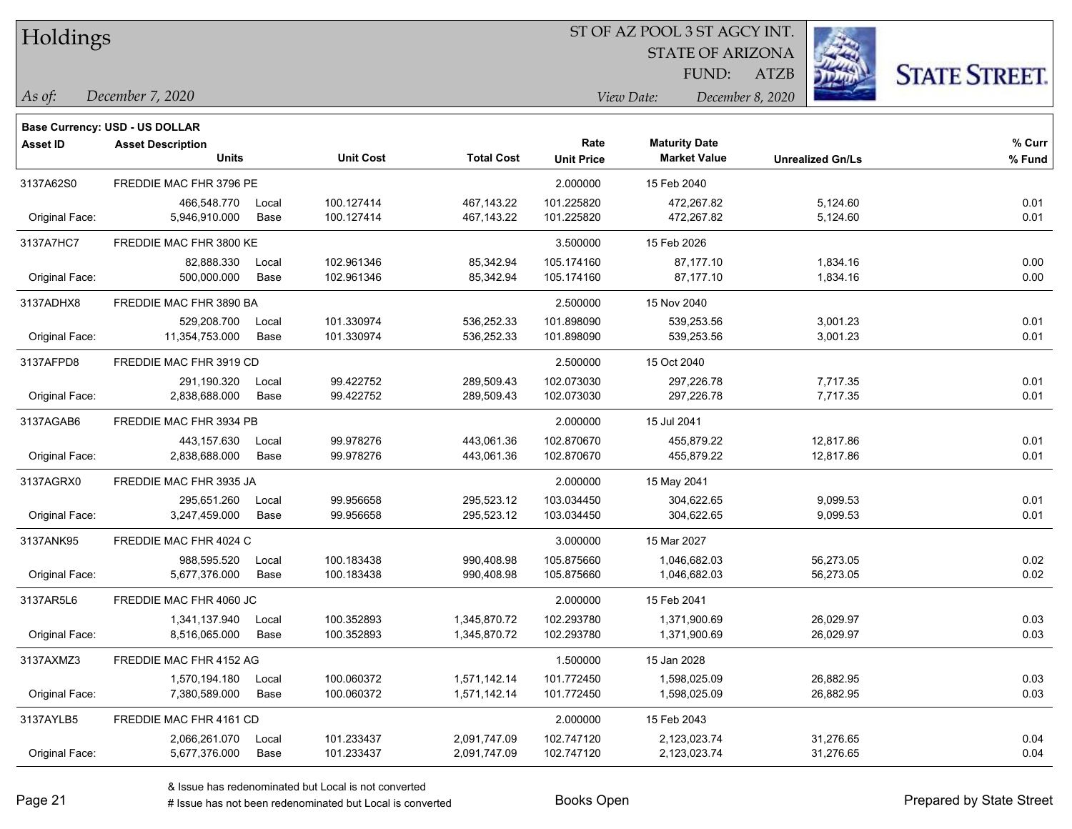|  | <b>Holdings</b> |
|--|-----------------|
|  |                 |

STATE OF ARIZONA FUND:

ATZB



*As of: View Date: December 8, 2020*

| As of: | December 7, 2020 |  |
|--------|------------------|--|
|        |                  |  |

|                 | <b>Base Currency: USD - US DOLLAR</b> |       |                  |                   |                   |                      |                         |        |
|-----------------|---------------------------------------|-------|------------------|-------------------|-------------------|----------------------|-------------------------|--------|
| <b>Asset ID</b> | <b>Asset Description</b>              |       |                  |                   | Rate              | <b>Maturity Date</b> |                         | % Curr |
|                 | <b>Units</b>                          |       | <b>Unit Cost</b> | <b>Total Cost</b> | <b>Unit Price</b> | <b>Market Value</b>  | <b>Unrealized Gn/Ls</b> | % Fund |
| 3137A62S0       | FREDDIE MAC FHR 3796 PE               |       |                  |                   | 2.000000          | 15 Feb 2040          |                         |        |
|                 | 466,548.770                           | Local | 100.127414       | 467,143.22        | 101.225820        | 472,267.82           | 5,124.60                | 0.01   |
| Original Face:  | 5,946,910.000                         | Base  | 100.127414       | 467,143.22        | 101.225820        | 472,267.82           | 5,124.60                | 0.01   |
| 3137A7HC7       | FREDDIE MAC FHR 3800 KE               |       |                  |                   | 3.500000          | 15 Feb 2026          |                         |        |
|                 | 82.888.330                            | Local | 102.961346       | 85,342.94         | 105.174160        | 87,177.10            | 1,834.16                | 0.00   |
| Original Face:  | 500,000.000                           | Base  | 102.961346       | 85,342.94         | 105.174160        | 87,177.10            | 1,834.16                | 0.00   |
| 3137ADHX8       | FREDDIE MAC FHR 3890 BA               |       |                  |                   | 2.500000          | 15 Nov 2040          |                         |        |
|                 | 529,208.700                           | Local | 101.330974       | 536,252.33        | 101.898090        | 539,253.56           | 3,001.23                | 0.01   |
| Original Face:  | 11,354,753.000                        | Base  | 101.330974       | 536,252.33        | 101.898090        | 539,253.56           | 3,001.23                | 0.01   |
| 3137AFPD8       | FREDDIE MAC FHR 3919 CD               |       |                  |                   | 2.500000          | 15 Oct 2040          |                         |        |
|                 | 291,190.320                           | Local | 99.422752        | 289,509.43        | 102.073030        | 297,226.78           | 7,717.35                | 0.01   |
| Original Face:  | 2,838,688.000                         | Base  | 99.422752        | 289,509.43        | 102.073030        | 297,226.78           | 7,717.35                | 0.01   |
| 3137AGAB6       | FREDDIE MAC FHR 3934 PB               |       |                  |                   | 2.000000          | 15 Jul 2041          |                         |        |
|                 | 443,157.630                           | Local | 99.978276        | 443,061.36        | 102.870670        | 455,879.22           | 12,817.86               | 0.01   |
| Original Face:  | 2,838,688.000                         | Base  | 99.978276        | 443,061.36        | 102.870670        | 455,879.22           | 12,817.86               | 0.01   |
| 3137AGRX0       | FREDDIE MAC FHR 3935 JA               |       |                  |                   | 2.000000          | 15 May 2041          |                         |        |
|                 | 295,651.260                           | Local | 99.956658        | 295,523.12        | 103.034450        | 304,622.65           | 9,099.53                | 0.01   |
| Original Face:  | 3,247,459.000                         | Base  | 99.956658        | 295,523.12        | 103.034450        | 304,622.65           | 9,099.53                | 0.01   |
| 3137ANK95       | FREDDIE MAC FHR 4024 C                |       |                  |                   | 3.000000          | 15 Mar 2027          |                         |        |
|                 | 988,595.520                           | Local | 100.183438       | 990,408.98        | 105.875660        | 1,046,682.03         | 56,273.05               | 0.02   |
| Original Face:  | 5,677,376.000                         | Base  | 100.183438       | 990,408.98        | 105.875660        | 1,046,682.03         | 56,273.05               | 0.02   |
| 3137AR5L6       | FREDDIE MAC FHR 4060 JC               |       |                  |                   | 2.000000          | 15 Feb 2041          |                         |        |
|                 | 1,341,137.940                         | Local | 100.352893       | 1,345,870.72      | 102.293780        | 1,371,900.69         | 26,029.97               | 0.03   |
| Original Face:  | 8,516,065.000                         | Base  | 100.352893       | 1,345,870.72      | 102.293780        | 1,371,900.69         | 26,029.97               | 0.03   |
| 3137AXMZ3       | FREDDIE MAC FHR 4152 AG               |       |                  |                   | 1.500000          | 15 Jan 2028          |                         |        |
|                 | 1,570,194.180                         | Local | 100.060372       | 1,571,142.14      | 101.772450        | 1,598,025.09         | 26,882.95               | 0.03   |
| Original Face:  | 7,380,589.000                         | Base  | 100.060372       | 1,571,142.14      | 101.772450        | 1,598,025.09         | 26,882.95               | 0.03   |
| 3137AYLB5       | FREDDIE MAC FHR 4161 CD               |       |                  |                   | 2.000000          | 15 Feb 2043          |                         |        |
|                 | 2,066,261.070                         | Local | 101.233437       | 2,091,747.09      | 102.747120        | 2,123,023.74         | 31,276.65               | 0.04   |
| Original Face:  | 5,677,376.000                         | Base  | 101.233437       | 2,091,747.09      | 102.747120        | 2,123,023.74         | 31,276.65               | 0.04   |
|                 |                                       |       |                  |                   |                   |                      |                         |        |

A ISSUE ISSUE ISSUE ISSUE ISSUE ISSUE ISSUE ISSUE ISSUE ISSUE ISSUE ISSUE ISSUE ISSUE ISSUE ISSUE ISSUE ISSUE I<br>
A ISSUE has not been redenominated but Local is converted **Books Open Books ISSUE ISSUE ISSUE ISSUE ISSUE I**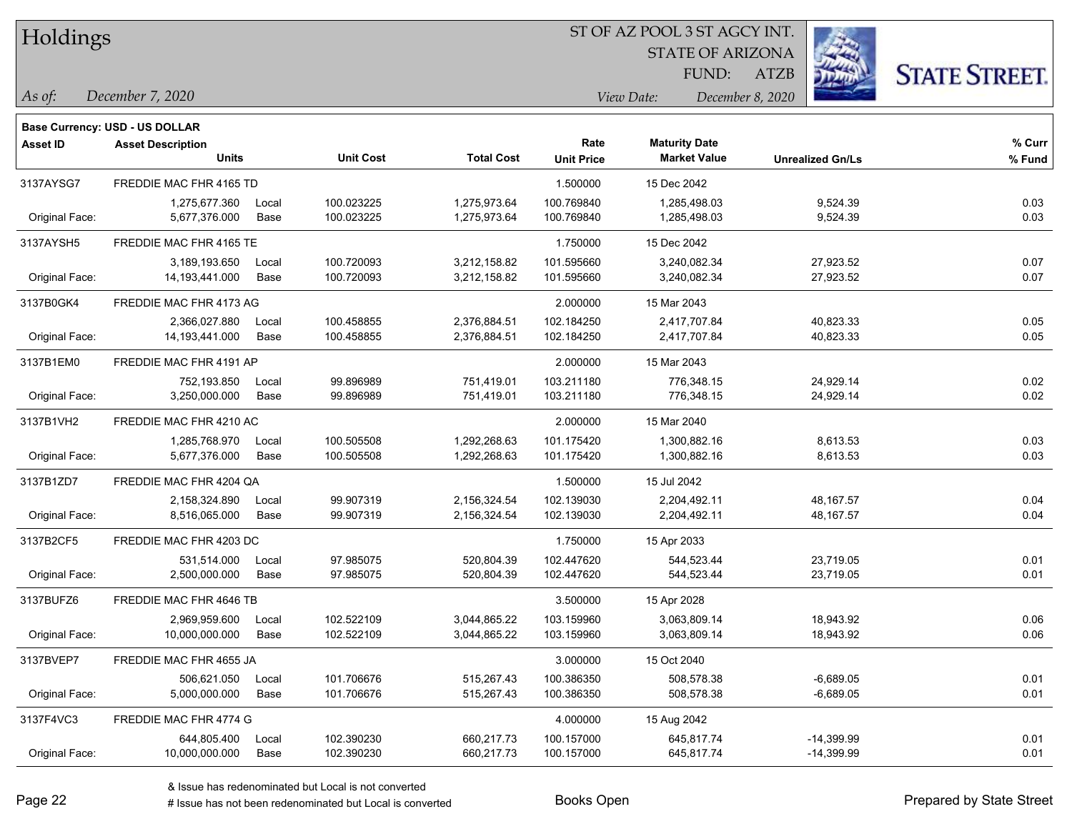Holdings

#### ST OF AZ POOL 3 ST AGCY INT.

STATE OF ARIZONA FUND:

ATZB



*December 7, 2020 As of: View Date: December 8, 2020*

|                 | Base Currency: USD - US DOLLAR |       |                  |                   |                   |                      |                         |        |
|-----------------|--------------------------------|-------|------------------|-------------------|-------------------|----------------------|-------------------------|--------|
| <b>Asset ID</b> | <b>Asset Description</b>       |       |                  |                   | Rate              | <b>Maturity Date</b> |                         | % Curr |
|                 | <b>Units</b>                   |       | <b>Unit Cost</b> | <b>Total Cost</b> | <b>Unit Price</b> | <b>Market Value</b>  | <b>Unrealized Gn/Ls</b> | % Fund |
| 3137AYSG7       | FREDDIE MAC FHR 4165 TD        |       |                  |                   | 1.500000          | 15 Dec 2042          |                         |        |
|                 | 1,275,677.360                  | Local | 100.023225       | 1,275,973.64      | 100.769840        | 1,285,498.03         | 9,524.39                | 0.03   |
| Original Face:  | 5,677,376.000                  | Base  | 100.023225       | 1,275,973.64      | 100.769840        | 1,285,498.03         | 9,524.39                | 0.03   |
| 3137AYSH5       | FREDDIE MAC FHR 4165 TE        |       |                  |                   | 1.750000          | 15 Dec 2042          |                         |        |
|                 | 3,189,193.650                  | Local | 100.720093       | 3,212,158.82      | 101.595660        | 3,240,082.34         | 27,923.52               | 0.07   |
| Original Face:  | 14, 193, 441.000               | Base  | 100.720093       | 3,212,158.82      | 101.595660        | 3,240,082.34         | 27,923.52               | 0.07   |
| 3137B0GK4       | FREDDIE MAC FHR 4173 AG        |       |                  |                   | 2.000000          | 15 Mar 2043          |                         |        |
|                 | 2,366,027.880                  | Local | 100.458855       | 2,376,884.51      | 102.184250        | 2,417,707.84         | 40,823.33               | 0.05   |
| Original Face:  | 14, 193, 441.000               | Base  | 100.458855       | 2,376,884.51      | 102.184250        | 2,417,707.84         | 40,823.33               | 0.05   |
| 3137B1EM0       | FREDDIE MAC FHR 4191 AP        |       |                  |                   | 2.000000          | 15 Mar 2043          |                         |        |
|                 | 752,193.850                    | Local | 99.896989        | 751,419.01        | 103.211180        | 776,348.15           | 24,929.14               | 0.02   |
| Original Face:  | 3,250,000.000                  | Base  | 99.896989        | 751,419.01        | 103.211180        | 776,348.15           | 24,929.14               | 0.02   |
| 3137B1VH2       | FREDDIE MAC FHR 4210 AC        |       |                  |                   | 2.000000          | 15 Mar 2040          |                         |        |
|                 | 1,285,768.970                  | Local | 100.505508       | 1,292,268.63      | 101.175420        | 1,300,882.16         | 8,613.53                | 0.03   |
| Original Face:  | 5,677,376.000                  | Base  | 100.505508       | 1,292,268.63      | 101.175420        | 1,300,882.16         | 8,613.53                | 0.03   |
| 3137B1ZD7       | FREDDIE MAC FHR 4204 QA        |       |                  |                   | 1.500000          | 15 Jul 2042          |                         |        |
|                 | 2,158,324.890                  | Local | 99.907319        | 2,156,324.54      | 102.139030        | 2,204,492.11         | 48,167.57               | 0.04   |
| Original Face:  | 8,516,065.000                  | Base  | 99.907319        | 2,156,324.54      | 102.139030        | 2,204,492.11         | 48,167.57               | 0.04   |
| 3137B2CF5       | FREDDIE MAC FHR 4203 DC        |       |                  |                   | 1.750000          | 15 Apr 2033          |                         |        |
|                 | 531,514.000                    | Local | 97.985075        | 520,804.39        | 102.447620        | 544,523.44           | 23,719.05               | 0.01   |
| Original Face:  | 2,500,000.000                  | Base  | 97.985075        | 520,804.39        | 102.447620        | 544,523.44           | 23,719.05               | 0.01   |
| 3137BUFZ6       | FREDDIE MAC FHR 4646 TB        |       |                  |                   | 3.500000          | 15 Apr 2028          |                         |        |
|                 | 2,969,959.600                  | Local | 102.522109       | 3,044,865.22      | 103.159960        | 3,063,809.14         | 18,943.92               | 0.06   |
| Original Face:  | 10,000,000.000                 | Base  | 102.522109       | 3,044,865.22      | 103.159960        | 3,063,809.14         | 18,943.92               | 0.06   |
| 3137BVEP7       | FREDDIE MAC FHR 4655 JA        |       |                  |                   | 3.000000          | 15 Oct 2040          |                         |        |
|                 | 506,621.050                    | Local | 101.706676       | 515,267.43        | 100.386350        | 508.578.38           | $-6,689.05$             | 0.01   |
| Original Face:  | 5,000,000.000                  | Base  | 101.706676       | 515,267.43        | 100.386350        | 508,578.38           | $-6,689.05$             | 0.01   |
| 3137F4VC3       | FREDDIE MAC FHR 4774 G         |       |                  |                   | 4.000000          | 15 Aug 2042          |                         |        |
|                 | 644,805.400                    | Local | 102.390230       | 660,217.73        | 100.157000        | 645,817.74           | -14,399.99              | 0.01   |
| Original Face:  | 10,000,000.000                 | Base  | 102.390230       | 660,217.73        | 100.157000        | 645,817.74           | $-14,399.99$            | 0.01   |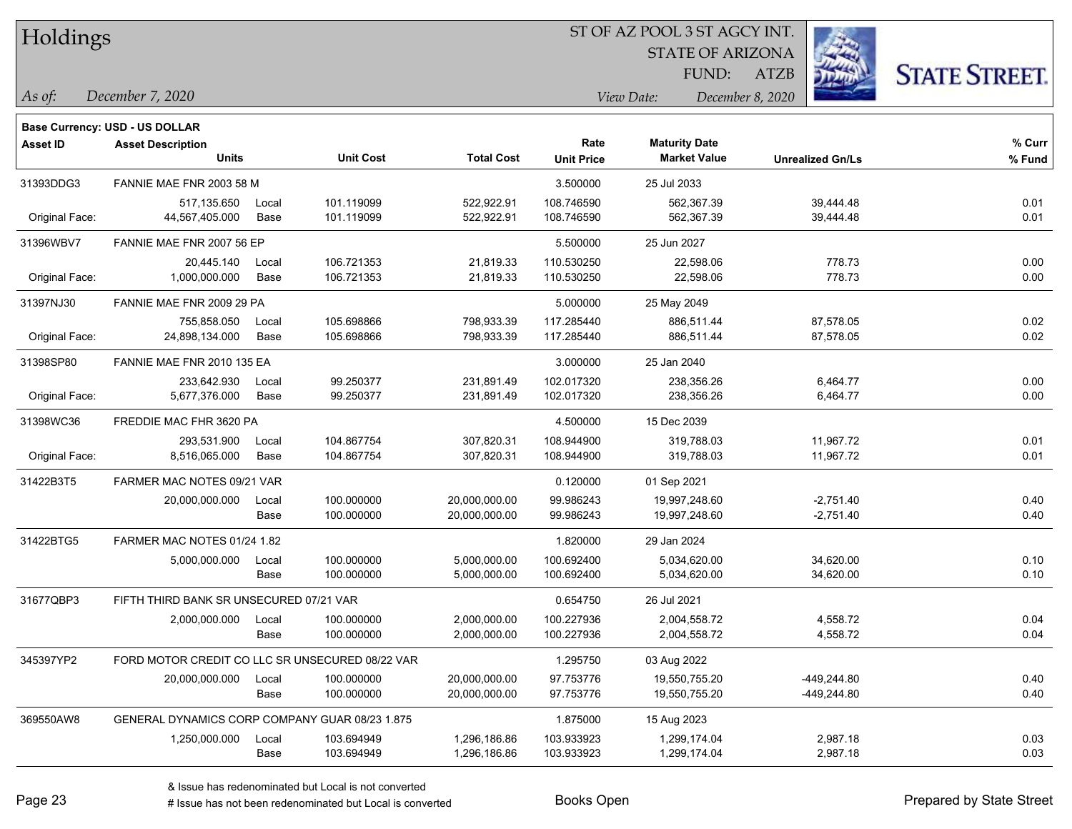Holdings

#### ST OF AZ POOL 3 ST AGCY INT.

STATE OF ARIZONA FUND:

ATZB



*As of: View Date: December 8, 2020*

| December 7, 2020<br>As of: |  |
|----------------------------|--|
|----------------------------|--|

|                 | <b>Base Currency: USD - US DOLLAR</b>           |       |                  |                   |                   |                      |                         |        |
|-----------------|-------------------------------------------------|-------|------------------|-------------------|-------------------|----------------------|-------------------------|--------|
| <b>Asset ID</b> | <b>Asset Description</b>                        |       |                  |                   | Rate              | <b>Maturity Date</b> |                         | % Curr |
|                 | <b>Units</b>                                    |       | <b>Unit Cost</b> | <b>Total Cost</b> | <b>Unit Price</b> | <b>Market Value</b>  | <b>Unrealized Gn/Ls</b> | % Fund |
| 31393DDG3       | FANNIE MAE FNR 2003 58 M                        |       |                  |                   | 3.500000          | 25 Jul 2033          |                         |        |
|                 | 517,135.650                                     | Local | 101.119099       | 522,922.91        | 108.746590        | 562,367.39           | 39,444.48               | 0.01   |
| Original Face:  | 44,567,405.000                                  | Base  | 101.119099       | 522,922.91        | 108.746590        | 562,367.39           | 39,444.48               | 0.01   |
| 31396WBV7       | FANNIE MAE FNR 2007 56 EP                       |       |                  |                   | 5.500000          | 25 Jun 2027          |                         |        |
|                 | 20,445.140                                      | Local | 106.721353       | 21,819.33         | 110.530250        | 22,598.06            | 778.73                  | 0.00   |
| Original Face:  | 1,000,000.000                                   | Base  | 106.721353       | 21,819.33         | 110.530250        | 22,598.06            | 778.73                  | 0.00   |
| 31397NJ30       | FANNIE MAE FNR 2009 29 PA                       |       |                  |                   | 5.000000          | 25 May 2049          |                         |        |
|                 | 755,858.050                                     | Local | 105.698866       | 798,933.39        | 117.285440        | 886,511.44           | 87,578.05               | 0.02   |
| Original Face:  | 24,898,134.000                                  | Base  | 105.698866       | 798,933.39        | 117.285440        | 886,511.44           | 87,578.05               | 0.02   |
| 31398SP80       | FANNIE MAE FNR 2010 135 EA                      |       |                  |                   | 3.000000          | 25 Jan 2040          |                         |        |
|                 | 233,642.930                                     | Local | 99.250377        | 231,891.49        | 102.017320        | 238,356.26           | 6,464.77                | 0.00   |
| Original Face:  | 5,677,376.000                                   | Base  | 99.250377        | 231,891.49        | 102.017320        | 238,356.26           | 6,464.77                | 0.00   |
| 31398WC36       | FREDDIE MAC FHR 3620 PA                         |       |                  |                   | 4.500000          | 15 Dec 2039          |                         |        |
|                 | 293,531.900                                     | Local | 104.867754       | 307,820.31        | 108.944900        | 319,788.03           | 11,967.72               | 0.01   |
| Original Face:  | 8,516,065.000                                   | Base  | 104.867754       | 307,820.31        | 108.944900        | 319,788.03           | 11,967.72               | 0.01   |
| 31422B3T5       | FARMER MAC NOTES 09/21 VAR                      |       |                  |                   | 0.120000          | 01 Sep 2021          |                         |        |
|                 | 20,000,000.000                                  | Local | 100.000000       | 20,000,000.00     | 99.986243         | 19,997,248.60        | $-2,751.40$             | 0.40   |
|                 |                                                 | Base  | 100.000000       | 20,000,000.00     | 99.986243         | 19,997,248.60        | $-2,751.40$             | 0.40   |
| 31422BTG5       | FARMER MAC NOTES 01/24 1.82                     |       |                  |                   | 1.820000          | 29 Jan 2024          |                         |        |
|                 | 5,000,000.000                                   | Local | 100.000000       | 5,000,000.00      | 100.692400        | 5,034,620.00         | 34,620.00               | 0.10   |
|                 |                                                 | Base  | 100.000000       | 5,000,000.00      | 100.692400        | 5,034,620.00         | 34,620.00               | 0.10   |
| 31677QBP3       | FIFTH THIRD BANK SR UNSECURED 07/21 VAR         |       |                  |                   | 0.654750          | 26 Jul 2021          |                         |        |
|                 | 2,000,000.000                                   | Local | 100.000000       | 2,000,000.00      | 100.227936        | 2,004,558.72         | 4,558.72                | 0.04   |
|                 |                                                 | Base  | 100.000000       | 2,000,000.00      | 100.227936        | 2,004,558.72         | 4,558.72                | 0.04   |
| 345397YP2       | FORD MOTOR CREDIT CO LLC SR UNSECURED 08/22 VAR |       |                  |                   | 1.295750          | 03 Aug 2022          |                         |        |
|                 | 20,000,000.000                                  | Local | 100.000000       | 20,000,000.00     | 97.753776         | 19,550,755.20        | -449,244.80             | 0.40   |
|                 |                                                 | Base  | 100.000000       | 20,000,000.00     | 97.753776         | 19,550,755.20        | -449,244.80             | 0.40   |
| 369550AW8       | GENERAL DYNAMICS CORP COMPANY GUAR 08/23 1.875  |       |                  |                   | 1.875000          | 15 Aug 2023          |                         |        |
|                 | 1,250,000.000                                   | Local | 103.694949       | 1,296,186.86      | 103.933923        | 1,299,174.04         | 2,987.18                | 0.03   |
|                 |                                                 | Base  | 103.694949       | 1,296,186.86      | 103.933923        | 1,299,174.04         | 2,987.18                | 0.03   |
|                 |                                                 |       |                  |                   |                   |                      |                         |        |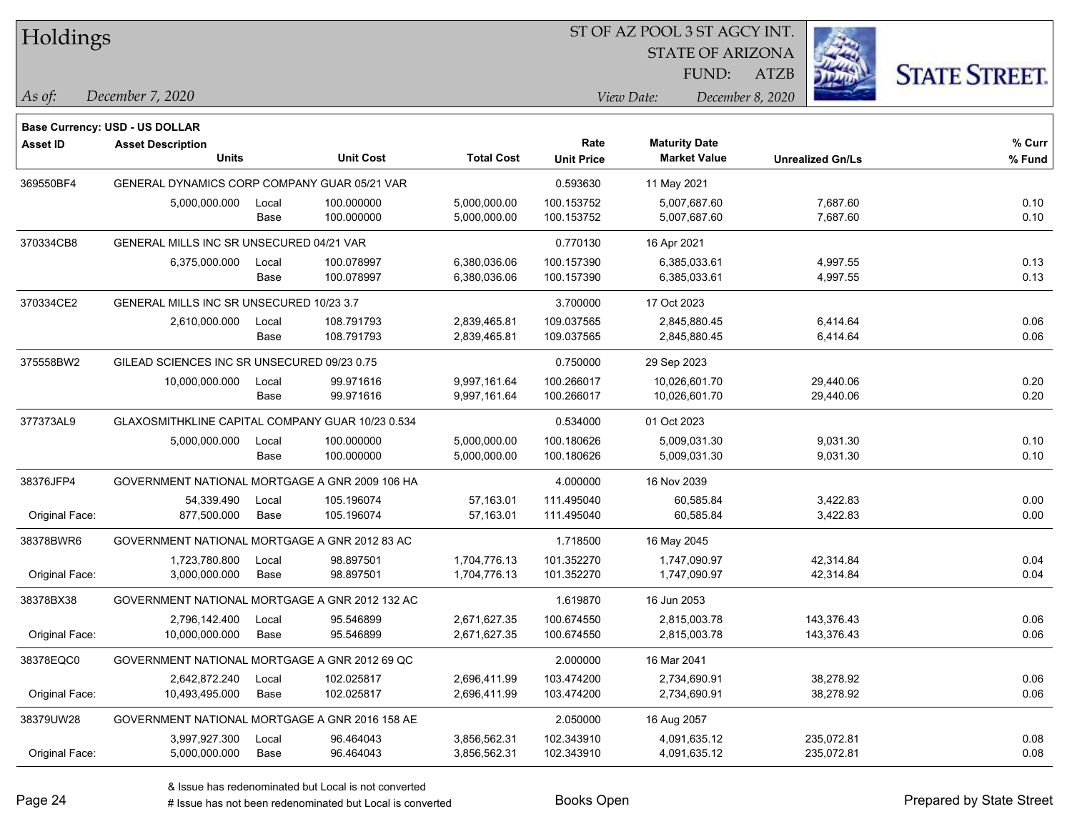| Holdings        |                                                  |       |                  |                   | ST OF AZ POOL 3 ST AGCY INT. |                      |                         |                         |                      |
|-----------------|--------------------------------------------------|-------|------------------|-------------------|------------------------------|----------------------|-------------------------|-------------------------|----------------------|
|                 |                                                  |       |                  |                   |                              |                      | <b>STATE OF ARIZONA</b> |                         |                      |
|                 |                                                  |       |                  |                   |                              | FUND:                | <b>ATZB</b>             |                         | <b>STATE STREET.</b> |
| As of:          | December 7, 2020                                 |       |                  |                   |                              | View Date:           | December 8, 2020        |                         |                      |
|                 | <b>Base Currency: USD - US DOLLAR</b>            |       |                  |                   |                              |                      |                         |                         |                      |
| <b>Asset ID</b> | <b>Asset Description</b>                         |       |                  |                   | Rate                         | <b>Maturity Date</b> |                         |                         | $%$ Curr             |
|                 | <b>Units</b>                                     |       | <b>Unit Cost</b> | <b>Total Cost</b> | <b>Unit Price</b>            | <b>Market Value</b>  |                         | <b>Unrealized Gn/Ls</b> | % Fund               |
| 369550BF4       | GENERAL DYNAMICS CORP COMPANY GUAR 05/21 VAR     |       |                  |                   | 0.593630                     | 11 May 2021          |                         |                         |                      |
|                 | 5,000,000.000                                    | Local | 100.000000       | 5,000,000.00      | 100.153752                   | 5,007,687.60         |                         | 7,687.60                | 0.10                 |
|                 |                                                  | Base  | 100.000000       | 5,000,000.00      | 100.153752                   | 5,007,687.60         |                         | 7,687.60                | 0.10                 |
| 370334CB8       | GENERAL MILLS INC SR UNSECURED 04/21 VAR         |       |                  |                   | 0.770130                     | 16 Apr 2021          |                         |                         |                      |
|                 | 6,375,000.000                                    | Local | 100.078997       | 6,380,036.06      | 100.157390                   | 6,385,033.61         |                         | 4,997.55                | 0.13                 |
|                 |                                                  | Base  | 100.078997       | 6,380,036.06      | 100.157390                   | 6,385,033.61         |                         | 4,997.55                | 0.13                 |
| 370334CE2       | GENERAL MILLS INC SR UNSECURED 10/23 3.7         |       |                  |                   | 3.700000                     | 17 Oct 2023          |                         |                         |                      |
|                 | 2,610,000.000                                    | Local | 108.791793       | 2,839,465.81      | 109.037565                   | 2,845,880.45         |                         | 6,414.64                | 0.06                 |
|                 |                                                  | Base  | 108.791793       | 2,839,465.81      | 109.037565                   | 2,845,880.45         |                         | 6,414.64                | 0.06                 |
| 375558BW2       | GILEAD SCIENCES INC SR UNSECURED 09/23 0.75      |       |                  |                   | 0.750000                     | 29 Sep 2023          |                         |                         |                      |
|                 | 10,000,000.000                                   | Local | 99.971616        | 9,997,161.64      | 100.266017                   | 10,026,601.70        |                         | 29,440.06               | 0.20                 |
|                 |                                                  | Base  | 99.971616        | 9,997,161.64      | 100.266017                   | 10,026,601.70        |                         | 29,440.06               | 0.20                 |
| 377373AL9       | GLAXOSMITHKLINE CAPITAL COMPANY GUAR 10/23 0.534 |       |                  |                   | 0.534000                     | 01 Oct 2023          |                         |                         |                      |
|                 | 5,000,000.000                                    | Local | 100.000000       | 5,000,000.00      | 100.180626                   | 5,009,031.30         |                         | 9,031.30                | 0.10                 |
|                 |                                                  | Base  | 100.000000       | 5,000,000.00      | 100.180626                   | 5,009,031.30         |                         | 9,031.30                | 0.10                 |
| 38376JFP4       | GOVERNMENT NATIONAL MORTGAGE A GNR 2009 106 HA   |       |                  |                   | 4.000000                     | 16 Nov 2039          |                         |                         |                      |
|                 | 54,339.490                                       | Local | 105.196074       | 57,163.01         | 111.495040                   | 60,585.84            |                         | 3,422.83                | 0.00                 |
| Original Face:  | 877,500.000                                      | Base  | 105.196074       | 57,163.01         | 111.495040                   | 60,585.84            |                         | 3,422.83                | 0.00                 |
| 38378BWR6       | GOVERNMENT NATIONAL MORTGAGE A GNR 2012 83 AC    |       |                  |                   | 1.718500                     | 16 May 2045          |                         |                         |                      |
|                 | 1,723,780.800                                    | Local | 98.897501        | 1,704,776.13      | 101.352270                   | 1,747,090.97         |                         | 42,314.84               | 0.04                 |
| Original Face:  | 3,000,000.000                                    | Base  | 98.897501        | 1,704,776.13      | 101.352270                   | 1,747,090.97         |                         | 42,314.84               | 0.04                 |
| 38378BX38       | GOVERNMENT NATIONAL MORTGAGE A GNR 2012 132 AC   |       |                  |                   | 1.619870                     | 16 Jun 2053          |                         |                         |                      |
|                 | 2,796,142.400                                    | Local | 95.546899        | 2,671,627.35      | 100.674550                   | 2,815,003.78         |                         | 143,376.43              | 0.06                 |
| Original Face:  | 10,000,000.000                                   | Base  | 95.546899        | 2,671,627.35      | 100.674550                   | 2,815,003.78         |                         | 143,376.43              | 0.06                 |
| 38378EQC0       | GOVERNMENT NATIONAL MORTGAGE A GNR 2012 69 QC    |       |                  |                   | 2.000000                     | 16 Mar 2041          |                         |                         |                      |
|                 | 2,642,872.240                                    | Local | 102.025817       | 2,696,411.99      | 103.474200                   | 2,734,690.91         |                         | 38,278.92               | 0.06                 |
| Original Face:  | 10,493,495.000                                   | Base  | 102.025817       | 2,696,411.99      | 103.474200                   | 2,734,690.91         |                         | 38,278.92               | 0.06                 |
| 38379UW28       | GOVERNMENT NATIONAL MORTGAGE A GNR 2016 158 AE   |       |                  |                   | 2.050000                     | 16 Aug 2057          |                         |                         |                      |
|                 | 3,997,927.300                                    | Local | 96.464043        | 3,856,562.31      | 102.343910                   | 4,091,635.12         |                         | 235,072.81              | 0.08                 |
| Original Face:  | 5,000,000.000                                    | Base  | 96.464043        | 3,856,562.31      | 102.343910                   | 4,091,635.12         |                         | 235,072.81              | 0.08                 |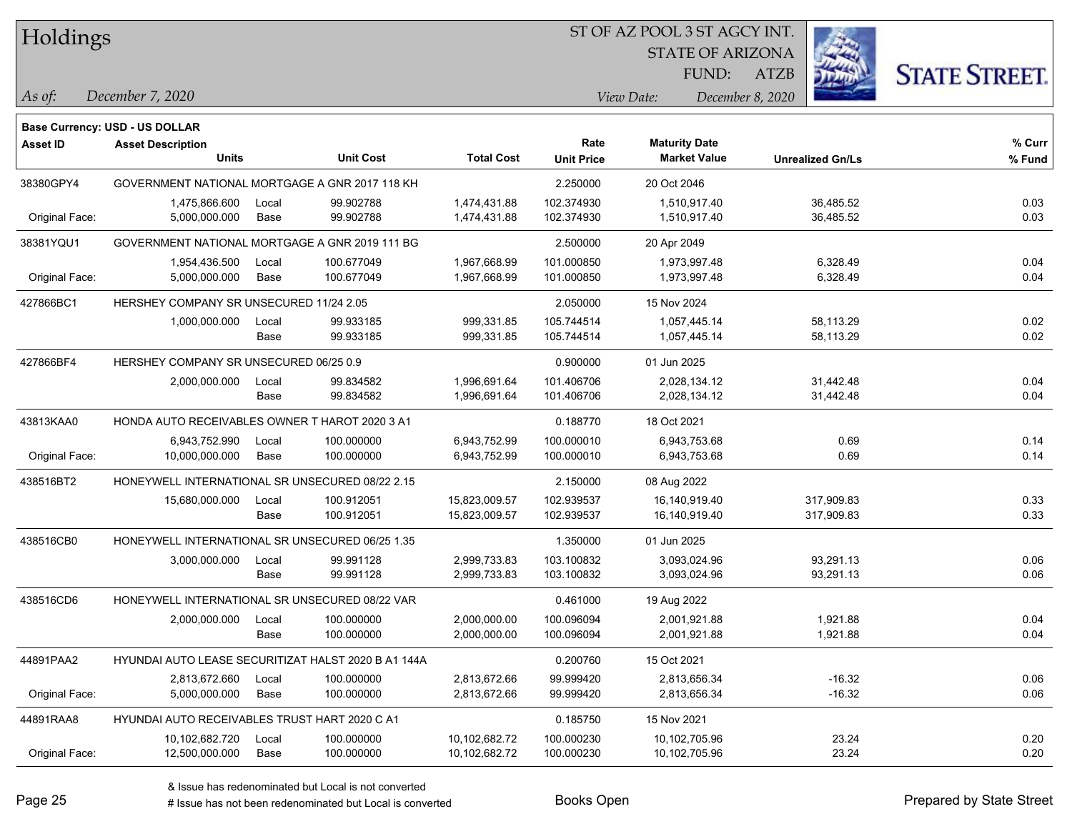Holdings

#### ST OF AZ POOL 3 ST AGCY INT.

STATE OF ARIZONA

ATZB



*December 7, 2020 As of: View Date: December 8, 2020*

**Base Currency: USD - US DOLLAR**

| Asset ID       | <b>Asset Description</b><br><b>Units</b>            |               | <b>Unit Cost</b>         | <b>Total Cost</b>              | Rate<br><b>Unit Price</b> | <b>Maturity Date</b><br><b>Market Value</b> | <b>Unrealized Gn/Ls</b>  | % Curr<br>% Fund |
|----------------|-----------------------------------------------------|---------------|--------------------------|--------------------------------|---------------------------|---------------------------------------------|--------------------------|------------------|
| 38380GPY4      | GOVERNMENT NATIONAL MORTGAGE A GNR 2017 118 KH      |               |                          |                                | 2.250000                  | 20 Oct 2046                                 |                          |                  |
| Original Face: | 1,475,866.600<br>5,000,000.000                      | Local<br>Base | 99.902788<br>99.902788   | 1,474,431.88<br>1,474,431.88   | 102.374930<br>102.374930  | 1,510,917.40<br>1,510,917.40                | 36,485.52<br>36,485.52   | 0.03<br>0.03     |
| 38381YQU1      | GOVERNMENT NATIONAL MORTGAGE A GNR 2019 111 BG      |               |                          |                                | 2.500000                  | 20 Apr 2049                                 |                          |                  |
| Original Face: | 1,954,436.500<br>5,000,000.000                      | Local<br>Base | 100.677049<br>100.677049 | 1,967,668.99<br>1,967,668.99   | 101.000850<br>101.000850  | 1,973,997.48<br>1,973,997.48                | 6,328.49<br>6,328.49     | 0.04<br>0.04     |
| 427866BC1      | HERSHEY COMPANY SR UNSECURED 11/24 2.05             |               |                          |                                | 2.050000                  | 15 Nov 2024                                 |                          |                  |
|                | 1,000,000.000                                       | Local<br>Base | 99.933185<br>99.933185   | 999,331.85<br>999,331.85       | 105.744514<br>105.744514  | 1,057,445.14<br>1,057,445.14                | 58,113.29<br>58,113.29   | 0.02<br>0.02     |
| 427866BF4      | HERSHEY COMPANY SR UNSECURED 06/25 0.9              |               |                          |                                | 0.900000                  | 01 Jun 2025                                 |                          |                  |
|                | 2,000,000.000                                       | Local<br>Base | 99.834582<br>99.834582   | 1,996,691.64<br>1,996,691.64   | 101.406706<br>101.406706  | 2,028,134.12<br>2,028,134.12                | 31,442.48<br>31,442.48   | 0.04<br>0.04     |
| 43813KAA0      | HONDA AUTO RECEIVABLES OWNER T HAROT 2020 3 A1      |               |                          |                                | 0.188770                  | 18 Oct 2021                                 |                          |                  |
| Original Face: | 6,943,752.990<br>10,000,000.000                     | Local<br>Base | 100.000000<br>100.000000 | 6,943,752.99<br>6,943,752.99   | 100.000010<br>100.000010  | 6,943,753.68<br>6,943,753.68                | 0.69<br>0.69             | 0.14<br>0.14     |
| 438516BT2      | HONEYWELL INTERNATIONAL SR UNSECURED 08/22 2.15     |               |                          |                                | 2.150000                  | 08 Aug 2022                                 |                          |                  |
|                | 15,680,000.000                                      | Local<br>Base | 100.912051<br>100.912051 | 15,823,009.57<br>15,823,009.57 | 102.939537<br>102.939537  | 16,140,919.40<br>16,140,919.40              | 317,909.83<br>317,909.83 | 0.33<br>0.33     |
| 438516CB0      | HONEYWELL INTERNATIONAL SR UNSECURED 06/25 1.35     |               |                          |                                | 1.350000                  | 01 Jun 2025                                 |                          |                  |
|                | 3,000,000.000                                       | Local<br>Base | 99.991128<br>99.991128   | 2,999,733.83<br>2,999,733.83   | 103.100832<br>103.100832  | 3,093,024.96<br>3,093,024.96                | 93,291.13<br>93,291.13   | 0.06<br>0.06     |
| 438516CD6      | HONEYWELL INTERNATIONAL SR UNSECURED 08/22 VAR      |               |                          |                                | 0.461000                  | 19 Aug 2022                                 |                          |                  |
|                | 2,000,000.000                                       | Local<br>Base | 100.000000<br>100.000000 | 2,000,000.00<br>2,000,000.00   | 100.096094<br>100.096094  | 2,001,921.88<br>2,001,921.88                | 1,921.88<br>1,921.88     | 0.04<br>0.04     |
| 44891PAA2      | HYUNDAI AUTO LEASE SECURITIZAT HALST 2020 B A1 144A |               |                          |                                | 0.200760                  | 15 Oct 2021                                 |                          |                  |
| Original Face: | 2,813,672.660<br>5,000,000.000                      | Local<br>Base | 100.000000<br>100.000000 | 2,813,672.66<br>2,813,672.66   | 99.999420<br>99.999420    | 2,813,656.34<br>2,813,656.34                | $-16.32$<br>$-16.32$     | 0.06<br>0.06     |
| 44891RAA8      | HYUNDAI AUTO RECEIVABLES TRUST HART 2020 C A1       |               |                          |                                | 0.185750                  | 15 Nov 2021                                 |                          |                  |
| Original Face: | 10,102,682.720<br>12,500,000.000                    | Local<br>Base | 100.000000<br>100.000000 | 10,102,682.72<br>10,102,682.72 | 100.000230<br>100.000230  | 10,102,705.96<br>10,102,705.96              | 23.24<br>23.24           | 0.20<br>0.20     |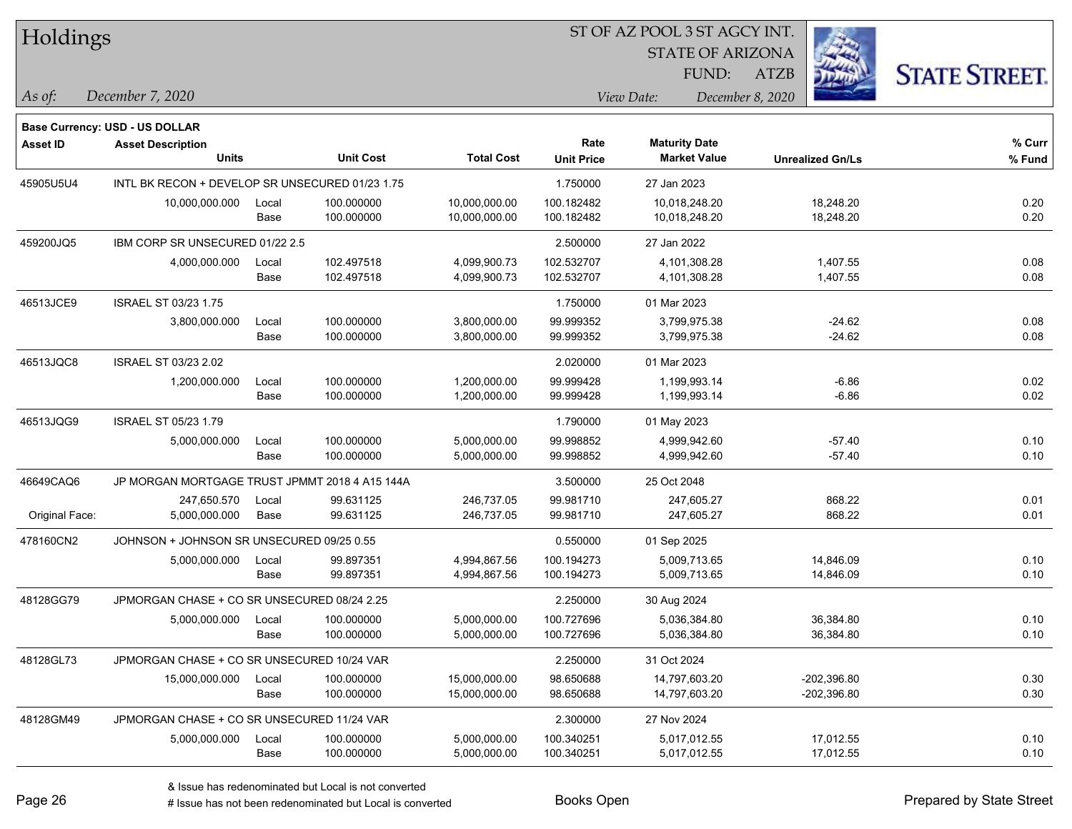| Holdings |
|----------|
|----------|

STATE OF ARIZONA

ATZB



*December 7, 2020 As of: View Date: December 8, 2020*

**Base Currency: USD - US DOLLAR**

| <b>Asset ID</b> | <b>Asset Description</b><br><b>Units</b>        |       | <b>Unit Cost</b> | <b>Total Cost</b> | Rate              | <b>Maturity Date</b> |                         | % Curr |
|-----------------|-------------------------------------------------|-------|------------------|-------------------|-------------------|----------------------|-------------------------|--------|
|                 |                                                 |       |                  |                   | <b>Unit Price</b> | <b>Market Value</b>  | <b>Unrealized Gn/Ls</b> | % Fund |
| 45905U5U4       | INTL BK RECON + DEVELOP SR UNSECURED 01/23 1.75 |       |                  |                   | 1.750000          | 27 Jan 2023          |                         |        |
|                 | 10,000,000.000                                  | Local | 100.000000       | 10,000,000.00     | 100.182482        | 10,018,248.20        | 18,248.20               | 0.20   |
|                 |                                                 | Base  | 100.000000       | 10,000,000.00     | 100.182482        | 10,018,248.20        | 18,248.20               | 0.20   |
| 459200JQ5       | IBM CORP SR UNSECURED 01/22 2.5                 |       |                  |                   | 2.500000          | 27 Jan 2022          |                         |        |
|                 | 4,000,000.000                                   | Local | 102.497518       | 4,099,900.73      | 102.532707        | 4,101,308.28         | 1,407.55                | 0.08   |
|                 |                                                 | Base  | 102.497518       | 4,099,900.73      | 102.532707        | 4,101,308.28         | 1,407.55                | 0.08   |
| 46513JCE9       | <b>ISRAEL ST 03/23 1.75</b>                     |       |                  |                   | 1.750000          | 01 Mar 2023          |                         |        |
|                 | 3,800,000.000                                   | Local | 100.000000       | 3,800,000.00      | 99.999352         | 3,799,975.38         | $-24.62$                | 0.08   |
|                 |                                                 | Base  | 100.000000       | 3,800,000.00      | 99.999352         | 3,799,975.38         | $-24.62$                | 0.08   |
| 46513JQC8       | ISRAEL ST 03/23 2.02                            |       |                  |                   | 2.020000          | 01 Mar 2023          |                         |        |
|                 | 1,200,000.000                                   | Local | 100.000000       | 1,200,000.00      | 99.999428         | 1,199,993.14         | $-6.86$                 | 0.02   |
|                 |                                                 | Base  | 100.000000       | 1,200,000.00      | 99.999428         | 1,199,993.14         | $-6.86$                 | 0.02   |
| 46513JQG9       | <b>ISRAEL ST 05/23 1.79</b>                     |       |                  |                   | 1.790000          | 01 May 2023          |                         |        |
|                 | 5,000,000.000                                   | Local | 100.000000       | 5,000,000.00      | 99.998852         | 4,999,942.60         | $-57.40$                | 0.10   |
|                 |                                                 | Base  | 100.000000       | 5,000,000.00      | 99.998852         | 4,999,942.60         | $-57.40$                | 0.10   |
| 46649CAQ6       | JP MORGAN MORTGAGE TRUST JPMMT 2018 4 A15 144A  |       |                  |                   | 3.500000          | 25 Oct 2048          |                         |        |
|                 | 247,650.570                                     | Local | 99.631125        | 246,737.05        | 99.981710         | 247,605.27           | 868.22                  | 0.01   |
| Original Face:  | 5,000,000.000                                   | Base  | 99.631125        | 246,737.05        | 99.981710         | 247,605.27           | 868.22                  | 0.01   |
| 478160CN2       | JOHNSON + JOHNSON SR UNSECURED 09/25 0.55       |       |                  |                   | 0.550000          | 01 Sep 2025          |                         |        |
|                 | 5,000,000.000                                   | Local | 99.897351        | 4,994,867.56      | 100.194273        | 5,009,713.65         | 14,846.09               | 0.10   |
|                 |                                                 | Base  | 99.897351        | 4,994,867.56      | 100.194273        | 5,009,713.65         | 14,846.09               | 0.10   |
| 48128GG79       | JPMORGAN CHASE + CO SR UNSECURED 08/24 2.25     |       |                  |                   | 2.250000          | 30 Aug 2024          |                         |        |
|                 | 5,000,000.000                                   | Local | 100.000000       | 5,000,000.00      | 100.727696        | 5,036,384.80         | 36,384.80               | 0.10   |
|                 |                                                 | Base  | 100.000000       | 5,000,000.00      | 100.727696        | 5,036,384.80         | 36,384.80               | 0.10   |
| 48128GL73       | JPMORGAN CHASE + CO SR UNSECURED 10/24 VAR      |       |                  |                   | 2.250000          | 31 Oct 2024          |                         |        |
|                 | 15,000,000.000                                  | Local | 100.000000       | 15,000,000.00     | 98.650688         | 14,797,603.20        | $-202,396.80$           | 0.30   |
|                 |                                                 | Base  | 100.000000       | 15,000,000.00     | 98.650688         | 14,797,603.20        | $-202,396.80$           | 0.30   |
| 48128GM49       | JPMORGAN CHASE + CO SR UNSECURED 11/24 VAR      |       |                  |                   | 2.300000          | 27 Nov 2024          |                         |        |
|                 | 5,000,000.000                                   | Local | 100.000000       | 5,000,000.00      | 100.340251        | 5,017,012.55         | 17,012.55               | 0.10   |
|                 |                                                 | Base  | 100.000000       | 5,000,000.00      | 100.340251        | 5,017,012.55         | 17,012.55               | 0.10   |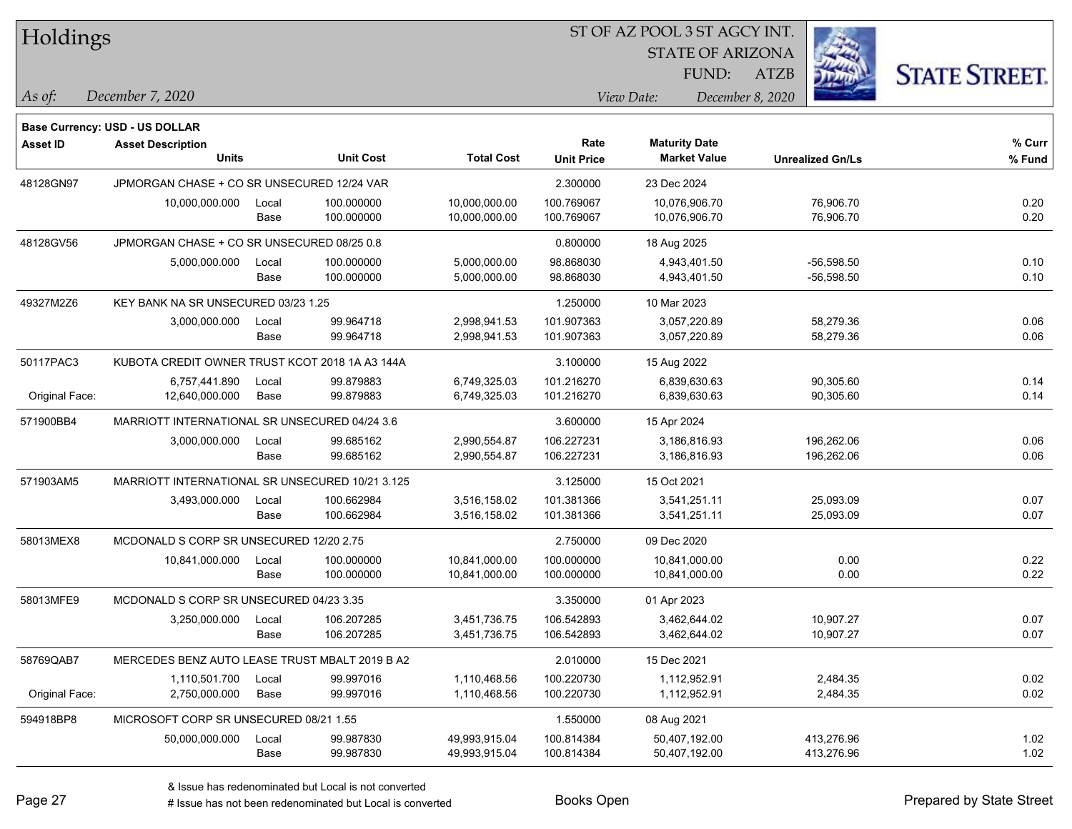| Holdings        |                                                                   |       |                  |                   |                   | ST OF AZ POOL 3 ST AGCY INT. |                         |                      |  |
|-----------------|-------------------------------------------------------------------|-------|------------------|-------------------|-------------------|------------------------------|-------------------------|----------------------|--|
|                 |                                                                   |       |                  |                   |                   | <b>STATE OF ARIZONA</b>      |                         |                      |  |
|                 |                                                                   |       |                  |                   |                   | FUND:                        | <b>ATZB</b>             | <b>STATE STREET.</b> |  |
| As of:          | December 7, 2020                                                  |       |                  |                   |                   | View Date:                   | December 8, 2020        |                      |  |
|                 |                                                                   |       |                  |                   |                   |                              |                         |                      |  |
| <b>Asset ID</b> | <b>Base Currency: USD - US DOLLAR</b><br><b>Asset Description</b> |       |                  |                   | Rate              | <b>Maturity Date</b>         |                         | $%$ Curr             |  |
|                 | <b>Units</b>                                                      |       | <b>Unit Cost</b> | <b>Total Cost</b> | <b>Unit Price</b> | <b>Market Value</b>          | <b>Unrealized Gn/Ls</b> | % Fund               |  |
| 48128GN97       | JPMORGAN CHASE + CO SR UNSECURED 12/24 VAR                        |       |                  |                   | 2.300000          | 23 Dec 2024                  |                         |                      |  |
|                 | 10,000,000.000                                                    | Local | 100.000000       | 10,000,000.00     | 100.769067        | 10,076,906.70                | 76,906.70               | 0.20                 |  |
|                 |                                                                   | Base  | 100.000000       | 10,000,000.00     | 100.769067        | 10,076,906.70                | 76,906.70               | 0.20                 |  |
| 48128GV56       | JPMORGAN CHASE + CO SR UNSECURED 08/25 0.8                        |       |                  |                   | 0.800000          | 18 Aug 2025                  |                         |                      |  |
|                 | 5,000,000.000                                                     | Local | 100.000000       | 5,000,000.00      | 98.868030         | 4,943,401.50                 | $-56,598.50$            | 0.10                 |  |
|                 |                                                                   | Base  | 100.000000       | 5,000,000.00      | 98.868030         | 4,943,401.50                 | $-56,598.50$            | 0.10                 |  |
| 49327M2Z6       | KEY BANK NA SR UNSECURED 03/23 1.25                               |       |                  |                   | 1.250000          | 10 Mar 2023                  |                         |                      |  |
|                 | 3,000,000.000                                                     | Local | 99.964718        | 2,998,941.53      | 101.907363        | 3,057,220.89                 | 58,279.36               | 0.06                 |  |
|                 |                                                                   | Base  | 99.964718        | 2,998,941.53      | 101.907363        | 3,057,220.89                 | 58,279.36               | 0.06                 |  |
| 50117PAC3       | KUBOTA CREDIT OWNER TRUST KCOT 2018 1A A3 144A                    |       |                  |                   | 3.100000          | 15 Aug 2022                  |                         |                      |  |
|                 | 6,757,441.890                                                     | Local | 99.879883        | 6,749,325.03      | 101.216270        | 6,839,630.63                 | 90,305.60               | 0.14                 |  |
| Original Face:  | 12,640,000.000                                                    | Base  | 99.879883        | 6,749,325.03      | 101.216270        | 6,839,630.63                 | 90,305.60               | 0.14                 |  |
| 571900BB4       | MARRIOTT INTERNATIONAL SR UNSECURED 04/24 3.6                     |       |                  |                   | 3.600000          | 15 Apr 2024                  |                         |                      |  |
|                 | 3,000,000.000                                                     | Local | 99.685162        | 2,990,554.87      | 106.227231        | 3,186,816.93                 | 196,262.06              | 0.06                 |  |
|                 |                                                                   | Base  | 99.685162        | 2,990,554.87      | 106.227231        | 3,186,816.93                 | 196,262.06              | 0.06                 |  |
| 571903AM5       | MARRIOTT INTERNATIONAL SR UNSECURED 10/21 3.125                   |       |                  |                   | 3.125000          | 15 Oct 2021                  |                         |                      |  |
|                 | 3,493,000.000                                                     | Local | 100.662984       | 3,516,158.02      | 101.381366        | 3,541,251.11                 | 25,093.09               | 0.07                 |  |
|                 |                                                                   | Base  | 100.662984       | 3,516,158.02      | 101.381366        | 3,541,251.11                 | 25,093.09               | 0.07                 |  |
| 58013MEX8       | MCDONALD S CORP SR UNSECURED 12/20 2.75                           |       |                  |                   | 2.750000          | 09 Dec 2020                  |                         |                      |  |
|                 | 10,841,000.000                                                    | Local | 100.000000       | 10,841,000.00     | 100.000000        | 10,841,000.00                | 0.00                    | 0.22                 |  |
|                 |                                                                   | Base  | 100.000000       | 10,841,000.00     | 100.000000        | 10,841,000.00                | 0.00                    | 0.22                 |  |
| 58013MFE9       | MCDONALD S CORP SR UNSECURED 04/23 3.35                           |       |                  |                   | 3.350000          | 01 Apr 2023                  |                         |                      |  |
|                 | 3,250,000.000                                                     | Local | 106.207285       | 3,451,736.75      | 106.542893        | 3,462,644.02                 | 10,907.27               | 0.07                 |  |
|                 |                                                                   | Base  | 106.207285       | 3,451,736.75      | 106.542893        | 3,462,644.02                 | 10,907.27               | 0.07                 |  |
| 58769QAB7       | MERCEDES BENZ AUTO LEASE TRUST MBALT 2019 B A2                    |       |                  |                   | 2.010000          | 15 Dec 2021                  |                         |                      |  |
|                 | 1,110,501.700                                                     | Local | 99.997016        | 1,110,468.56      | 100.220730        | 1,112,952.91                 | 2,484.35                | 0.02                 |  |
| Original Face:  | 2,750,000.000                                                     | Base  | 99.997016        | 1,110,468.56      | 100.220730        | 1,112,952.91                 | 2,484.35                | 0.02                 |  |
| 594918BP8       | MICROSOFT CORP SR UNSECURED 08/21 1.55                            |       |                  |                   | 1.550000          | 08 Aug 2021                  |                         |                      |  |
|                 | 50,000,000.000                                                    | Local | 99.987830        | 49,993,915.04     | 100.814384        | 50,407,192.00                | 413,276.96              | 1.02                 |  |
|                 |                                                                   | Base  | 99.987830        | 49,993,915.04     | 100.814384        | 50,407,192.00                | 413,276.96              | 1.02                 |  |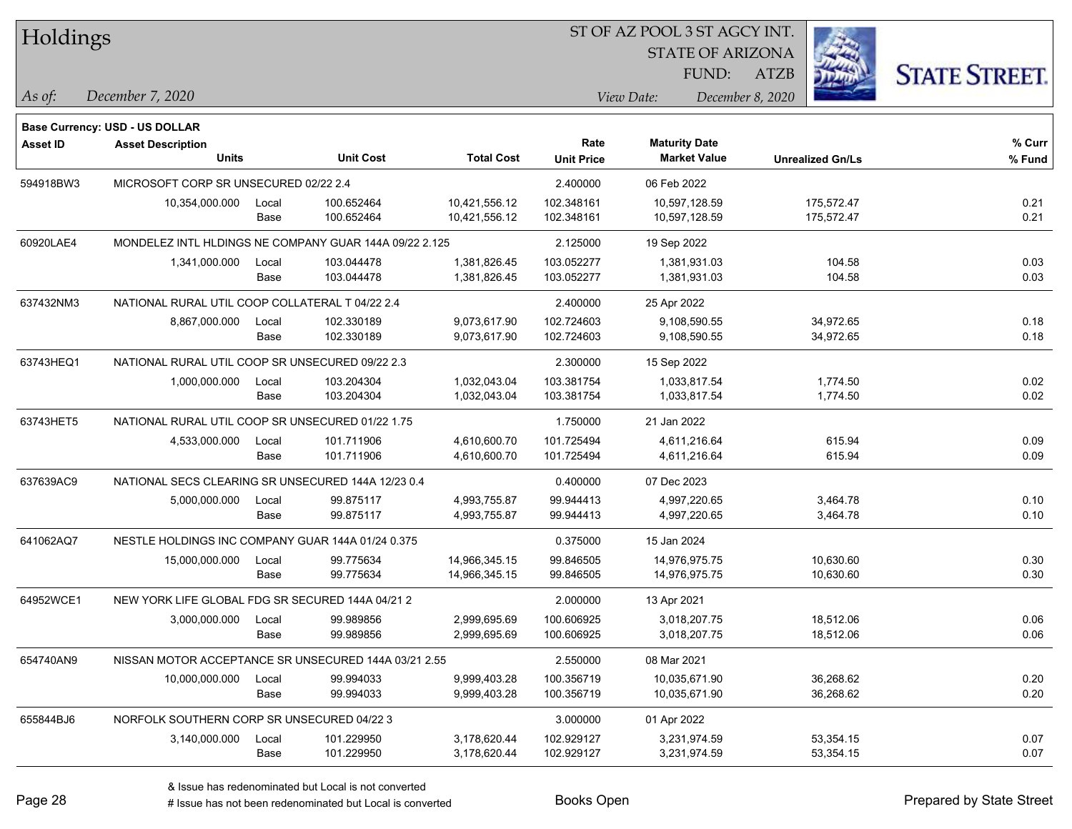| Holdings        |                                                        |       |                  |                   | ST OF AZ POOL 3 ST AGCY INT. |                      |                         |                         |                      |  |
|-----------------|--------------------------------------------------------|-------|------------------|-------------------|------------------------------|----------------------|-------------------------|-------------------------|----------------------|--|
|                 |                                                        |       |                  |                   |                              |                      | <b>STATE OF ARIZONA</b> |                         |                      |  |
|                 |                                                        |       |                  |                   |                              | FUND:                | ATZB                    |                         | <b>STATE STREET.</b> |  |
| As of:          | December 7, 2020                                       |       |                  |                   |                              | View Date:           | December 8, 2020        |                         |                      |  |
|                 | Base Currency: USD - US DOLLAR                         |       |                  |                   |                              |                      |                         |                         |                      |  |
| <b>Asset ID</b> | <b>Asset Description</b>                               |       |                  |                   | Rate                         | <b>Maturity Date</b> |                         |                         | % Curr               |  |
|                 | <b>Units</b>                                           |       | <b>Unit Cost</b> | <b>Total Cost</b> | <b>Unit Price</b>            | <b>Market Value</b>  |                         | <b>Unrealized Gn/Ls</b> | % Fund               |  |
| 594918BW3       | MICROSOFT CORP SR UNSECURED 02/22 2.4                  |       |                  |                   | 2.400000                     | 06 Feb 2022          |                         |                         |                      |  |
|                 | 10,354,000.000                                         | Local | 100.652464       | 10,421,556.12     | 102.348161                   | 10,597,128.59        |                         | 175,572.47              | 0.21                 |  |
|                 |                                                        | Base  | 100.652464       | 10,421,556.12     | 102.348161                   | 10,597,128.59        |                         | 175,572.47              | 0.21                 |  |
| 60920LAE4       | MONDELEZ INTL HLDINGS NE COMPANY GUAR 144A 09/22 2.125 |       |                  |                   | 2.125000                     | 19 Sep 2022          |                         |                         |                      |  |
|                 | 1,341,000.000                                          | Local | 103.044478       | 1,381,826.45      | 103.052277                   | 1,381,931.03         |                         | 104.58                  | 0.03                 |  |
|                 |                                                        | Base  | 103.044478       | 1,381,826.45      | 103.052277                   | 1,381,931.03         |                         | 104.58                  | 0.03                 |  |
| 637432NM3       | NATIONAL RURAL UTIL COOP COLLATERAL T 04/22 2.4        |       |                  |                   | 2.400000                     | 25 Apr 2022          |                         |                         |                      |  |
|                 | 8,867,000.000                                          | Local | 102.330189       | 9,073,617.90      | 102.724603                   | 9,108,590.55         |                         | 34,972.65               | 0.18                 |  |
|                 |                                                        | Base  | 102.330189       | 9,073,617.90      | 102.724603                   | 9,108,590.55         |                         | 34,972.65               | 0.18                 |  |
| 63743HEQ1       | NATIONAL RURAL UTIL COOP SR UNSECURED 09/22 2.3        |       |                  |                   | 2.300000                     | 15 Sep 2022          |                         |                         |                      |  |
|                 | 1,000,000.000                                          | Local | 103.204304       | 1,032,043.04      | 103.381754                   | 1,033,817.54         |                         | 1,774.50                | 0.02                 |  |
|                 |                                                        | Base  | 103.204304       | 1,032,043.04      | 103.381754                   | 1,033,817.54         |                         | 1,774.50                | 0.02                 |  |
| 63743HET5       | NATIONAL RURAL UTIL COOP SR UNSECURED 01/22 1.75       |       |                  |                   | 1.750000                     | 21 Jan 2022          |                         |                         |                      |  |
|                 | 4,533,000.000                                          | Local | 101.711906       | 4,610,600.70      | 101.725494                   | 4,611,216.64         |                         | 615.94                  | 0.09                 |  |
|                 |                                                        | Base  | 101.711906       | 4,610,600.70      | 101.725494                   | 4,611,216.64         |                         | 615.94                  | 0.09                 |  |
| 637639AC9       | NATIONAL SECS CLEARING SR UNSECURED 144A 12/23 0.4     |       |                  |                   | 0.400000                     | 07 Dec 2023          |                         |                         |                      |  |
|                 | 5,000,000.000                                          | Local | 99.875117        | 4,993,755.87      | 99.944413                    | 4,997,220.65         |                         | 3,464.78                | 0.10                 |  |
|                 |                                                        | Base  | 99.875117        | 4,993,755.87      | 99.944413                    | 4,997,220.65         |                         | 3,464.78                | 0.10                 |  |
| 641062AQ7       | NESTLE HOLDINGS INC COMPANY GUAR 144A 01/24 0.375      |       |                  |                   | 0.375000                     | 15 Jan 2024          |                         |                         |                      |  |
|                 | 15,000,000.000                                         | Local | 99.775634        | 14,966,345.15     | 99.846505                    | 14,976,975.75        |                         | 10,630.60               | 0.30                 |  |
|                 |                                                        | Base  | 99.775634        | 14,966,345.15     | 99.846505                    | 14,976,975.75        |                         | 10,630.60               | 0.30                 |  |
| 64952WCE1       | NEW YORK LIFE GLOBAL FDG SR SECURED 144A 04/21 2       |       |                  |                   | 2.000000                     | 13 Apr 2021          |                         |                         |                      |  |
|                 | 3,000,000.000                                          | Local | 99.989856        | 2,999,695.69      | 100.606925                   | 3,018,207.75         |                         | 18,512.06               | 0.06                 |  |
|                 |                                                        | Base  | 99.989856        | 2,999,695.69      | 100.606925                   | 3,018,207.75         |                         | 18,512.06               | 0.06                 |  |
| 654740AN9       | NISSAN MOTOR ACCEPTANCE SR UNSECURED 144A 03/21 2.55   |       |                  |                   | 2.550000                     | 08 Mar 2021          |                         |                         |                      |  |
|                 | 10,000,000.000                                         | Local | 99.994033        | 9,999,403.28      | 100.356719                   | 10,035,671.90        |                         | 36,268.62               | 0.20                 |  |
|                 |                                                        | Base  | 99.994033        | 9,999,403.28      | 100.356719                   | 10,035,671.90        |                         | 36,268.62               | 0.20                 |  |
| 655844BJ6       | NORFOLK SOUTHERN CORP SR UNSECURED 04/22 3             |       |                  |                   | 3.000000                     | 01 Apr 2022          |                         |                         |                      |  |
|                 | 3,140,000.000                                          | Local | 101.229950       | 3,178,620.44      | 102.929127                   | 3,231,974.59         |                         | 53,354.15               | 0.07                 |  |
|                 |                                                        | Base  | 101.229950       | 3,178,620.44      | 102.929127                   | 3,231,974.59         |                         | 53,354.15               | 0.07                 |  |
|                 |                                                        |       |                  |                   |                              |                      |                         |                         |                      |  |

٦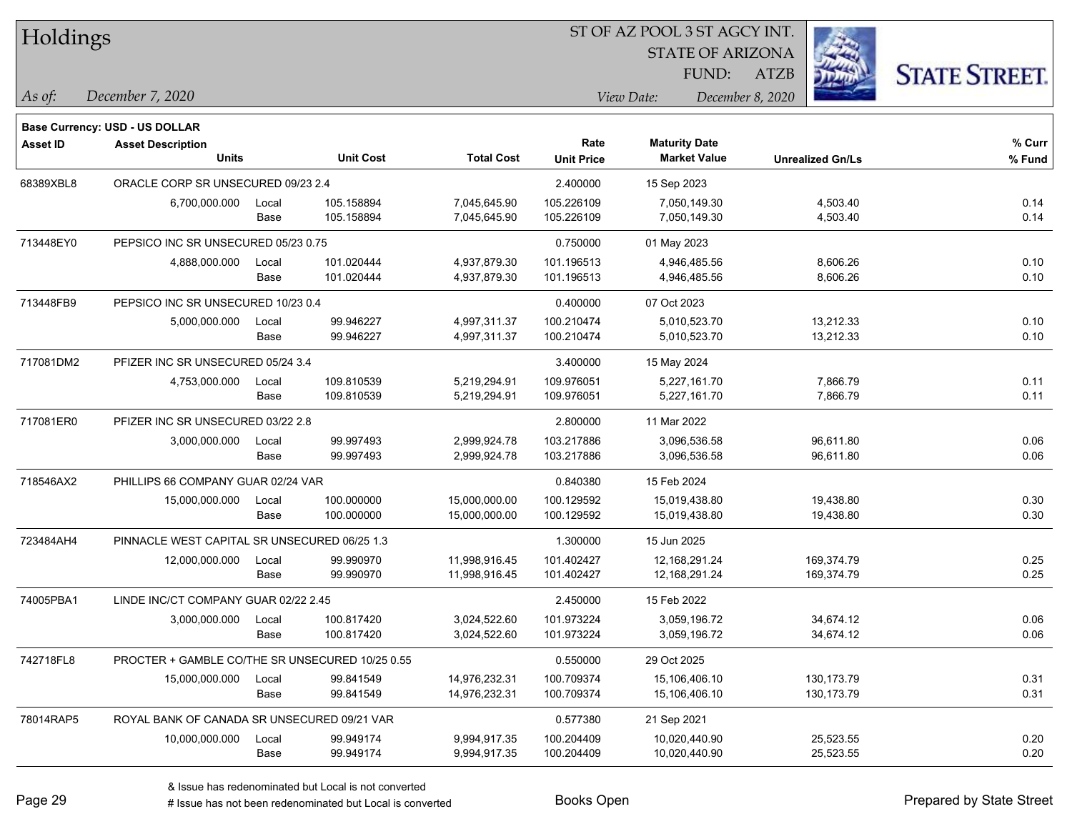| Holdings        |                                                 |               |                          |                              | ST OF AZ POOL 3 ST AGCY INT. |                                             |                         |                      |  |
|-----------------|-------------------------------------------------|---------------|--------------------------|------------------------------|------------------------------|---------------------------------------------|-------------------------|----------------------|--|
|                 |                                                 |               |                          |                              |                              | <b>STATE OF ARIZONA</b>                     |                         |                      |  |
|                 |                                                 |               |                          |                              |                              | FUND:                                       | <b>ATZB</b>             | <b>STATE STREET.</b> |  |
| $\vert$ As of:  | December 7, 2020                                |               |                          |                              |                              | View Date:                                  | December 8, 2020        |                      |  |
|                 |                                                 |               |                          |                              |                              |                                             |                         |                      |  |
|                 | <b>Base Currency: USD - US DOLLAR</b>           |               |                          |                              |                              |                                             |                         |                      |  |
| <b>Asset ID</b> | <b>Asset Description</b><br><b>Units</b>        |               | <b>Unit Cost</b>         | <b>Total Cost</b>            | Rate<br><b>Unit Price</b>    | <b>Maturity Date</b><br><b>Market Value</b> | <b>Unrealized Gn/Ls</b> | % Curr<br>% Fund     |  |
|                 |                                                 |               |                          |                              |                              |                                             |                         |                      |  |
| 68389XBL8       | ORACLE CORP SR UNSECURED 09/23 2.4              |               |                          |                              | 2.400000                     | 15 Sep 2023                                 |                         |                      |  |
|                 | 6,700,000.000                                   | Local<br>Base | 105.158894<br>105.158894 | 7,045,645.90<br>7,045,645.90 | 105.226109<br>105.226109     | 7,050,149.30<br>7,050,149.30                | 4,503.40<br>4,503.40    | 0.14<br>0.14         |  |
| 713448EY0       | PEPSICO INC SR UNSECURED 05/23 0.75             |               |                          |                              | 0.750000                     |                                             |                         |                      |  |
|                 | 4,888,000.000                                   | Local         | 101.020444               | 4,937,879.30                 | 101.196513                   | 01 May 2023<br>4,946,485.56                 | 8,606.26                | 0.10                 |  |
|                 |                                                 | Base          | 101.020444               | 4,937,879.30                 | 101.196513                   | 4,946,485.56                                | 8,606.26                | 0.10                 |  |
| 713448FB9       | PEPSICO INC SR UNSECURED 10/23 0.4              |               |                          |                              | 0.400000                     | 07 Oct 2023                                 |                         |                      |  |
|                 | 5,000,000.000                                   | Local         | 99.946227                | 4,997,311.37                 | 100.210474                   | 5,010,523.70                                | 13,212.33               | 0.10                 |  |
|                 |                                                 | Base          | 99.946227                | 4,997,311.37                 | 100.210474                   | 5,010,523.70                                | 13,212.33               | 0.10                 |  |
| 717081DM2       | PFIZER INC SR UNSECURED 05/24 3.4               |               |                          |                              | 3.400000                     | 15 May 2024                                 |                         |                      |  |
|                 | 4,753,000.000                                   | Local         | 109.810539               | 5,219,294.91                 | 109.976051                   | 5,227,161.70                                | 7,866.79                | 0.11                 |  |
|                 |                                                 | Base          | 109.810539               | 5,219,294.91                 | 109.976051                   | 5,227,161.70                                | 7,866.79                | 0.11                 |  |
| 717081ER0       | PFIZER INC SR UNSECURED 03/22 2.8               |               |                          |                              | 2.800000                     | 11 Mar 2022                                 |                         |                      |  |
|                 | 3,000,000.000                                   | Local         | 99.997493                | 2,999,924.78                 | 103.217886                   | 3,096,536.58                                | 96,611.80               | 0.06                 |  |
|                 |                                                 | Base          | 99.997493                | 2,999,924.78                 | 103.217886                   | 3,096,536.58                                | 96,611.80               | 0.06                 |  |
| 718546AX2       | PHILLIPS 66 COMPANY GUAR 02/24 VAR              |               |                          |                              | 0.840380                     | 15 Feb 2024                                 |                         |                      |  |
|                 | 15,000,000.000                                  | Local         | 100.000000               | 15,000,000.00                | 100.129592                   | 15,019,438.80                               | 19,438.80               | 0.30                 |  |
|                 |                                                 | Base          | 100.000000               | 15,000,000.00                | 100.129592                   | 15,019,438.80                               | 19,438.80               | 0.30                 |  |
| 723484AH4       | PINNACLE WEST CAPITAL SR UNSECURED 06/25 1.3    |               |                          |                              | 1.300000                     | 15 Jun 2025                                 |                         |                      |  |
|                 | 12,000,000.000                                  | Local         | 99.990970                | 11,998,916.45                | 101.402427                   | 12,168,291.24                               | 169,374.79              | 0.25                 |  |
|                 |                                                 | Base          | 99.990970                | 11,998,916.45                | 101.402427                   | 12,168,291.24                               | 169,374.79              | 0.25                 |  |
| 74005PBA1       | LINDE INC/CT COMPANY GUAR 02/22 2.45            |               |                          |                              | 2.450000                     | 15 Feb 2022                                 |                         |                      |  |
|                 | 3,000,000.000                                   | Local         | 100.817420               | 3,024,522.60                 | 101.973224                   | 3,059,196.72                                | 34,674.12               | 0.06                 |  |
|                 |                                                 | Base          | 100.817420               | 3,024,522.60                 | 101.973224                   | 3,059,196.72                                | 34,674.12               | 0.06                 |  |
| 742718FL8       | PROCTER + GAMBLE CO/THE SR UNSECURED 10/25 0.55 |               |                          |                              | 0.550000                     | 29 Oct 2025                                 |                         |                      |  |
|                 | 15,000,000.000                                  | Local         | 99.841549                | 14,976,232.31                | 100.709374                   | 15,106,406.10                               | 130, 173. 79            | 0.31                 |  |
|                 |                                                 | Base          | 99.841549                | 14,976,232.31                | 100.709374                   | 15,106,406.10                               | 130, 173. 79            | 0.31                 |  |
| 78014RAP5       | ROYAL BANK OF CANADA SR UNSECURED 09/21 VAR     |               |                          |                              | 0.577380                     | 21 Sep 2021                                 |                         |                      |  |
|                 | 10,000,000.000                                  | Local         | 99.949174                | 9,994,917.35                 | 100.204409                   | 10,020,440.90                               | 25,523.55               | 0.20                 |  |
|                 |                                                 | Base          | 99.949174                | 9,994,917.35                 | 100.204409                   | 10,020,440.90                               | 25,523.55               | 0.20                 |  |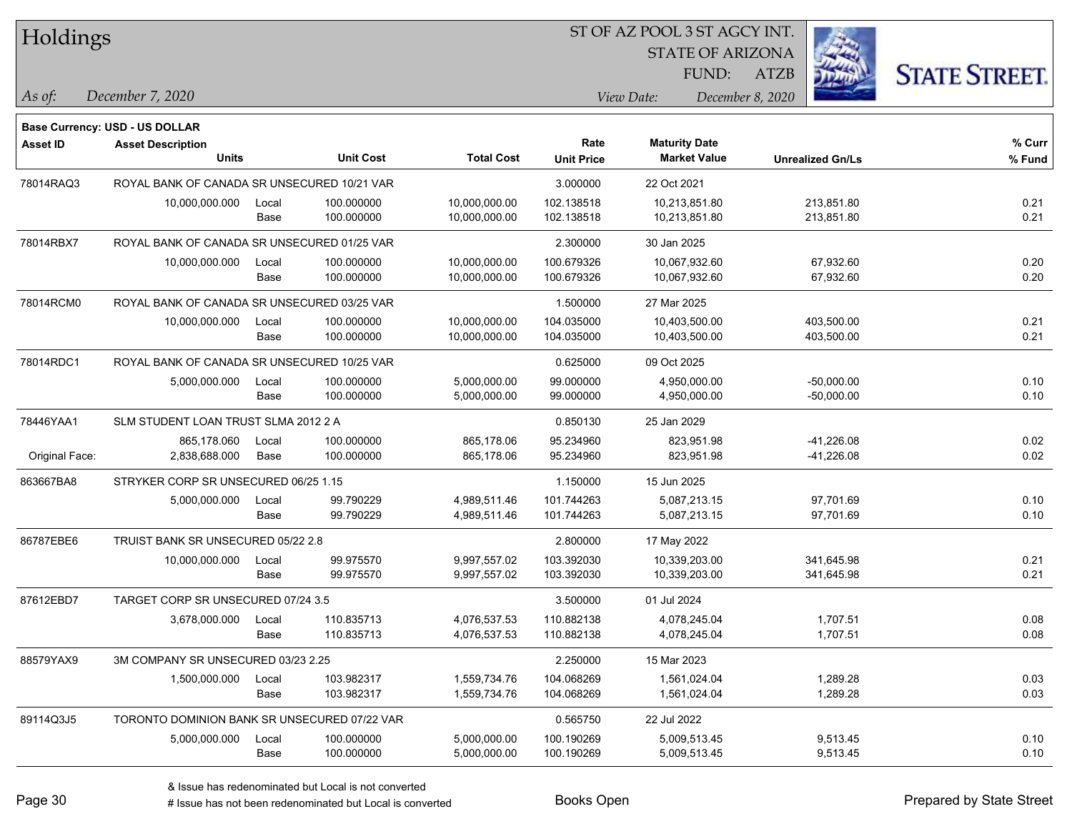| Holdings        |                                              |       |                  |                   | ST OF AZ POOL 3 ST AGCY INT. |                         |                         |                      |  |  |
|-----------------|----------------------------------------------|-------|------------------|-------------------|------------------------------|-------------------------|-------------------------|----------------------|--|--|
|                 |                                              |       |                  |                   |                              | <b>STATE OF ARIZONA</b> |                         |                      |  |  |
|                 |                                              |       |                  |                   |                              | FUND:                   | <b>ATZB</b>             | <b>STATE STREET.</b> |  |  |
| As of:          | December 7, 2020                             |       |                  |                   |                              | View Date:              | December 8, 2020        |                      |  |  |
|                 | Base Currency: USD - US DOLLAR               |       |                  |                   |                              |                         |                         |                      |  |  |
| <b>Asset ID</b> | <b>Asset Description</b>                     |       |                  |                   | Rate                         | <b>Maturity Date</b>    |                         | % Curr               |  |  |
|                 | <b>Units</b>                                 |       | <b>Unit Cost</b> | <b>Total Cost</b> | <b>Unit Price</b>            | <b>Market Value</b>     | <b>Unrealized Gn/Ls</b> | % Fund               |  |  |
| 78014RAQ3       | ROYAL BANK OF CANADA SR UNSECURED 10/21 VAR  |       |                  |                   | 3.000000                     | 22 Oct 2021             |                         |                      |  |  |
|                 | 10,000,000.000                               | Local | 100.000000       | 10,000,000.00     | 102.138518                   | 10,213,851.80           | 213,851.80              | 0.21                 |  |  |
|                 |                                              | Base  | 100.000000       | 10,000,000.00     | 102.138518                   | 10,213,851.80           | 213,851.80              | 0.21                 |  |  |
| 78014RBX7       | ROYAL BANK OF CANADA SR UNSECURED 01/25 VAR  |       |                  |                   | 2.300000                     | 30 Jan 2025             |                         |                      |  |  |
|                 | 10,000,000.000                               | Local | 100.000000       | 10,000,000.00     | 100.679326                   | 10,067,932.60           | 67,932.60               | 0.20                 |  |  |
|                 |                                              | Base  | 100.000000       | 10,000,000.00     | 100.679326                   | 10,067,932.60           | 67,932.60               | 0.20                 |  |  |
| 78014RCM0       | ROYAL BANK OF CANADA SR UNSECURED 03/25 VAR  |       |                  |                   | 1.500000                     | 27 Mar 2025             |                         |                      |  |  |
|                 | 10,000,000.000                               | Local | 100.000000       | 10,000,000.00     | 104.035000                   | 10,403,500.00           | 403,500.00              | 0.21                 |  |  |
|                 |                                              | Base  | 100.000000       | 10,000,000.00     | 104.035000                   | 10,403,500.00           | 403,500.00              | 0.21                 |  |  |
| 78014RDC1       | ROYAL BANK OF CANADA SR UNSECURED 10/25 VAR  |       |                  |                   | 0.625000                     | 09 Oct 2025             |                         |                      |  |  |
|                 | 5,000,000.000                                | Local | 100.000000       | 5,000,000.00      | 99.000000                    | 4,950,000.00            | $-50,000.00$            | 0.10                 |  |  |
|                 |                                              | Base  | 100.000000       | 5,000,000.00      | 99.000000                    | 4,950,000.00            | $-50,000.00$            | 0.10                 |  |  |
| 78446YAA1       | SLM STUDENT LOAN TRUST SLMA 2012 2 A         |       |                  |                   | 0.850130                     | 25 Jan 2029             |                         |                      |  |  |
|                 | 865,178.060                                  | Local | 100.000000       | 865,178.06        | 95.234960                    | 823,951.98              | $-41,226.08$            | 0.02                 |  |  |
| Original Face:  | 2,838,688.000                                | Base  | 100.000000       | 865,178.06        | 95.234960                    | 823,951.98              | $-41,226.08$            | 0.02                 |  |  |
| 863667BA8       | STRYKER CORP SR UNSECURED 06/25 1.15         |       |                  |                   | 1.150000                     | 15 Jun 2025             |                         |                      |  |  |
|                 | 5,000,000.000                                | Local | 99.790229        | 4,989,511.46      | 101.744263                   | 5,087,213.15            | 97,701.69               | 0.10                 |  |  |
|                 |                                              | Base  | 99.790229        | 4,989,511.46      | 101.744263                   | 5,087,213.15            | 97,701.69               | 0.10                 |  |  |
| 86787EBE6       | TRUIST BANK SR UNSECURED 05/22 2.8           |       |                  |                   | 2.800000                     | 17 May 2022             |                         |                      |  |  |
|                 | 10,000,000.000                               | Local | 99.975570        | 9,997,557.02      | 103.392030                   | 10,339,203.00           | 341,645.98              | 0.21                 |  |  |
|                 |                                              | Base  | 99.975570        | 9,997,557.02      | 103.392030                   | 10,339,203.00           | 341,645.98              | 0.21                 |  |  |
| 87612EBD7       | TARGET CORP SR UNSECURED 07/24 3.5           |       |                  |                   | 3.500000                     | 01 Jul 2024             |                         |                      |  |  |
|                 | 3,678,000.000                                | Local | 110.835713       | 4,076,537.53      | 110.882138                   | 4,078,245.04            | 1,707.51                | 0.08                 |  |  |
|                 |                                              | Base  | 110.835713       | 4,076,537.53      | 110.882138                   | 4,078,245.04            | 1,707.51                | 0.08                 |  |  |
| 88579YAX9       | 3M COMPANY SR UNSECURED 03/23 2.25           |       |                  |                   | 2.250000                     | 15 Mar 2023             |                         |                      |  |  |
|                 | 1,500,000.000                                | Local | 103.982317       | 1,559,734.76      | 104.068269                   | 1,561,024.04            | 1,289.28                | 0.03                 |  |  |
|                 |                                              | Base  | 103.982317       | 1,559,734.76      | 104.068269                   | 1,561,024.04            | 1,289.28                | 0.03                 |  |  |
| 89114Q3J5       | TORONTO DOMINION BANK SR UNSECURED 07/22 VAR |       |                  |                   | 0.565750                     | 22 Jul 2022             |                         |                      |  |  |
|                 | 5,000,000.000                                | Local | 100.000000       | 5,000,000.00      | 100.190269                   | 5,009,513.45            | 9,513.45                | 0.10                 |  |  |
|                 |                                              | Base  | 100.000000       | 5,000,000.00      | 100.190269                   | 5,009,513.45            | 9,513.45                | 0.10                 |  |  |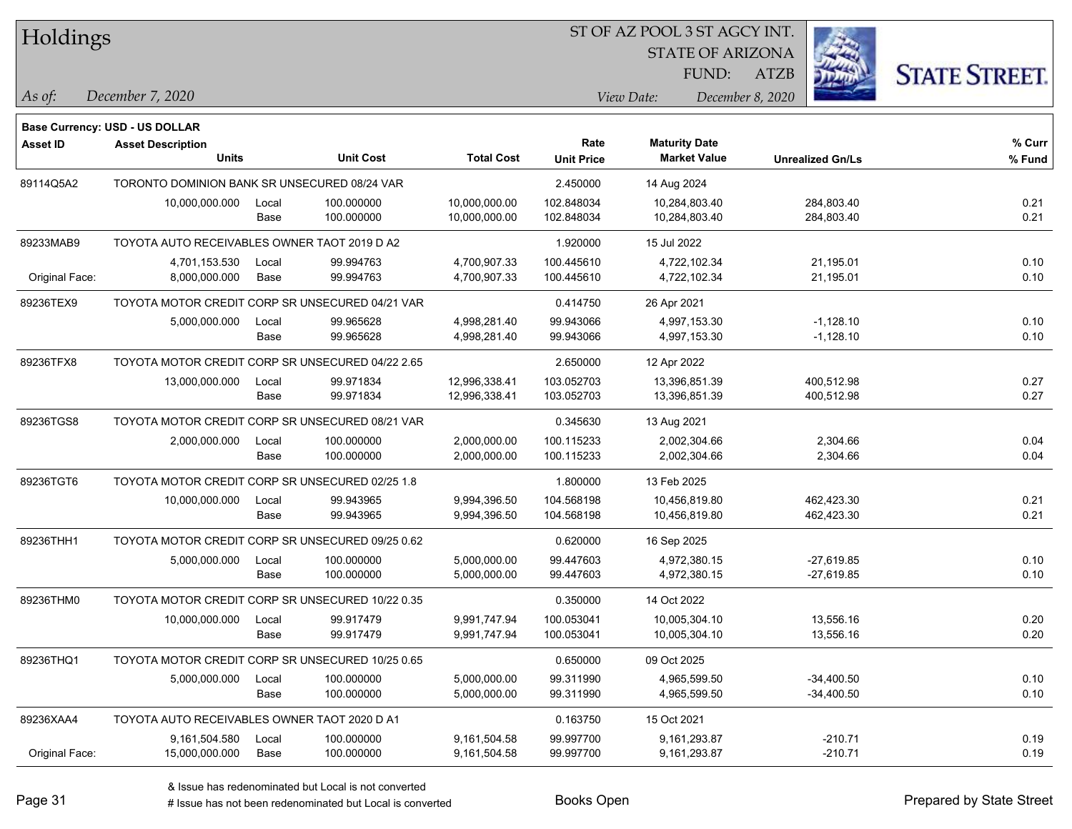| Holdings        |                                                  |       |                  |                   | ST OF AZ POOL 3 ST AGCY INT. |                      |                         |                         |                      |
|-----------------|--------------------------------------------------|-------|------------------|-------------------|------------------------------|----------------------|-------------------------|-------------------------|----------------------|
|                 |                                                  |       |                  |                   |                              |                      | <b>STATE OF ARIZONA</b> |                         |                      |
|                 |                                                  |       |                  |                   |                              |                      | FUND:<br><b>ATZB</b>    |                         | <b>STATE STREET.</b> |
| As of:          | December 7, 2020                                 |       |                  |                   |                              | View Date:           | December 8, 2020        |                         |                      |
|                 | Base Currency: USD - US DOLLAR                   |       |                  |                   |                              |                      |                         |                         |                      |
| <b>Asset ID</b> | <b>Asset Description</b>                         |       |                  |                   | Rate                         | <b>Maturity Date</b> |                         |                         | $%$ Curr             |
|                 | <b>Units</b>                                     |       | <b>Unit Cost</b> | <b>Total Cost</b> | <b>Unit Price</b>            | <b>Market Value</b>  |                         | <b>Unrealized Gn/Ls</b> | % Fund               |
| 89114Q5A2       | TORONTO DOMINION BANK SR UNSECURED 08/24 VAR     |       |                  |                   | 2.450000                     | 14 Aug 2024          |                         |                         |                      |
|                 | 10,000,000.000                                   | Local | 100.000000       | 10,000,000.00     | 102.848034                   | 10,284,803.40        |                         | 284,803.40              | 0.21                 |
|                 |                                                  | Base  | 100.000000       | 10,000,000.00     | 102.848034                   | 10,284,803.40        |                         | 284,803.40              | 0.21                 |
| 89233MAB9       | TOYOTA AUTO RECEIVABLES OWNER TAOT 2019 D A2     |       |                  |                   | 1.920000                     | 15 Jul 2022          |                         |                         |                      |
|                 | 4,701,153.530                                    | Local | 99.994763        | 4,700,907.33      | 100.445610                   | 4,722,102.34         |                         | 21,195.01               | 0.10                 |
| Original Face:  | 8,000,000.000                                    | Base  | 99.994763        | 4,700,907.33      | 100.445610                   | 4,722,102.34         |                         | 21,195.01               | 0.10                 |
| 89236TEX9       | TOYOTA MOTOR CREDIT CORP SR UNSECURED 04/21 VAR  |       |                  |                   | 0.414750                     | 26 Apr 2021          |                         |                         |                      |
|                 | 5,000,000.000                                    | Local | 99.965628        | 4,998,281.40      | 99.943066                    | 4,997,153.30         |                         | $-1,128.10$             | 0.10                 |
|                 |                                                  | Base  | 99.965628        | 4,998,281.40      | 99.943066                    | 4,997,153.30         |                         | $-1,128.10$             | 0.10                 |
| 89236TFX8       | TOYOTA MOTOR CREDIT CORP SR UNSECURED 04/22 2.65 |       |                  |                   | 2.650000                     | 12 Apr 2022          |                         |                         |                      |
|                 | 13,000,000.000                                   | Local | 99.971834        | 12,996,338.41     | 103.052703                   | 13,396,851.39        |                         | 400,512.98              | 0.27                 |
|                 |                                                  | Base  | 99.971834        | 12,996,338.41     | 103.052703                   | 13,396,851.39        |                         | 400,512.98              | 0.27                 |
| 89236TGS8       | TOYOTA MOTOR CREDIT CORP SR UNSECURED 08/21 VAR  |       |                  |                   | 0.345630                     | 13 Aug 2021          |                         |                         |                      |
|                 | 2,000,000.000                                    | Local | 100.000000       | 2,000,000.00      | 100.115233                   | 2,002,304.66         |                         | 2,304.66                | 0.04                 |
|                 |                                                  | Base  | 100.000000       | 2,000,000.00      | 100.115233                   | 2,002,304.66         |                         | 2,304.66                | 0.04                 |
| 89236TGT6       | TOYOTA MOTOR CREDIT CORP SR UNSECURED 02/25 1.8  |       |                  |                   | 1.800000                     | 13 Feb 2025          |                         |                         |                      |
|                 | 10,000,000.000                                   | Local | 99.943965        | 9,994,396.50      | 104.568198                   | 10,456,819.80        |                         | 462,423.30              | 0.21                 |
|                 |                                                  | Base  | 99.943965        | 9,994,396.50      | 104.568198                   | 10,456,819.80        |                         | 462,423.30              | 0.21                 |
| 89236THH1       | TOYOTA MOTOR CREDIT CORP SR UNSECURED 09/25 0.62 |       |                  |                   | 0.620000                     | 16 Sep 2025          |                         |                         |                      |
|                 | 5,000,000.000                                    | Local | 100.000000       | 5,000,000.00      | 99.447603                    | 4,972,380.15         |                         | $-27,619.85$            | 0.10                 |
|                 |                                                  | Base  | 100.000000       | 5,000,000.00      | 99.447603                    | 4,972,380.15         |                         | $-27,619.85$            | 0.10                 |
| 89236THM0       | TOYOTA MOTOR CREDIT CORP SR UNSECURED 10/22 0.35 |       |                  |                   | 0.350000                     | 14 Oct 2022          |                         |                         |                      |
|                 | 10,000,000.000                                   | Local | 99.917479        | 9,991,747.94      | 100.053041                   | 10,005,304.10        |                         | 13,556.16               | 0.20                 |
|                 |                                                  | Base  | 99.917479        | 9,991,747.94      | 100.053041                   | 10,005,304.10        |                         | 13,556.16               | 0.20                 |
| 89236THQ1       | TOYOTA MOTOR CREDIT CORP SR UNSECURED 10/25 0.65 |       |                  |                   | 0.650000                     | 09 Oct 2025          |                         |                         |                      |
|                 | 5,000,000.000                                    | Local | 100.000000       | 5,000,000.00      | 99.311990                    | 4,965,599.50         |                         | $-34,400.50$            | 0.10                 |
|                 |                                                  | Base  | 100.000000       | 5,000,000.00      | 99.311990                    | 4,965,599.50         |                         | $-34,400.50$            | 0.10                 |
| 89236XAA4       | TOYOTA AUTO RECEIVABLES OWNER TAOT 2020 D A1     |       |                  |                   | 0.163750                     | 15 Oct 2021          |                         |                         |                      |
|                 | 9,161,504.580                                    | Local | 100.000000       | 9,161,504.58      | 99.997700                    | 9,161,293.87         |                         | $-210.71$               | 0.19                 |
| Original Face:  | 15,000,000.000                                   | Base  | 100.000000       | 9,161,504.58      | 99.997700                    | 9,161,293.87         |                         | $-210.71$               | 0.19                 |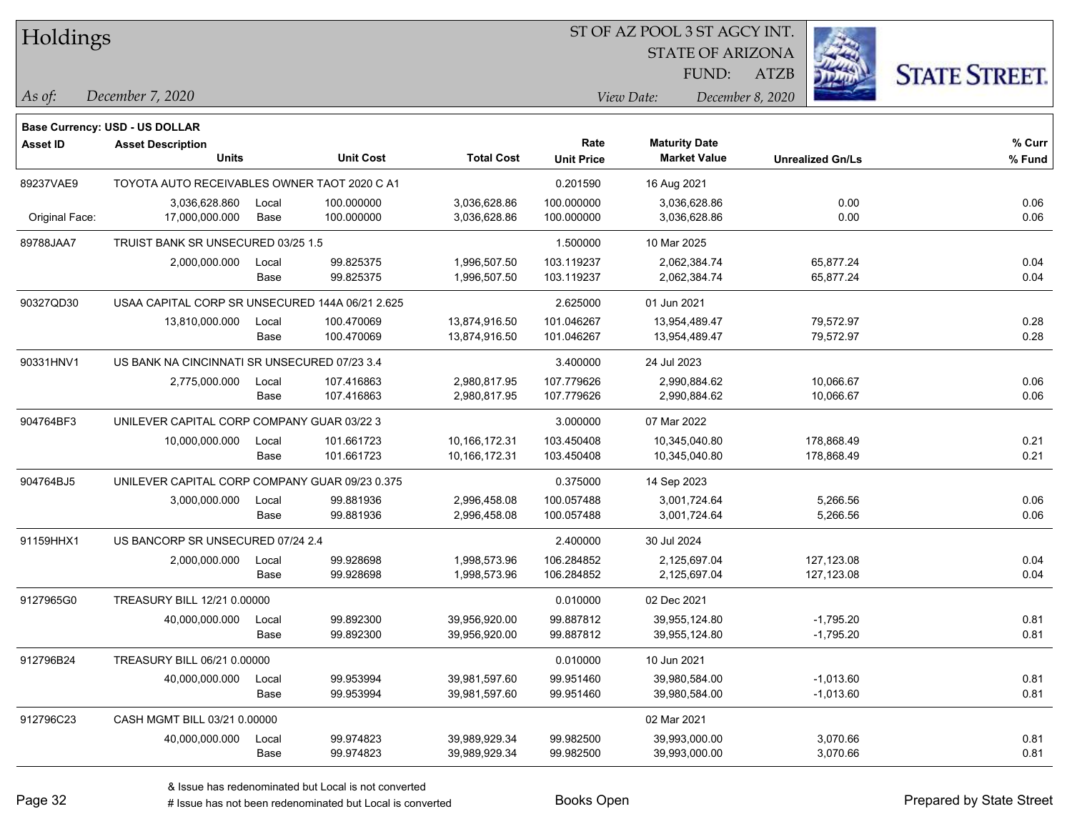|  | <b>Holdings</b> |
|--|-----------------|
|  |                 |

STATE OF ARIZONA

ATZB



*December 7, 2020 As of: View Date: December 8, 2020*

**Base Currency: USD - US DOLLAR**

| <b>Asset ID</b> | <b>Asset Description</b>                        |       |                  |                   | Rate              | <b>Maturity Date</b> |                         | % Curr |
|-----------------|-------------------------------------------------|-------|------------------|-------------------|-------------------|----------------------|-------------------------|--------|
|                 | <b>Units</b>                                    |       | <b>Unit Cost</b> | <b>Total Cost</b> | <b>Unit Price</b> | <b>Market Value</b>  | <b>Unrealized Gn/Ls</b> | % Fund |
| 89237VAE9       | TOYOTA AUTO RECEIVABLES OWNER TAOT 2020 C A1    |       |                  |                   | 0.201590          | 16 Aug 2021          |                         |        |
|                 | 3,036,628.860                                   | Local | 100.000000       | 3,036,628.86      | 100.000000        | 3,036,628.86         | 0.00                    | 0.06   |
| Original Face:  | 17,000,000.000                                  | Base  | 100.000000       | 3,036,628.86      | 100.000000        | 3,036,628.86         | 0.00                    | 0.06   |
| 89788JAA7       | TRUIST BANK SR UNSECURED 03/25 1.5              |       |                  |                   | 1.500000          | 10 Mar 2025          |                         |        |
|                 | 2,000,000.000                                   | Local | 99.825375        | 1,996,507.50      | 103.119237        | 2,062,384.74         | 65,877.24               | 0.04   |
|                 |                                                 | Base  | 99.825375        | 1,996,507.50      | 103.119237        | 2,062,384.74         | 65,877.24               | 0.04   |
| 90327QD30       | USAA CAPITAL CORP SR UNSECURED 144A 06/21 2.625 |       |                  |                   | 2.625000          | 01 Jun 2021          |                         |        |
|                 | 13,810,000.000                                  | Local | 100.470069       | 13,874,916.50     | 101.046267        | 13,954,489.47        | 79,572.97               | 0.28   |
|                 |                                                 | Base  | 100.470069       | 13,874,916.50     | 101.046267        | 13,954,489.47        | 79,572.97               | 0.28   |
| 90331HNV1       | US BANK NA CINCINNATI SR UNSECURED 07/23 3.4    |       |                  |                   | 3.400000          | 24 Jul 2023          |                         |        |
|                 | 2,775,000.000                                   | Local | 107.416863       | 2,980,817.95      | 107.779626        | 2,990,884.62         | 10,066.67               | 0.06   |
|                 |                                                 | Base  | 107.416863       | 2,980,817.95      | 107.779626        | 2,990,884.62         | 10,066.67               | 0.06   |
| 904764BF3       | UNILEVER CAPITAL CORP COMPANY GUAR 03/22 3      |       |                  |                   | 3.000000          | 07 Mar 2022          |                         |        |
|                 | 10,000,000.000                                  | Local | 101.661723       | 10,166,172.31     | 103.450408        | 10,345,040.80        | 178,868.49              | 0.21   |
|                 |                                                 | Base  | 101.661723       | 10,166,172.31     | 103.450408        | 10,345,040.80        | 178,868.49              | 0.21   |
| 904764BJ5       | UNILEVER CAPITAL CORP COMPANY GUAR 09/23 0.375  |       |                  |                   | 0.375000          | 14 Sep 2023          |                         |        |
|                 | 3,000,000.000                                   | Local | 99.881936        | 2,996,458.08      | 100.057488        | 3,001,724.64         | 5,266.56                | 0.06   |
|                 |                                                 | Base  | 99.881936        | 2,996,458.08      | 100.057488        | 3,001,724.64         | 5,266.56                | 0.06   |
| 91159HHX1       | US BANCORP SR UNSECURED 07/24 2.4               |       |                  |                   | 2.400000          | 30 Jul 2024          |                         |        |
|                 | 2,000,000.000                                   | Local | 99.928698        | 1,998,573.96      | 106.284852        | 2,125,697.04         | 127,123.08              | 0.04   |
|                 |                                                 | Base  | 99.928698        | 1,998,573.96      | 106.284852        | 2,125,697.04         | 127,123.08              | 0.04   |
| 9127965G0       | TREASURY BILL 12/21 0.00000                     |       |                  |                   | 0.010000          | 02 Dec 2021          |                         |        |
|                 | 40,000,000.000                                  | Local | 99.892300        | 39,956,920.00     | 99.887812         | 39,955,124.80        | $-1,795.20$             | 0.81   |
|                 |                                                 | Base  | 99.892300        | 39,956,920.00     | 99.887812         | 39,955,124.80        | $-1,795.20$             | 0.81   |
| 912796B24       | TREASURY BILL 06/21 0.00000                     |       |                  |                   | 0.010000          | 10 Jun 2021          |                         |        |
|                 | 40,000,000.000                                  | Local | 99.953994        | 39,981,597.60     | 99.951460         | 39,980,584.00        | $-1,013.60$             | 0.81   |
|                 |                                                 | Base  | 99.953994        | 39,981,597.60     | 99.951460         | 39,980,584.00        | $-1,013.60$             | 0.81   |
| 912796C23       | CASH MGMT BILL 03/21 0.00000                    |       |                  |                   |                   | 02 Mar 2021          |                         |        |
|                 | 40,000,000.000                                  | Local | 99.974823        | 39,989,929.34     | 99.982500         | 39,993,000.00        | 3,070.66                | 0.81   |
|                 |                                                 | Base  | 99.974823        | 39,989,929.34     | 99.982500         | 39,993,000.00        | 3,070.66                | 0.81   |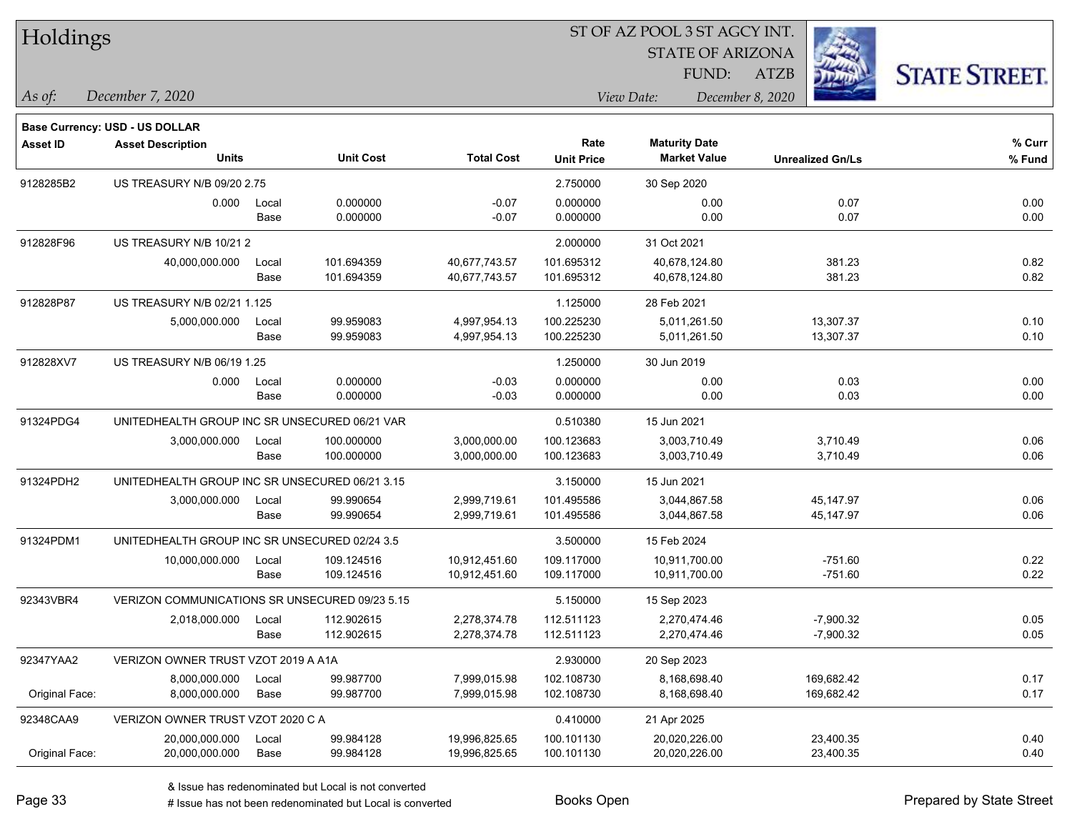| Holdings        |                                                |                                                |                  |                   |                           | ST OF AZ POOL 3 ST AGCY INT.                |                  |                         |                      |  |
|-----------------|------------------------------------------------|------------------------------------------------|------------------|-------------------|---------------------------|---------------------------------------------|------------------|-------------------------|----------------------|--|
|                 |                                                |                                                |                  |                   |                           | <b>STATE OF ARIZONA</b>                     |                  |                         |                      |  |
|                 |                                                |                                                |                  |                   |                           | FUND:                                       | <b>ATZB</b>      |                         | <b>STATE STREET.</b> |  |
| As of:          | December 7, 2020                               |                                                |                  |                   |                           | View Date:                                  | December 8, 2020 |                         |                      |  |
|                 | Base Currency: USD - US DOLLAR                 |                                                |                  |                   |                           |                                             |                  |                         |                      |  |
| <b>Asset ID</b> | <b>Asset Description</b><br><b>Units</b>       |                                                | <b>Unit Cost</b> | <b>Total Cost</b> | Rate<br><b>Unit Price</b> | <b>Maturity Date</b><br><b>Market Value</b> |                  | <b>Unrealized Gn/Ls</b> | % Curr<br>% Fund     |  |
| 9128285B2       | US TREASURY N/B 09/20 2.75                     |                                                |                  |                   | 2.750000                  | 30 Sep 2020                                 |                  |                         |                      |  |
|                 | 0.000                                          | Local                                          | 0.000000         | $-0.07$           | 0.000000                  | 0.00                                        |                  | 0.07                    | 0.00                 |  |
|                 |                                                | Base                                           | 0.000000         | $-0.07$           | 0.000000                  | 0.00                                        |                  | 0.07                    | 0.00                 |  |
| 912828F96       | US TREASURY N/B 10/21 2                        |                                                |                  |                   | 2.000000                  | 31 Oct 2021                                 |                  |                         |                      |  |
|                 | 40,000,000.000                                 | Local                                          | 101.694359       | 40,677,743.57     | 101.695312                | 40,678,124.80                               |                  | 381.23                  | 0.82                 |  |
|                 |                                                | Base                                           | 101.694359       | 40,677,743.57     | 101.695312                | 40,678,124.80                               |                  | 381.23                  | 0.82                 |  |
| 912828P87       | US TREASURY N/B 02/21 1.125                    |                                                |                  |                   | 1.125000                  | 28 Feb 2021                                 |                  |                         |                      |  |
|                 | 5,000,000.000                                  | Local                                          | 99.959083        | 4,997,954.13      | 100.225230                | 5,011,261.50                                |                  | 13,307.37               | 0.10                 |  |
|                 |                                                | Base                                           | 99.959083        | 4,997,954.13      | 100.225230                | 5,011,261.50                                |                  | 13,307.37               | 0.10                 |  |
| 912828XV7       | <b>US TREASURY N/B 06/19 1.25</b>              |                                                |                  |                   | 1.250000                  | 30 Jun 2019                                 |                  |                         |                      |  |
|                 | 0.000                                          | Local                                          | 0.000000         | $-0.03$           | 0.000000                  | 0.00                                        |                  | 0.03                    | 0.00                 |  |
|                 |                                                | Base                                           | 0.000000         | $-0.03$           | 0.000000                  | 0.00                                        |                  | 0.03                    | 0.00                 |  |
| 91324PDG4       | UNITEDHEALTH GROUP INC SR UNSECURED 06/21 VAR  |                                                |                  |                   | 0.510380                  | 15 Jun 2021                                 |                  |                         |                      |  |
|                 | 3,000,000.000                                  | Local                                          | 100.000000       | 3,000,000.00      | 100.123683                | 3,003,710.49                                |                  | 3,710.49                | 0.06                 |  |
|                 |                                                | Base                                           | 100.000000       | 3,000,000.00      | 100.123683                | 3,003,710.49                                |                  | 3,710.49                | 0.06                 |  |
| 91324PDH2       |                                                | UNITEDHEALTH GROUP INC SR UNSECURED 06/21 3.15 |                  |                   | 3.150000                  | 15 Jun 2021                                 |                  |                         |                      |  |
|                 | 3,000,000.000                                  | Local                                          | 99.990654        | 2,999,719.61      | 101.495586                | 3,044,867.58                                |                  | 45,147.97               | 0.06                 |  |
|                 |                                                | Base                                           | 99.990654        | 2,999,719.61      | 101.495586                | 3,044,867.58                                |                  | 45,147.97               | 0.06                 |  |
| 91324PDM1       | UNITEDHEALTH GROUP INC SR UNSECURED 02/24 3.5  |                                                |                  |                   | 3.500000                  | 15 Feb 2024                                 |                  |                         |                      |  |
|                 | 10,000,000.000                                 | Local                                          | 109.124516       | 10,912,451.60     | 109.117000                | 10,911,700.00                               |                  | $-751.60$               | 0.22                 |  |
|                 |                                                | Base                                           | 109.124516       | 10,912,451.60     | 109.117000                | 10,911,700.00                               |                  | $-751.60$               | 0.22                 |  |
| 92343VBR4       | VERIZON COMMUNICATIONS SR UNSECURED 09/23 5.15 |                                                |                  |                   | 5.150000                  | 15 Sep 2023                                 |                  |                         |                      |  |
|                 | 2,018,000.000                                  | Local                                          | 112.902615       | 2,278,374.78      | 112.511123                | 2,270,474.46                                |                  | $-7,900.32$             | 0.05                 |  |
|                 |                                                | Base                                           | 112.902615       | 2,278,374.78      | 112.511123                | 2,270,474.46                                |                  | $-7,900.32$             | 0.05                 |  |
| 92347YAA2       | VERIZON OWNER TRUST VZOT 2019 A A1A            |                                                |                  |                   | 2.930000                  | 20 Sep 2023                                 |                  |                         |                      |  |
|                 | 8,000,000.000                                  | Local                                          | 99.987700        | 7,999,015.98      | 102.108730                | 8,168,698.40                                |                  | 169,682.42              | 0.17                 |  |
| Original Face:  | 8,000,000.000                                  | Base                                           | 99.987700        | 7,999,015.98      | 102.108730                | 8,168,698.40                                |                  | 169,682.42              | 0.17                 |  |
| 92348CAA9       | VERIZON OWNER TRUST VZOT 2020 C A              |                                                |                  |                   | 0.410000                  | 21 Apr 2025                                 |                  |                         |                      |  |
|                 | 20,000,000.000                                 | Local                                          | 99.984128        | 19,996,825.65     | 100.101130                | 20,020,226.00                               |                  | 23,400.35               | 0.40                 |  |
| Original Face:  | 20,000,000.000                                 | Base                                           | 99.984128        | 19,996,825.65     | 100.101130                | 20,020,226.00                               |                  | 23,400.35               | 0.40                 |  |

 $\overline{\phantom{a}}$ 

 $\overline{\phantom{a}}$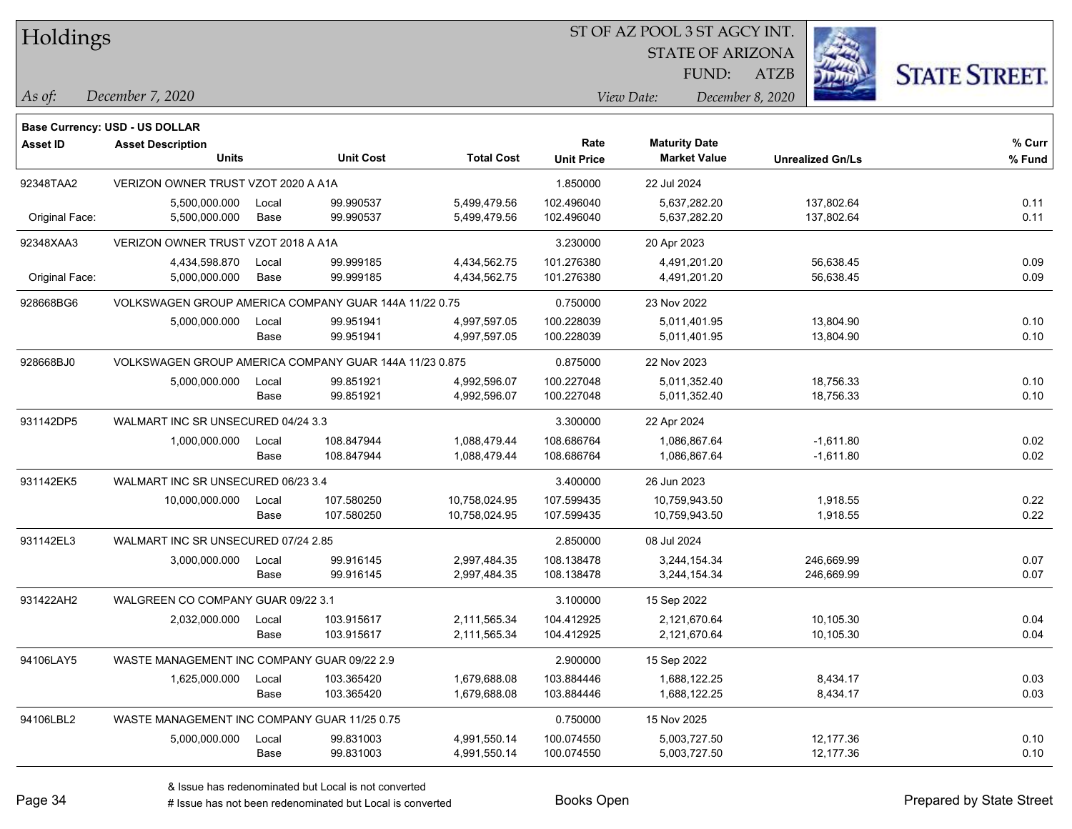| <b>Holdings</b> |  |
|-----------------|--|
|-----------------|--|

STATE OF ARIZONA

ATZB



*December 7, 2020 As of: View Date: December 8, 2020*

**Base Currency: USD - US DOLLAR**

| <b>Asset ID</b> | <b>Asset Description</b><br><b>Units</b>               |               | <b>Unit Cost</b>       | <b>Total Cost</b>            | Rate<br><b>Unit Price</b> | <b>Maturity Date</b><br><b>Market Value</b> | <b>Unrealized Gn/Ls</b>  | % Curr<br>% Fund |
|-----------------|--------------------------------------------------------|---------------|------------------------|------------------------------|---------------------------|---------------------------------------------|--------------------------|------------------|
| 92348TAA2       | VERIZON OWNER TRUST VZOT 2020 A A1A                    |               |                        |                              | 1.850000                  | 22 Jul 2024                                 |                          |                  |
| Original Face:  | 5,500,000.000<br>5,500,000.000                         | Local<br>Base | 99.990537<br>99.990537 | 5,499,479.56<br>5,499,479.56 | 102.496040<br>102.496040  | 5,637,282.20<br>5,637,282.20                | 137,802.64<br>137,802.64 | 0.11<br>0.11     |
| 92348XAA3       | VERIZON OWNER TRUST VZOT 2018 A A1A                    |               |                        |                              | 3.230000                  | 20 Apr 2023                                 |                          |                  |
|                 | 4,434,598.870                                          | Local         | 99.999185              | 4,434,562.75                 | 101.276380                | 4,491,201.20                                | 56,638.45                | 0.09             |
| Original Face:  | 5,000,000.000                                          | Base          | 99.999185              | 4,434,562.75                 | 101.276380                | 4,491,201.20                                | 56,638.45                | 0.09             |
| 928668BG6       | VOLKSWAGEN GROUP AMERICA COMPANY GUAR 144A 11/22 0.75  |               |                        |                              | 0.750000                  | 23 Nov 2022                                 |                          |                  |
|                 | 5,000,000.000                                          | Local         | 99.951941              | 4,997,597.05                 | 100.228039                | 5,011,401.95                                | 13,804.90                | 0.10             |
|                 |                                                        | Base          | 99.951941              | 4,997,597.05                 | 100.228039                | 5,011,401.95                                | 13,804.90                | 0.10             |
| 928668BJ0       | VOLKSWAGEN GROUP AMERICA COMPANY GUAR 144A 11/23 0.875 |               |                        |                              | 0.875000                  | 22 Nov 2023                                 |                          |                  |
|                 | 5,000,000.000                                          | Local         | 99.851921              | 4,992,596.07                 | 100.227048                | 5,011,352.40                                | 18,756.33                | 0.10             |
|                 |                                                        | Base          | 99.851921              | 4,992,596.07                 | 100.227048                | 5,011,352.40                                | 18,756.33                | 0.10             |
| 931142DP5       | WALMART INC SR UNSECURED 04/24 3.3                     |               |                        |                              | 3.300000                  | 22 Apr 2024                                 |                          |                  |
|                 | 1,000,000.000                                          | Local         | 108.847944             | 1,088,479.44                 | 108.686764                | 1,086,867.64                                | $-1,611.80$              | 0.02             |
|                 |                                                        | Base          | 108.847944             | 1,088,479.44                 | 108.686764                | 1,086,867.64                                | $-1,611.80$              | 0.02             |
| 931142EK5       | WALMART INC SR UNSECURED 06/23 3.4                     |               |                        |                              | 3.400000                  | 26 Jun 2023                                 |                          |                  |
|                 | 10,000,000.000                                         | Local         | 107.580250             | 10,758,024.95                | 107.599435                | 10,759,943.50                               | 1,918.55                 | 0.22             |
|                 |                                                        | Base          | 107.580250             | 10,758,024.95                | 107.599435                | 10,759,943.50                               | 1,918.55                 | 0.22             |
| 931142EL3       | WALMART INC SR UNSECURED 07/24 2.85                    |               |                        |                              | 2.850000                  | 08 Jul 2024                                 |                          |                  |
|                 | 3,000,000.000                                          | Local         | 99.916145              | 2,997,484.35                 | 108.138478                | 3.244.154.34                                | 246.669.99               | 0.07             |
|                 |                                                        | Base          | 99.916145              | 2,997,484.35                 | 108.138478                | 3,244,154.34                                | 246,669.99               | 0.07             |
| 931422AH2       | WALGREEN CO COMPANY GUAR 09/22 3.1                     |               |                        |                              | 3.100000                  | 15 Sep 2022                                 |                          |                  |
|                 | 2,032,000.000                                          | Local         | 103.915617             | 2,111,565.34                 | 104.412925                | 2,121,670.64                                | 10,105.30                | 0.04             |
|                 |                                                        | Base          | 103.915617             | 2,111,565.34                 | 104.412925                | 2,121,670.64                                | 10,105.30                | 0.04             |
| 94106LAY5       | WASTE MANAGEMENT INC COMPANY GUAR 09/22 2.9            |               |                        |                              | 2.900000                  | 15 Sep 2022                                 |                          |                  |
|                 | 1,625,000.000                                          | Local         | 103.365420             | 1,679,688.08                 | 103.884446                | 1,688,122.25                                | 8,434.17                 | 0.03             |
|                 |                                                        | Base          | 103.365420             | 1,679,688.08                 | 103.884446                | 1,688,122.25                                | 8,434.17                 | 0.03             |
| 94106LBL2       | WASTE MANAGEMENT INC COMPANY GUAR 11/25 0.75           |               |                        |                              | 0.750000                  | 15 Nov 2025                                 |                          |                  |
|                 | 5,000,000.000                                          | Local         | 99.831003              | 4,991,550.14                 | 100.074550                | 5,003,727.50                                | 12,177.36                | 0.10             |
|                 |                                                        | Base          | 99.831003              | 4,991,550.14                 | 100.074550                | 5,003,727.50                                | 12,177.36                | 0.10             |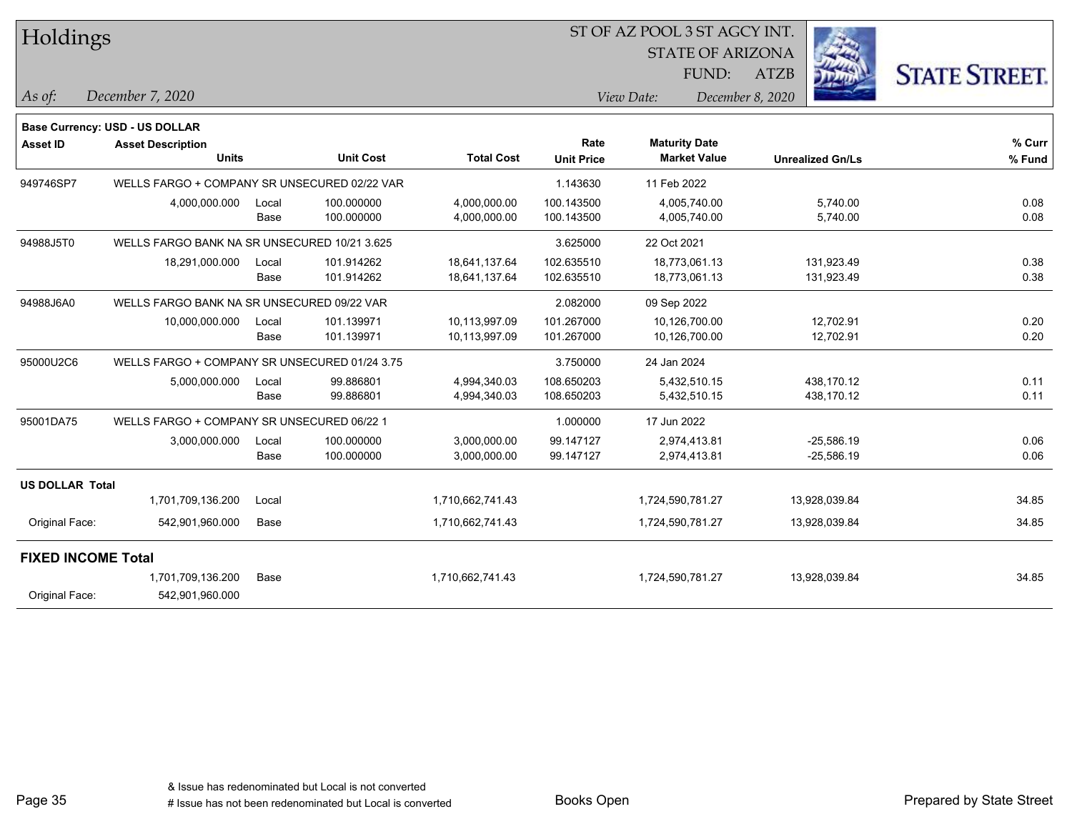| Holdings                  |                                               |       |                  |                   |                   | ST OF AZ POOL 3 ST AGCY INT. |                  |                         |                      |
|---------------------------|-----------------------------------------------|-------|------------------|-------------------|-------------------|------------------------------|------------------|-------------------------|----------------------|
|                           |                                               |       |                  |                   |                   | <b>STATE OF ARIZONA</b>      |                  |                         |                      |
|                           |                                               |       |                  |                   |                   | FUND:                        | <b>ATZB</b>      |                         | <b>STATE STREET.</b> |
| As of:                    | December 7, 2020                              |       |                  |                   |                   | View Date:                   | December 8, 2020 |                         |                      |
|                           | Base Currency: USD - US DOLLAR                |       |                  |                   |                   |                              |                  |                         |                      |
| <b>Asset ID</b>           | <b>Asset Description</b>                      |       |                  |                   | Rate              | <b>Maturity Date</b>         |                  |                         | % Curr               |
|                           | <b>Units</b>                                  |       | <b>Unit Cost</b> | <b>Total Cost</b> | <b>Unit Price</b> | <b>Market Value</b>          |                  | <b>Unrealized Gn/Ls</b> | % Fund               |
| 949746SP7                 | WELLS FARGO + COMPANY SR UNSECURED 02/22 VAR  |       |                  |                   | 1.143630          | 11 Feb 2022                  |                  |                         |                      |
|                           | 4,000,000.000                                 | Local | 100.000000       | 4,000,000.00      | 100.143500        | 4,005,740.00                 |                  | 5,740.00                | 0.08                 |
|                           |                                               | Base  | 100.000000       | 4,000,000.00      | 100.143500        | 4,005,740.00                 |                  | 5,740.00                | 0.08                 |
| 94988J5T0                 | WELLS FARGO BANK NA SR UNSECURED 10/21 3.625  |       |                  |                   | 3.625000          | 22 Oct 2021                  |                  |                         |                      |
|                           | 18,291,000.000                                | Local | 101.914262       | 18,641,137.64     | 102.635510        | 18,773,061.13                |                  | 131,923.49              | 0.38                 |
|                           |                                               | Base  | 101.914262       | 18,641,137.64     | 102.635510        | 18,773,061.13                |                  | 131,923.49              | 0.38                 |
| 94988J6A0                 | WELLS FARGO BANK NA SR UNSECURED 09/22 VAR    |       |                  |                   | 2.082000          | 09 Sep 2022                  |                  |                         |                      |
|                           | 10,000,000.000                                | Local | 101.139971       | 10,113,997.09     | 101.267000        | 10,126,700.00                |                  | 12,702.91               | 0.20                 |
|                           |                                               | Base  | 101.139971       | 10,113,997.09     | 101.267000        | 10,126,700.00                |                  | 12,702.91               | 0.20                 |
| 95000U2C6                 | WELLS FARGO + COMPANY SR UNSECURED 01/24 3.75 |       |                  |                   | 3.750000          | 24 Jan 2024                  |                  |                         |                      |
|                           | 5,000,000.000                                 | Local | 99.886801        | 4,994,340.03      | 108.650203        | 5,432,510.15                 |                  | 438,170.12              | 0.11                 |
|                           |                                               | Base  | 99.886801        | 4,994,340.03      | 108.650203        | 5,432,510.15                 |                  | 438,170.12              | 0.11                 |
| 95001DA75                 | WELLS FARGO + COMPANY SR UNSECURED 06/22 1    |       |                  |                   | 1.000000          | 17 Jun 2022                  |                  |                         |                      |
|                           | 3,000,000.000                                 | Local | 100.000000       | 3,000,000.00      | 99.147127         | 2,974,413.81                 |                  | $-25,586.19$            | 0.06                 |
|                           |                                               | Base  | 100.000000       | 3,000,000.00      | 99.147127         | 2,974,413.81                 |                  | $-25,586.19$            | 0.06                 |
| <b>US DOLLAR Total</b>    |                                               |       |                  |                   |                   |                              |                  |                         |                      |
|                           | 1,701,709,136.200                             | Local |                  | 1,710,662,741.43  |                   | 1,724,590,781.27             |                  | 13,928,039.84           | 34.85                |
| Original Face:            | 542,901,960.000                               | Base  |                  | 1,710,662,741.43  |                   | 1,724,590,781.27             |                  | 13,928,039.84           | 34.85                |
| <b>FIXED INCOME Total</b> |                                               |       |                  |                   |                   |                              |                  |                         |                      |
|                           | 1,701,709,136.200                             | Base  |                  | 1,710,662,741.43  |                   | 1,724,590,781.27             |                  | 13,928,039.84           | 34.85                |
| Original Face:            | 542,901,960.000                               |       |                  |                   |                   |                              |                  |                         |                      |

Page 35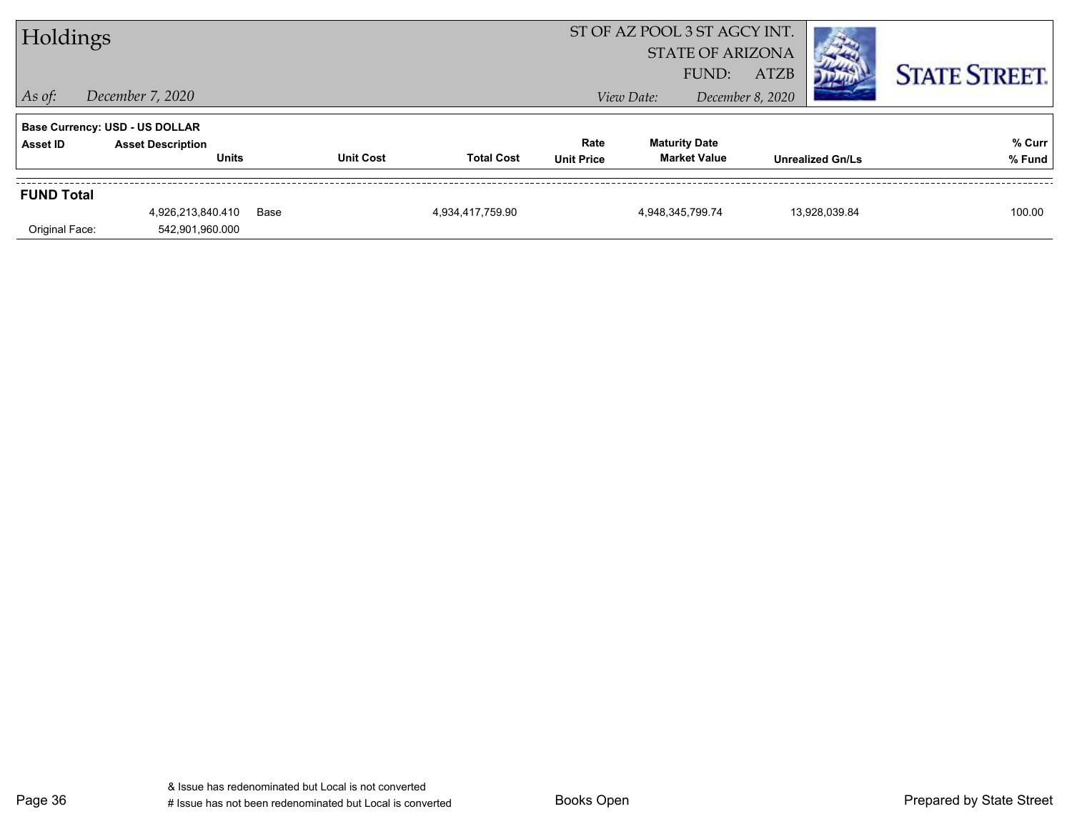| Holdings          |                                          |      |                  |                   | ST OF AZ POOL 3 ST AGCY INT.<br><b>STATE OF ARIZONA</b><br>FUND:<br><b>ATZB</b> |                      |                     |                  |                         | <b>STATE STREET.</b> |
|-------------------|------------------------------------------|------|------------------|-------------------|---------------------------------------------------------------------------------|----------------------|---------------------|------------------|-------------------------|----------------------|
| $ $ As of:        | December 7, 2020                         |      |                  |                   |                                                                                 | View Date:           |                     | December 8, 2020 |                         |                      |
|                   | <b>Base Currency: USD - US DOLLAR</b>    |      |                  |                   |                                                                                 |                      |                     |                  |                         |                      |
| Asset ID          | <b>Asset Description</b><br><b>Units</b> |      | <b>Unit Cost</b> | <b>Total Cost</b> | Rate<br><b>Unit Price</b>                                                       | <b>Maturity Date</b> | <b>Market Value</b> |                  | <b>Unrealized Gn/Ls</b> | % Curr<br>% Fund     |
| <b>FUND Total</b> |                                          |      |                  |                   |                                                                                 |                      |                     |                  |                         |                      |
| Original Face:    | 4,926,213,840.410<br>542,901,960.000     | Base |                  | 4,934,417,759.90  |                                                                                 | 4,948,345,799.74     |                     |                  | 13.928.039.84           | 100.00               |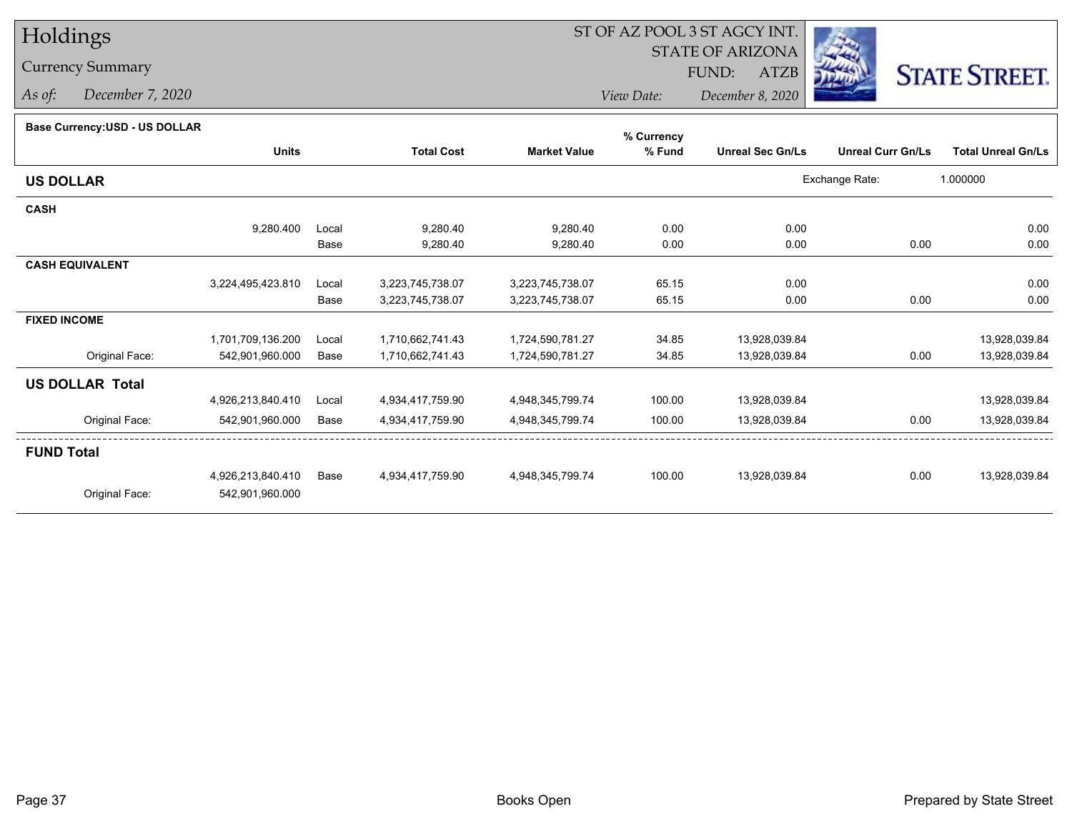# Holdings

### Currency Summary

*As of: December 7, 2020*

## ST OF AZ POOL 3 ST AGCY INT.

 STATE OF ARIZONAFUND:

ATZB



*View Date:December 8, 2020*

#### **Base Currency:USD - US DOLLAR**

|                        |                   |       |                   |                     | % Currency |                         |                          |                           |
|------------------------|-------------------|-------|-------------------|---------------------|------------|-------------------------|--------------------------|---------------------------|
|                        | <b>Units</b>      |       | <b>Total Cost</b> | <b>Market Value</b> | % Fund     | <b>Unreal Sec Gn/Ls</b> | <b>Unreal Curr Gn/Ls</b> | <b>Total Unreal Gn/Ls</b> |
| <b>US DOLLAR</b>       |                   |       |                   |                     |            |                         | Exchange Rate:           | 1.000000                  |
| <b>CASH</b>            |                   |       |                   |                     |            |                         |                          |                           |
|                        | 9,280.400         | Local | 9,280.40          | 9,280.40            | 0.00       | 0.00                    |                          | 0.00                      |
|                        |                   | Base  | 9,280.40          | 9,280.40            | 0.00       | 0.00                    | 0.00                     | 0.00                      |
| <b>CASH EQUIVALENT</b> |                   |       |                   |                     |            |                         |                          |                           |
|                        | 3,224,495,423.810 | Local | 3,223,745,738.07  | 3,223,745,738.07    | 65.15      | 0.00                    |                          | 0.00                      |
|                        |                   | Base  | 3,223,745,738.07  | 3,223,745,738.07    | 65.15      | 0.00                    | 0.00                     | 0.00                      |
| <b>FIXED INCOME</b>    |                   |       |                   |                     |            |                         |                          |                           |
|                        | 1,701,709,136.200 | Local | 1,710,662,741.43  | 1,724,590,781.27    | 34.85      | 13,928,039.84           |                          | 13,928,039.84             |
| Original Face:         | 542,901,960.000   | Base  | 1,710,662,741.43  | 1,724,590,781.27    | 34.85      | 13,928,039.84           | 0.00                     | 13,928,039.84             |
| <b>US DOLLAR Total</b> |                   |       |                   |                     |            |                         |                          |                           |
|                        | 4,926,213,840.410 | Local | 4,934,417,759.90  | 4,948,345,799.74    | 100.00     | 13,928,039.84           |                          | 13,928,039.84             |
| Original Face:         | 542,901,960.000   | Base  | 4,934,417,759.90  | 4,948,345,799.74    | 100.00     | 13,928,039.84           | 0.00                     | 13,928,039.84             |
| <b>FUND Total</b>      |                   |       |                   |                     |            |                         |                          |                           |
|                        | 4,926,213,840.410 | Base  | 4,934,417,759.90  | 4,948,345,799.74    | 100.00     | 13,928,039.84           | 0.00                     | 13,928,039.84             |
| Original Face:         | 542,901,960.000   |       |                   |                     |            |                         |                          |                           |
|                        |                   |       |                   |                     |            |                         |                          |                           |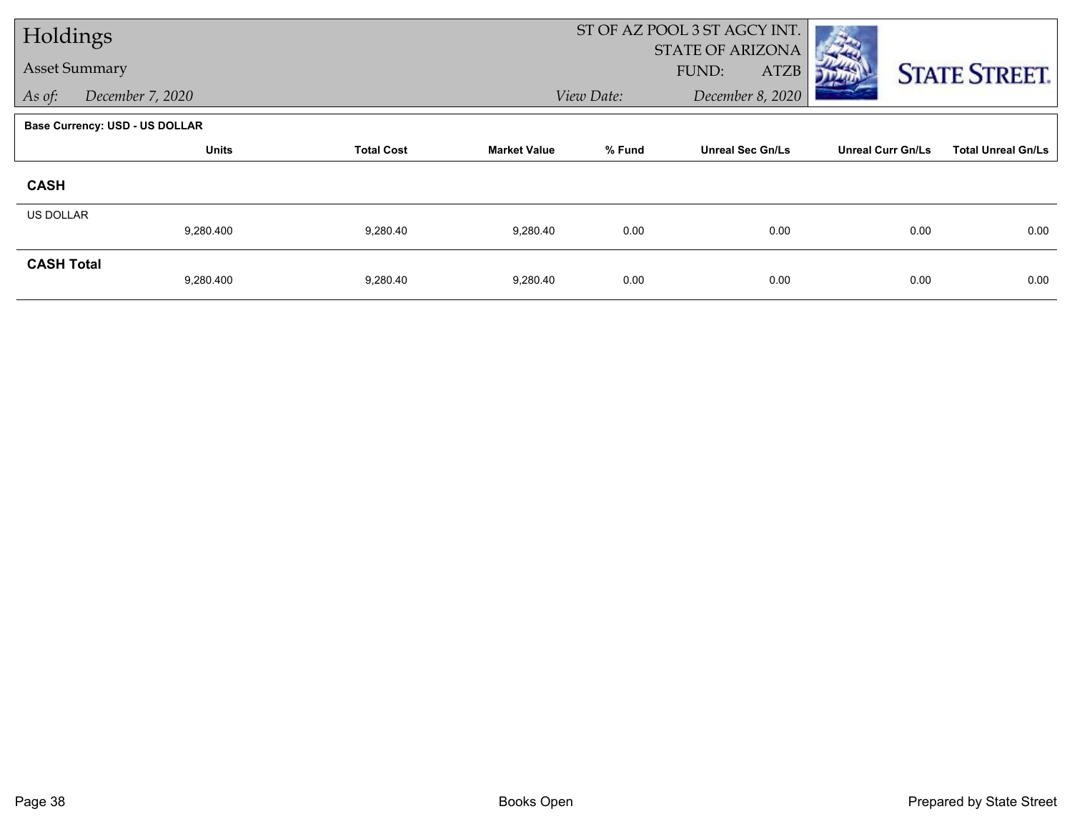| Holdings             |                                       |                   |                     | ST OF AZ POOL 3 ST AGCY INT. |                                                 |                          |                           |
|----------------------|---------------------------------------|-------------------|---------------------|------------------------------|-------------------------------------------------|--------------------------|---------------------------|
| <b>Asset Summary</b> |                                       |                   |                     |                              | <b>STATE OF ARIZONA</b><br>FUND:<br><b>ATZB</b> |                          | <b>STATE STREET.</b>      |
| As of:               | December 7, 2020                      |                   |                     | View Date:                   | December 8, 2020                                |                          |                           |
|                      | <b>Base Currency: USD - US DOLLAR</b> |                   |                     |                              |                                                 |                          |                           |
|                      | <b>Units</b>                          | <b>Total Cost</b> | <b>Market Value</b> | % Fund                       | <b>Unreal Sec Gn/Ls</b>                         | <b>Unreal Curr Gn/Ls</b> | <b>Total Unreal Gn/Ls</b> |
| <b>CASH</b>          |                                       |                   |                     |                              |                                                 |                          |                           |
| <b>US DOLLAR</b>     |                                       |                   |                     |                              |                                                 |                          |                           |
|                      | 9,280.400                             | 9,280.40          | 9,280.40            | 0.00                         | 0.00                                            | 0.00                     | 0.00                      |
| <b>CASH Total</b>    | 9,280.400                             | 9,280.40          | 9,280.40            | 0.00                         | 0.00                                            | 0.00                     | 0.00                      |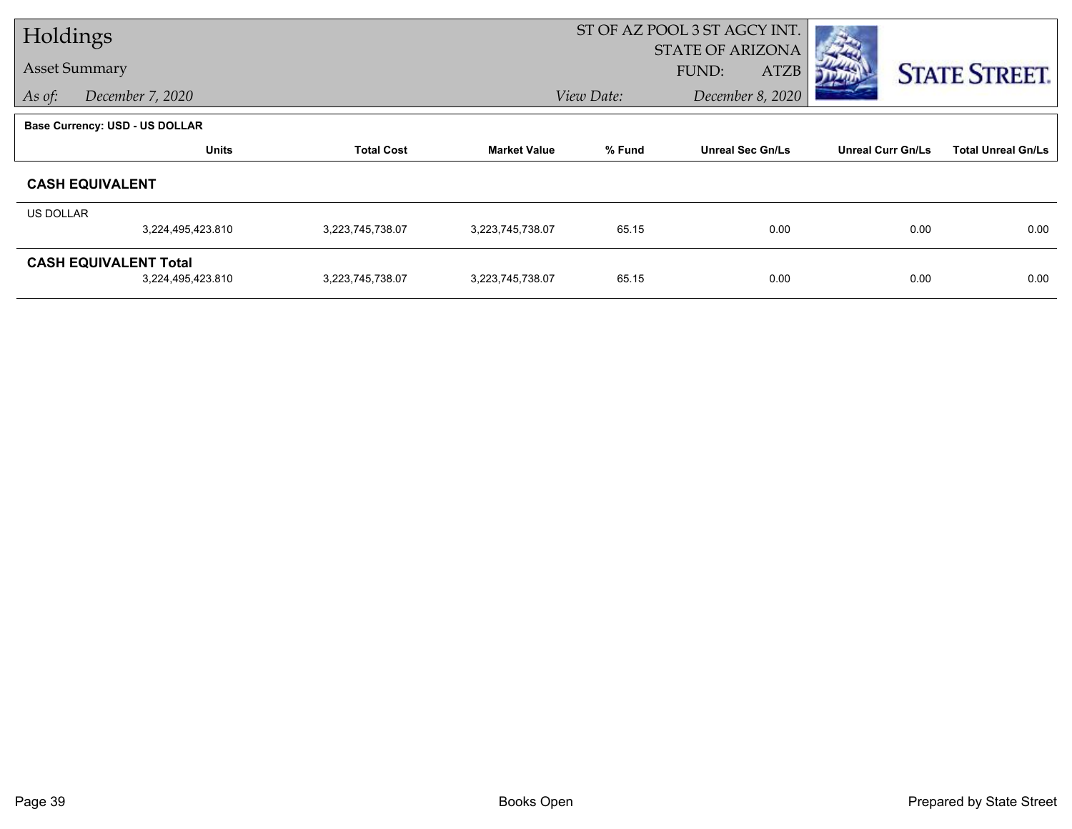| Holdings  |                                |                   |                     | ST OF AZ POOL 3 ST AGCY INT. |                         |                          |                           |
|-----------|--------------------------------|-------------------|---------------------|------------------------------|-------------------------|--------------------------|---------------------------|
|           |                                |                   |                     |                              | <b>STATE OF ARIZONA</b> |                          |                           |
|           | <b>Asset Summary</b>           |                   |                     |                              | <b>ATZB</b><br>FUND:    |                          | <b>STATE STREET.</b>      |
| As of:    | December 7, 2020               |                   |                     | View Date:                   | December 8, 2020        |                          |                           |
|           | Base Currency: USD - US DOLLAR |                   |                     |                              |                         |                          |                           |
|           | <b>Units</b>                   | <b>Total Cost</b> | <b>Market Value</b> | % Fund                       | <b>Unreal Sec Gn/Ls</b> | <b>Unreal Curr Gn/Ls</b> | <b>Total Unreal Gn/Ls</b> |
|           | <b>CASH EQUIVALENT</b>         |                   |                     |                              |                         |                          |                           |
| US DOLLAR |                                |                   |                     |                              |                         |                          |                           |
|           | 3,224,495,423.810              | 3,223,745,738.07  | 3,223,745,738.07    | 65.15                        | 0.00                    | 0.00                     | 0.00                      |
|           | <b>CASH EQUIVALENT Total</b>   |                   |                     |                              |                         |                          |                           |
|           | 3,224,495,423.810              | 3,223,745,738.07  | 3,223,745,738.07    | 65.15                        | 0.00                    | 0.00                     | 0.00                      |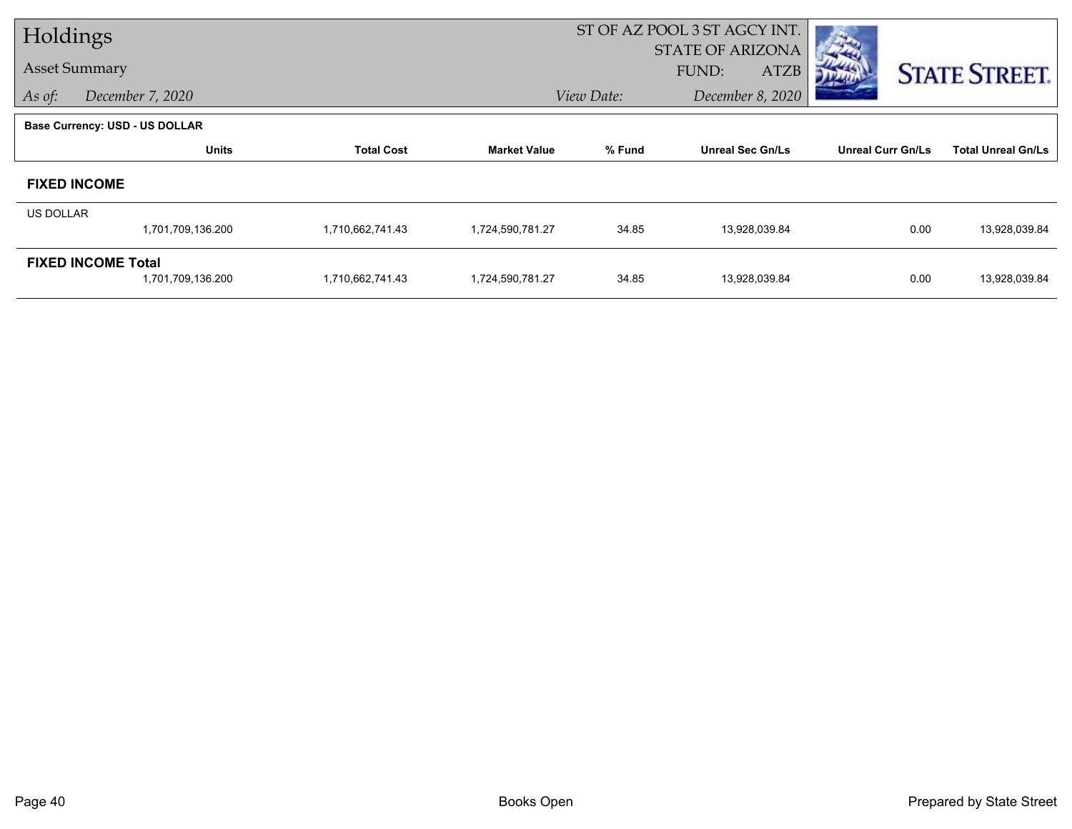| Holdings         |                                       |                   |                     | ST OF AZ POOL 3 ST AGCY INT. |                         |                          |                           |  |
|------------------|---------------------------------------|-------------------|---------------------|------------------------------|-------------------------|--------------------------|---------------------------|--|
|                  |                                       |                   |                     |                              | <b>STATE OF ARIZONA</b> |                          |                           |  |
|                  | <b>Asset Summary</b>                  |                   |                     |                              | FUND:<br><b>ATZB</b>    |                          | <b>STATE STREET.</b>      |  |
| As of:           | December 7, 2020                      |                   |                     | View Date:                   | December 8, 2020        |                          |                           |  |
|                  | <b>Base Currency: USD - US DOLLAR</b> |                   |                     |                              |                         |                          |                           |  |
|                  | <b>Units</b>                          | <b>Total Cost</b> | <b>Market Value</b> | % Fund                       | <b>Unreal Sec Gn/Ls</b> | <b>Unreal Curr Gn/Ls</b> | <b>Total Unreal Gn/Ls</b> |  |
|                  | <b>FIXED INCOME</b>                   |                   |                     |                              |                         |                          |                           |  |
| <b>US DOLLAR</b> |                                       |                   |                     |                              |                         |                          |                           |  |
|                  | 1,701,709,136.200                     | 1,710,662,741.43  | 1,724,590,781.27    | 34.85                        | 13,928,039.84           | 0.00                     | 13,928,039.84             |  |
|                  | <b>FIXED INCOME Total</b>             |                   |                     |                              |                         |                          |                           |  |
|                  | 1,701,709,136.200                     | 1,710,662,741.43  | 1,724,590,781.27    | 34.85                        | 13,928,039.84           | 0.00                     | 13,928,039.84             |  |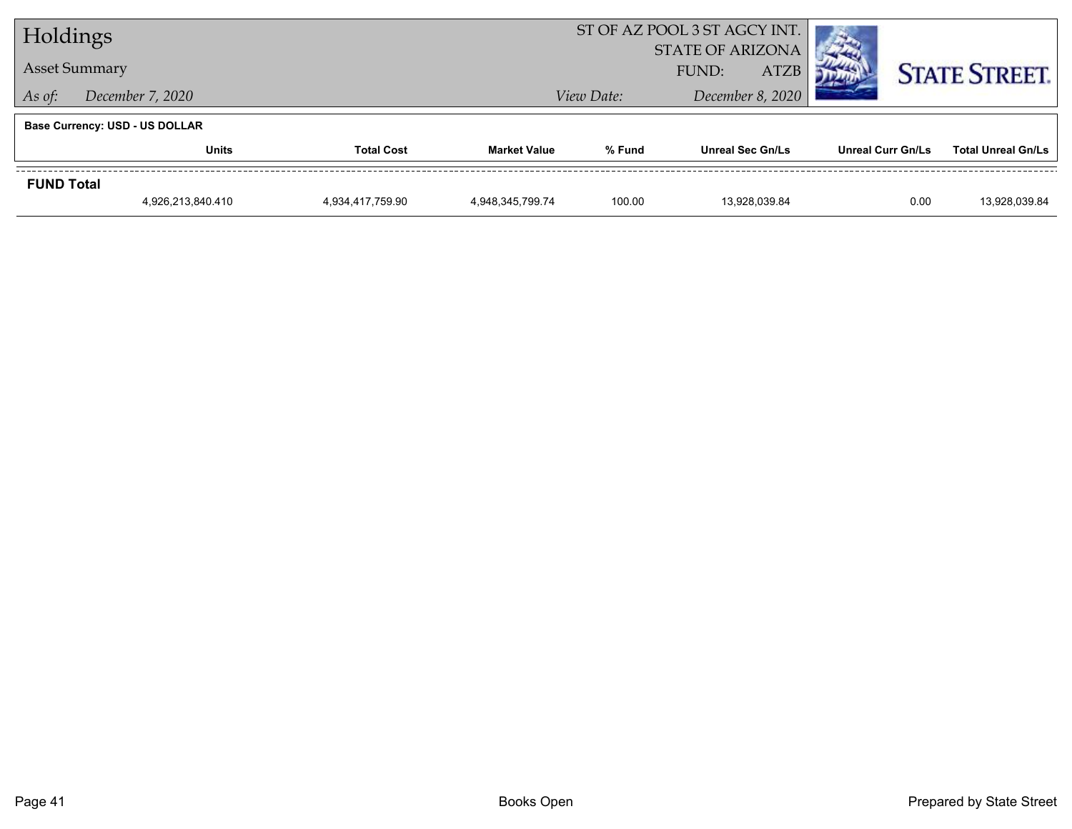| Holdings          |                                       |                   |                     | ST OF AZ POOL 3 ST AGCY INT.                    |                         |                          |                           |  |
|-------------------|---------------------------------------|-------------------|---------------------|-------------------------------------------------|-------------------------|--------------------------|---------------------------|--|
|                   | <b>Asset Summary</b>                  |                   |                     | <b>STATE OF ARIZONA</b><br><b>ATZB</b><br>FUND: |                         |                          | <b>STATE STREET.</b>      |  |
| As of:            | December 7, 2020                      |                   |                     | View Date:                                      | December 8, 2020        |                          |                           |  |
|                   | <b>Base Currency: USD - US DOLLAR</b> |                   |                     |                                                 |                         |                          |                           |  |
|                   | Units                                 | <b>Total Cost</b> | <b>Market Value</b> | % Fund                                          | <b>Unreal Sec Gn/Ls</b> | <b>Unreal Curr Gn/Ls</b> | <b>Total Unreal Gn/Ls</b> |  |
| <b>FUND Total</b> |                                       |                   |                     |                                                 |                         |                          |                           |  |
|                   | 4,926,213,840.410                     | 4,934,417,759.90  | 4,948,345,799.74    | 100.00                                          | 13.928.039.84           | 0.00                     | 13,928,039.84             |  |